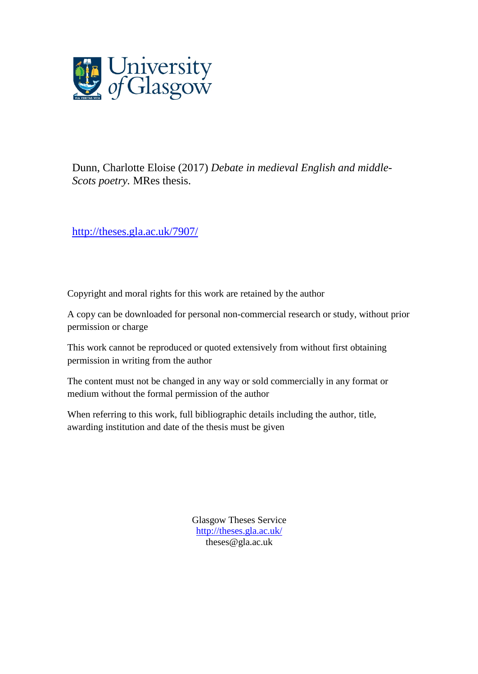

Dunn, Charlotte Eloise (2017) *Debate in medieval English and middle-Scots poetry.* MRes thesis.

<http://theses.gla.ac.uk/7907/>

Copyright and moral rights for this work are retained by the author

A copy can be downloaded for personal non-commercial research or study, without prior permission or charge

This work cannot be reproduced or quoted extensively from without first obtaining permission in writing from the author

The content must not be changed in any way or sold commercially in any format or medium without the formal permission of the author

When referring to this work, full bibliographic details including the author, title, awarding institution and date of the thesis must be given

> Glasgow Theses Service <http://theses.gla.ac.uk/> [theses@gla.ac.uk](mailto:theses@gla.ac.uk)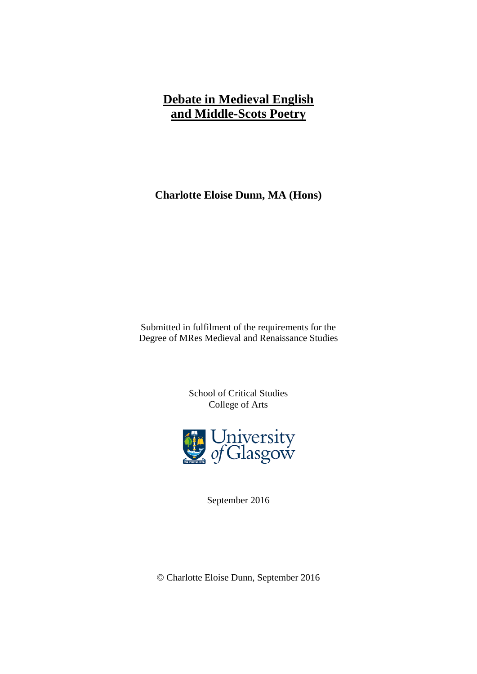# **Debate in Medieval English and Middle-Scots Poetry**

**Charlotte Eloise Dunn, MA (Hons)**

Submitted in fulfilment of the requirements for the Degree of MRes Medieval and Renaissance Studies

> School of Critical Studies College of Arts



September 2016

© Charlotte Eloise Dunn, September 2016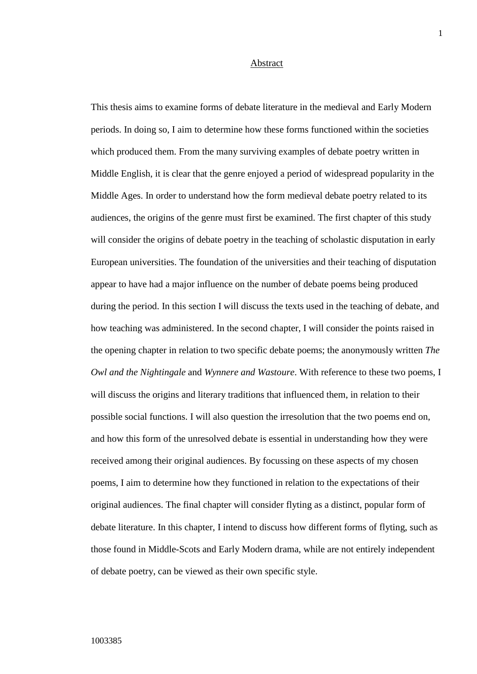#### Abstract

This thesis aims to examine forms of debate literature in the medieval and Early Modern periods. In doing so, I aim to determine how these forms functioned within the societies which produced them. From the many surviving examples of debate poetry written in Middle English, it is clear that the genre enjoyed a period of widespread popularity in the Middle Ages. In order to understand how the form medieval debate poetry related to its audiences, the origins of the genre must first be examined. The first chapter of this study will consider the origins of debate poetry in the teaching of scholastic disputation in early European universities. The foundation of the universities and their teaching of disputation appear to have had a major influence on the number of debate poems being produced during the period. In this section I will discuss the texts used in the teaching of debate, and how teaching was administered. In the second chapter, I will consider the points raised in the opening chapter in relation to two specific debate poems; the anonymously written *The Owl and the Nightingale* and *Wynnere and Wastoure*. With reference to these two poems, I will discuss the origins and literary traditions that influenced them, in relation to their possible social functions. I will also question the irresolution that the two poems end on, and how this form of the unresolved debate is essential in understanding how they were received among their original audiences. By focussing on these aspects of my chosen poems, I aim to determine how they functioned in relation to the expectations of their original audiences. The final chapter will consider flyting as a distinct, popular form of debate literature. In this chapter, I intend to discuss how different forms of flyting, such as those found in Middle-Scots and Early Modern drama, while are not entirely independent of debate poetry, can be viewed as their own specific style.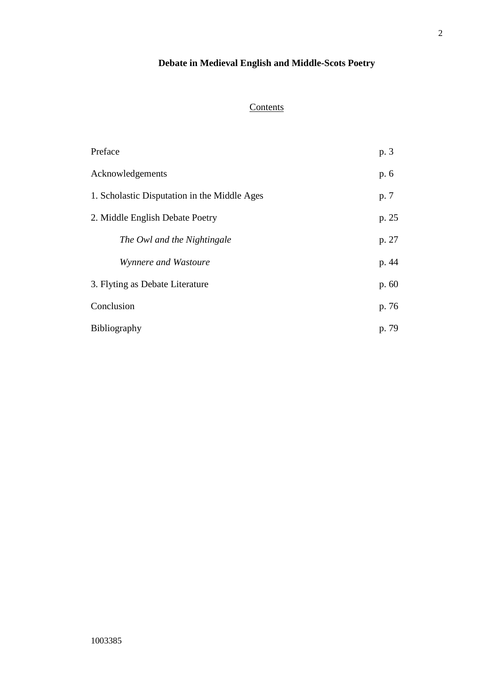# **Debate in Medieval English and Middle-Scots Poetry**

# **Contents**

| Preface                                      | p. 3  |
|----------------------------------------------|-------|
| Acknowledgements                             | p. 6  |
| 1. Scholastic Disputation in the Middle Ages | p. 7  |
| 2. Middle English Debate Poetry              | p. 25 |
| The Owl and the Nightingale                  | p. 27 |
| Wynnere and Wastoure                         | p. 44 |
| 3. Flyting as Debate Literature              | p. 60 |
| Conclusion                                   | p. 76 |
| Bibliography                                 | p. 79 |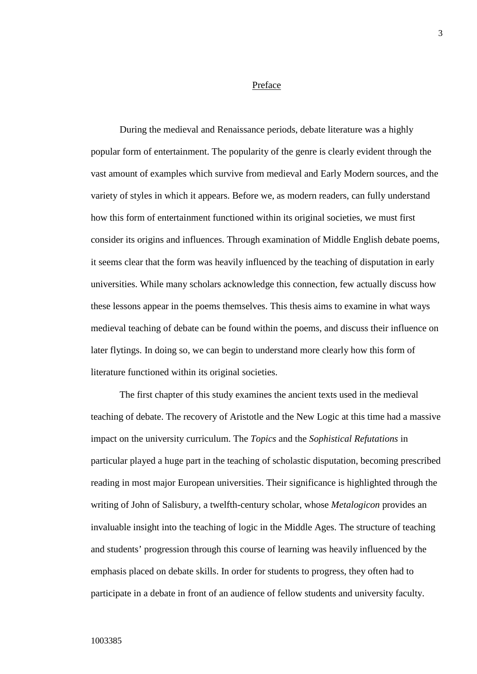#### Preface

During the medieval and Renaissance periods, debate literature was a highly popular form of entertainment. The popularity of the genre is clearly evident through the vast amount of examples which survive from medieval and Early Modern sources, and the variety of styles in which it appears. Before we, as modern readers, can fully understand how this form of entertainment functioned within its original societies, we must first consider its origins and influences. Through examination of Middle English debate poems, it seems clear that the form was heavily influenced by the teaching of disputation in early universities. While many scholars acknowledge this connection, few actually discuss how these lessons appear in the poems themselves. This thesis aims to examine in what ways medieval teaching of debate can be found within the poems, and discuss their influence on later flytings. In doing so, we can begin to understand more clearly how this form of literature functioned within its original societies.

The first chapter of this study examines the ancient texts used in the medieval teaching of debate. The recovery of Aristotle and the New Logic at this time had a massive impact on the university curriculum. The *Topics* and the *Sophistical Refutations* in particular played a huge part in the teaching of scholastic disputation, becoming prescribed reading in most major European universities. Their significance is highlighted through the writing of John of Salisbury, a twelfth-century scholar, whose *Metalogicon* provides an invaluable insight into the teaching of logic in the Middle Ages. The structure of teaching and students' progression through this course of learning was heavily influenced by the emphasis placed on debate skills. In order for students to progress, they often had to participate in a debate in front of an audience of fellow students and university faculty.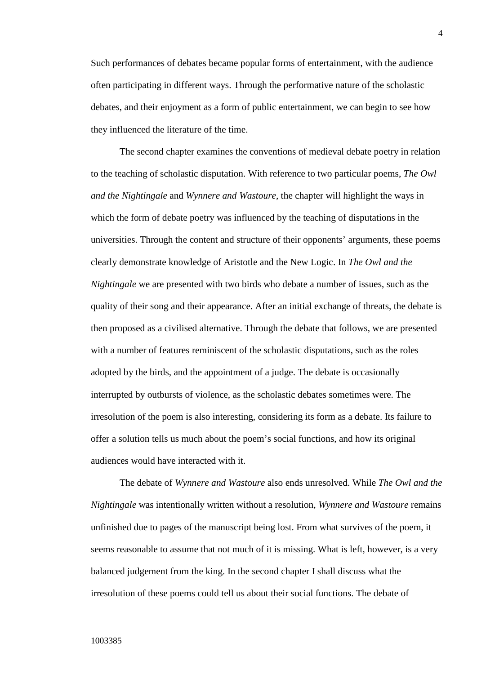Such performances of debates became popular forms of entertainment, with the audience often participating in different ways. Through the performative nature of the scholastic debates, and their enjoyment as a form of public entertainment, we can begin to see how they influenced the literature of the time.

The second chapter examines the conventions of medieval debate poetry in relation to the teaching of scholastic disputation. With reference to two particular poems, *The Owl and the Nightingale* and *Wynnere and Wastoure*, the chapter will highlight the ways in which the form of debate poetry was influenced by the teaching of disputations in the universities. Through the content and structure of their opponents' arguments, these poems clearly demonstrate knowledge of Aristotle and the New Logic. In *The Owl and the Nightingale* we are presented with two birds who debate a number of issues, such as the quality of their song and their appearance. After an initial exchange of threats, the debate is then proposed as a civilised alternative. Through the debate that follows, we are presented with a number of features reminiscent of the scholastic disputations, such as the roles adopted by the birds, and the appointment of a judge. The debate is occasionally interrupted by outbursts of violence, as the scholastic debates sometimes were. The irresolution of the poem is also interesting, considering its form as a debate. Its failure to offer a solution tells us much about the poem's social functions, and how its original audiences would have interacted with it.

The debate of *Wynnere and Wastoure* also ends unresolved. While *The Owl and the Nightingale* was intentionally written without a resolution, *Wynnere and Wastoure* remains unfinished due to pages of the manuscript being lost. From what survives of the poem, it seems reasonable to assume that not much of it is missing. What is left, however, is a very balanced judgement from the king. In the second chapter I shall discuss what the irresolution of these poems could tell us about their social functions. The debate of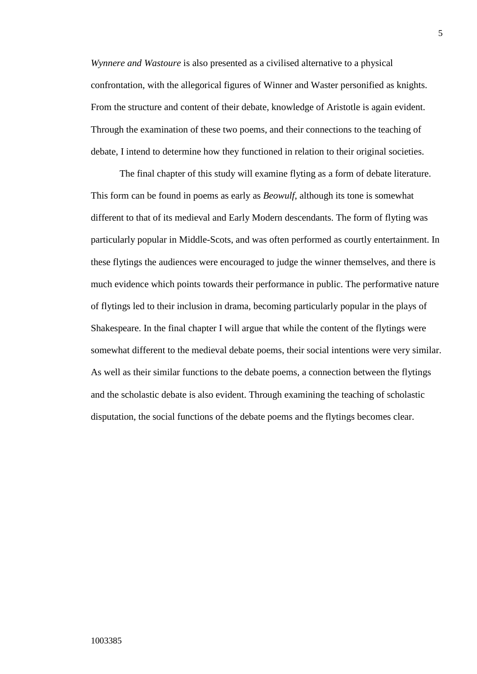*Wynnere and Wastoure* is also presented as a civilised alternative to a physical confrontation, with the allegorical figures of Winner and Waster personified as knights. From the structure and content of their debate, knowledge of Aristotle is again evident. Through the examination of these two poems, and their connections to the teaching of debate, I intend to determine how they functioned in relation to their original societies.

The final chapter of this study will examine flyting as a form of debate literature. This form can be found in poems as early as *Beowulf*, although its tone is somewhat different to that of its medieval and Early Modern descendants. The form of flyting was particularly popular in Middle-Scots, and was often performed as courtly entertainment. In these flytings the audiences were encouraged to judge the winner themselves, and there is much evidence which points towards their performance in public. The performative nature of flytings led to their inclusion in drama, becoming particularly popular in the plays of Shakespeare. In the final chapter I will argue that while the content of the flytings were somewhat different to the medieval debate poems, their social intentions were very similar. As well as their similar functions to the debate poems, a connection between the flytings and the scholastic debate is also evident. Through examining the teaching of scholastic disputation, the social functions of the debate poems and the flytings becomes clear.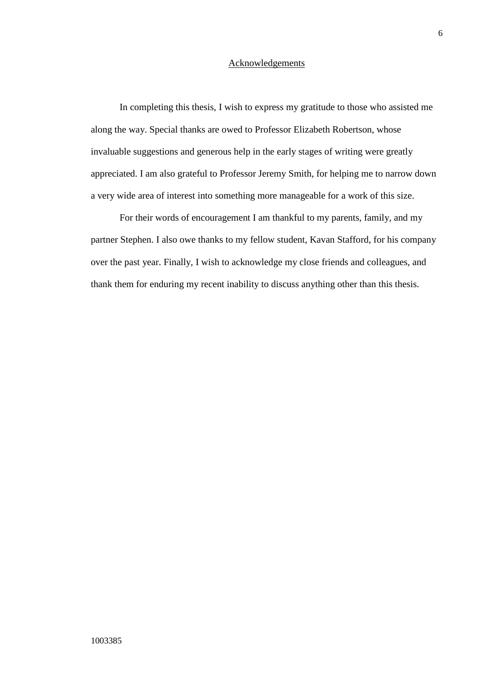### Acknowledgements

In completing this thesis, I wish to express my gratitude to those who assisted me along the way. Special thanks are owed to Professor Elizabeth Robertson, whose invaluable suggestions and generous help in the early stages of writing were greatly appreciated. I am also grateful to Professor Jeremy Smith, for helping me to narrow down a very wide area of interest into something more manageable for a work of this size.

For their words of encouragement I am thankful to my parents, family, and my partner Stephen. I also owe thanks to my fellow student, Kavan Stafford, for his company over the past year. Finally, I wish to acknowledge my close friends and colleagues, and thank them for enduring my recent inability to discuss anything other than this thesis.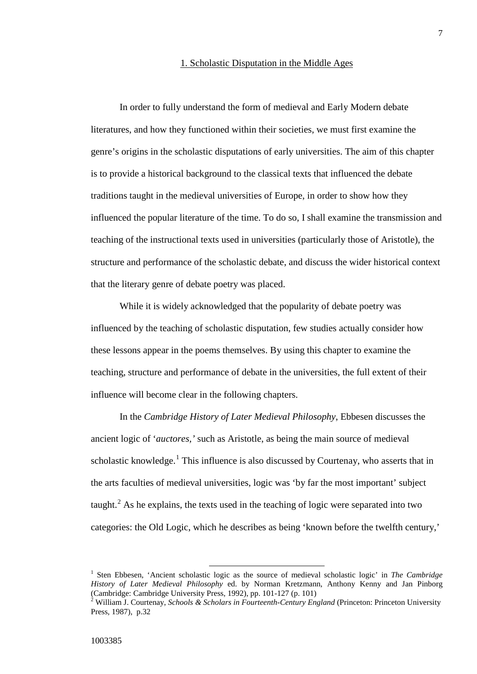### 1. Scholastic Disputation in the Middle Ages

In order to fully understand the form of medieval and Early Modern debate literatures, and how they functioned within their societies, we must first examine the genre's origins in the scholastic disputations of early universities. The aim of this chapter is to provide a historical background to the classical texts that influenced the debate traditions taught in the medieval universities of Europe, in order to show how they influenced the popular literature of the time. To do so, I shall examine the transmission and teaching of the instructional texts used in universities (particularly those of Aristotle), the structure and performance of the scholastic debate, and discuss the wider historical context that the literary genre of debate poetry was placed.

While it is widely acknowledged that the popularity of debate poetry was influenced by the teaching of scholastic disputation, few studies actually consider how these lessons appear in the poems themselves. By using this chapter to examine the teaching, structure and performance of debate in the universities, the full extent of their influence will become clear in the following chapters.

In the *Cambridge History of Later Medieval Philosophy*, Ebbesen discusses the ancient logic of '*auctores,'* such as Aristotle, as being the main source of medieval scholastic knowledge.<sup>[1](#page-9-0)</sup> This influence is also discussed by Courtenay, who asserts that in the arts faculties of medieval universities, logic was 'by far the most important' subject taught.<sup>[2](#page-9-1)</sup> As he explains, the texts used in the teaching of logic were separated into two categories: the Old Logic, which he describes as being 'known before the twelfth century,'

<span id="page-9-0"></span><sup>1</sup> Sten Ebbesen, 'Ancient scholastic logic as the source of medieval scholastic logic' in *The Cambridge History of Later Medieval Philosophy* ed. by Norman Kretzmann, Anthony Kenny and Jan Pinborg (Cambridge: Cambridge University Press, 1992), pp. 101-127 (p. 101)

<span id="page-9-1"></span><sup>&</sup>lt;sup>2</sup> William J. Courtenay, *Schools & Scholars in Fourteenth-Century England* (Princeton: Princeton University Press, 1987), p.32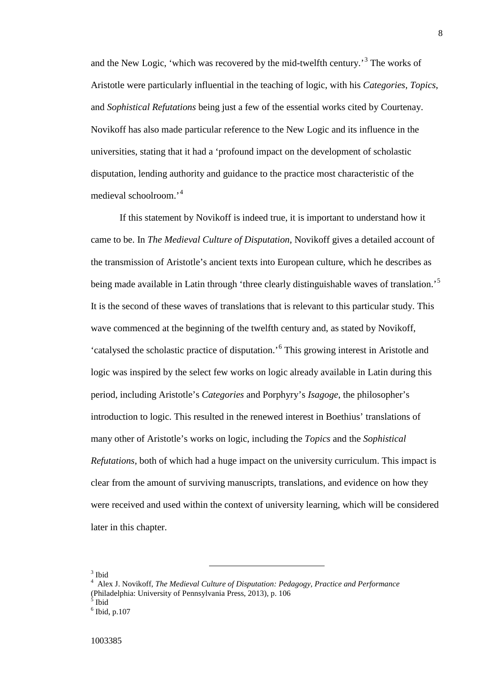and the New Logic, 'which was recovered by the mid-twelfth century.'[3](#page-10-0) The works of Aristotle were particularly influential in the teaching of logic, with his *Categories*, *Topics*, and *Sophistical Refutations* being just a few of the essential works cited by Courtenay. Novikoff has also made particular reference to the New Logic and its influence in the universities, stating that it had a 'profound impact on the development of scholastic disputation, lending authority and guidance to the practice most characteristic of the medieval schoolroom.'[4](#page-10-1)

If this statement by Novikoff is indeed true, it is important to understand how it came to be. In *The Medieval Culture of Disputation*, Novikoff gives a detailed account of the transmission of Aristotle's ancient texts into European culture, which he describes as being made available in Latin through 'three clearly distinguishable waves of translation.'<sup>[5](#page-10-2)</sup> It is the second of these waves of translations that is relevant to this particular study. This wave commenced at the beginning of the twelfth century and, as stated by Novikoff, 'catalysed the scholastic practice of disputation.'[6](#page-10-3) This growing interest in Aristotle and logic was inspired by the select few works on logic already available in Latin during this period, including Aristotle's *Categories* and Porphyry's *Isagoge*, the philosopher's introduction to logic. This resulted in the renewed interest in Boethius' translations of many other of Aristotle's works on logic, including the *Topics* and the *Sophistical Refutations*, both of which had a huge impact on the university curriculum. This impact is clear from the amount of surviving manuscripts, translations, and evidence on how they were received and used within the context of university learning, which will be considered later in this chapter.

<span id="page-10-0"></span> $3$  Ibid

<span id="page-10-1"></span><sup>4</sup> Alex J. Novikoff, *The Medieval Culture of Disputation: Pedagogy, Practice and Performance* (Philadelphia: University of Pennsylvania Press, 2013), p. 106

<span id="page-10-2"></span><sup>5</sup> Ibid

<span id="page-10-3"></span> $<sup>6</sup>$  Ibid, p.107</sup>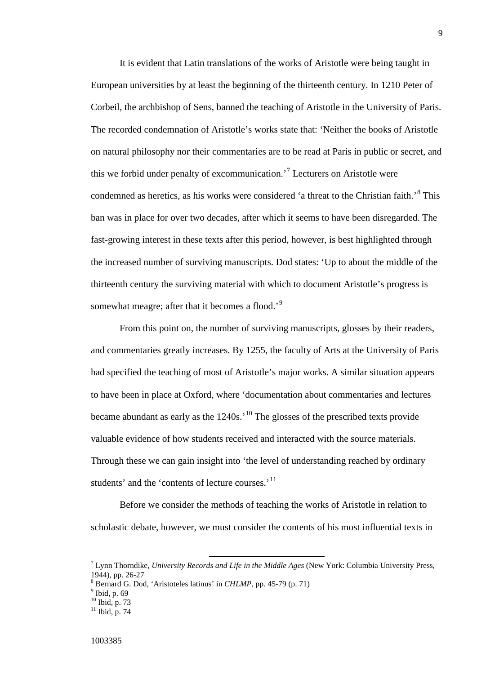It is evident that Latin translations of the works of Aristotle were being taught in European universities by at least the beginning of the thirteenth century. In 1210 Peter of Corbeil, the archbishop of Sens, banned the teaching of Aristotle in the University of Paris. The recorded condemnation of Aristotle's works state that: 'Neither the books of Aristotle on natural philosophy nor their commentaries are to be read at Paris in public or secret, and this we forbid under penalty of excommunication.'[7](#page-11-0) Lecturers on Aristotle were condemned as heretics, as his works were considered 'a threat to the Christian faith.'<sup>[8](#page-11-1)</sup> This ban was in place for over two decades, after which it seems to have been disregarded. The fast-growing interest in these texts after this period, however, is best highlighted through the increased number of surviving manuscripts. Dod states: 'Up to about the middle of the thirteenth century the surviving material with which to document Aristotle's progress is somewhat meagre; after that it becomes a flood.<sup>'[9](#page-11-2)</sup>

From this point on, the number of surviving manuscripts, glosses by their readers, and commentaries greatly increases. By 1255, the faculty of Arts at the University of Paris had specified the teaching of most of Aristotle's major works. A similar situation appears to have been in place at Oxford, where 'documentation about commentaries and lectures became abundant as early as the  $1240s$ .<sup>[10](#page-11-3)</sup> The glosses of the prescribed texts provide valuable evidence of how students received and interacted with the source materials. Through these we can gain insight into 'the level of understanding reached by ordinary students' and the 'contents of lecture courses.'<sup>[11](#page-11-4)</sup>

Before we consider the methods of teaching the works of Aristotle in relation to scholastic debate, however, we must consider the contents of his most influential texts in

<span id="page-11-0"></span><sup>7</sup> Lynn Thorndike, *University Records and Life in the Middle Ages* (New York: Columbia University Press,

<span id="page-11-1"></span><sup>&</sup>lt;sup>8</sup> Bernard G. Dod, 'Aristoteles latinus' in *CHLMP*, pp. 45-79 (p. 71) <sup>9</sup> Ibid, p. 69

<span id="page-11-4"></span><span id="page-11-3"></span><span id="page-11-2"></span> $^{10}$  Ibid, p. 73<br> $^{11}$  Ibid, p. 74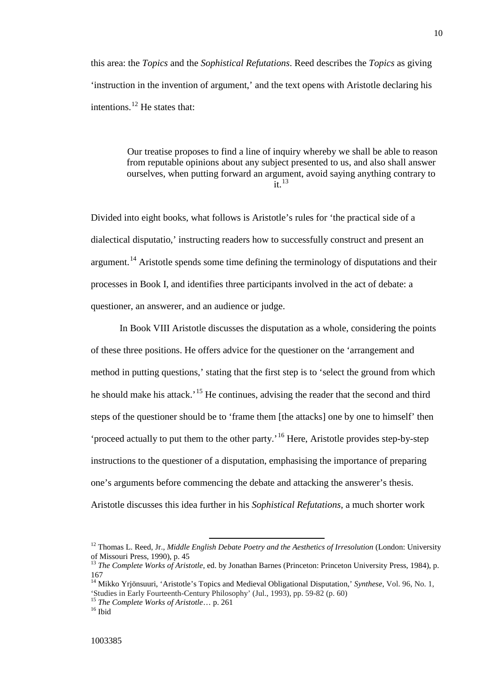this area: the *Topics* and the *Sophistical Refutations*. Reed describes the *Topics* as giving 'instruction in the invention of argument,' and the text opens with Aristotle declaring his intentions.<sup>[12](#page-12-0)</sup> He states that:

> Our treatise proposes to find a line of inquiry whereby we shall be able to reason from reputable opinions about any subject presented to us, and also shall answer ourselves, when putting forward an argument, avoid saying anything contrary to  $\frac{5}{1}$  [13](#page-12-1)

Divided into eight books, what follows is Aristotle's rules for 'the practical side of a dialectical disputatio,' instructing readers how to successfully construct and present an argument.<sup>[14](#page-12-2)</sup> Aristotle spends some time defining the terminology of disputations and their processes in Book I, and identifies three participants involved in the act of debate: a questioner, an answerer, and an audience or judge.

In Book VIII Aristotle discusses the disputation as a whole, considering the points of these three positions. He offers advice for the questioner on the 'arrangement and method in putting questions,' stating that the first step is to 'select the ground from which he should make his attack.<sup>'[15](#page-12-3)</sup> He continues, advising the reader that the second and third steps of the questioner should be to 'frame them [the attacks] one by one to himself' then 'proceed actually to put them to the other party.'[16](#page-12-4) Here, Aristotle provides step-by-step instructions to the questioner of a disputation, emphasising the importance of preparing one's arguments before commencing the debate and attacking the answerer's thesis. Aristotle discusses this idea further in his *Sophistical Refutations,* a much shorter work

<span id="page-12-0"></span><sup>&</sup>lt;sup>12</sup> Thomas L. Reed, Jr., *Middle English Debate Poetry and the Aesthetics of Irresolution* (London: University of Missouri Press, 1990), p. 45

<span id="page-12-1"></span><sup>&</sup>lt;sup>13</sup> *The Complete Works of Aristotle*, ed. by Jonathan Barnes (Princeton: Princeton University Press, 1984), p. 167

<span id="page-12-2"></span><sup>14</sup> Mikko Yrjönsuuri, 'Aristotle's Topics and Medieval Obligational Disputation,' *Synthese*, Vol. 96, No. 1, 'Studies in Early Fourteenth-Century Philosophy' (Jul., 1993), pp. 59-82 (p. 60) <sup>15</sup> *The Complete Works of Aristotle*… p. 261 <sup>16</sup> Ibid

<span id="page-12-4"></span><span id="page-12-3"></span>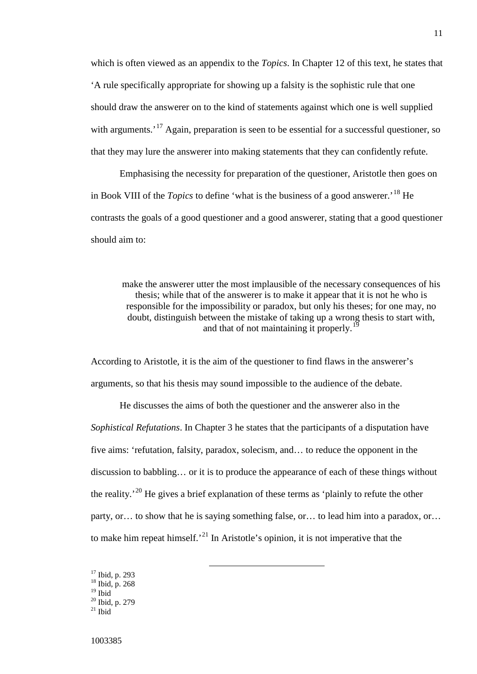which is often viewed as an appendix to the *Topics*. In Chapter 12 of this text, he states that 'A rule specifically appropriate for showing up a falsity is the sophistic rule that one should draw the answerer on to the kind of statements against which one is well supplied with arguments.<sup>'[17](#page-13-0)</sup> Again, preparation is seen to be essential for a successful questioner, so that they may lure the answerer into making statements that they can confidently refute.

Emphasising the necessity for preparation of the questioner, Aristotle then goes on in Book VIII of the *Topics* to define 'what is the business of a good answerer.'[18](#page-13-1) He contrasts the goals of a good questioner and a good answerer, stating that a good questioner should aim to:

make the answerer utter the most implausible of the necessary consequences of his thesis; while that of the answerer is to make it appear that it is not he who is responsible for the impossibility or paradox, but only his theses; for one may, no doubt, distinguish between the mistake of taking up a wrong thesis to start with, and that of not maintaining it properly.<sup>[19](#page-13-2)</sup>

According to Aristotle, it is the aim of the questioner to find flaws in the answerer's arguments, so that his thesis may sound impossible to the audience of the debate.

He discusses the aims of both the questioner and the answerer also in the *Sophistical Refutations*. In Chapter 3 he states that the participants of a disputation have five aims: 'refutation, falsity, paradox, solecism, and… to reduce the opponent in the discussion to babbling… or it is to produce the appearance of each of these things without the reality.<sup>[20](#page-13-3)</sup> He gives a brief explanation of these terms as 'plainly to refute the other party, or… to show that he is saying something false, or… to lead him into a paradox, or… to make him repeat himself.<sup>[21](#page-13-4)</sup> In Aristotle's opinion, it is not imperative that the

<span id="page-13-4"></span><span id="page-13-3"></span><span id="page-13-2"></span><span id="page-13-1"></span><span id="page-13-0"></span> $\frac{17}{18}$  Ibid, p. 293<br>  $\frac{18}{19}$  Ibid, p. 268  $^{20}$  Ibid, p. 279<br> $^{21}$  Ibid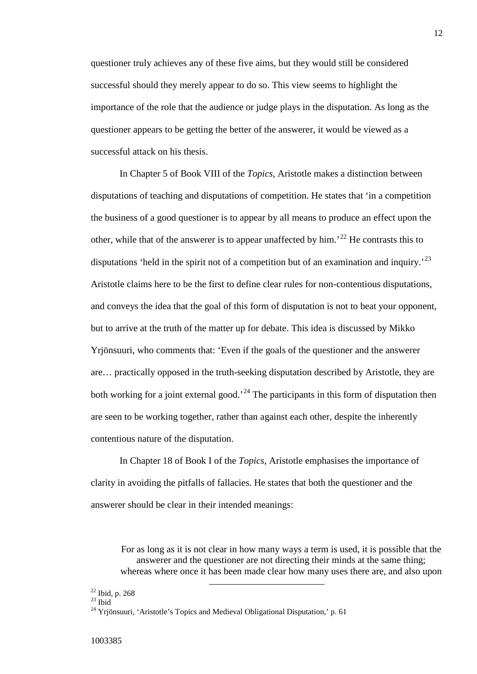questioner truly achieves any of these five aims, but they would still be considered successful should they merely appear to do so. This view seems to highlight the importance of the role that the audience or judge plays in the disputation. As long as the questioner appears to be getting the better of the answerer, it would be viewed as a successful attack on his thesis.

In Chapter 5 of Book VIII of the *Topics*, Aristotle makes a distinction between disputations of teaching and disputations of competition. He states that 'in a competition the business of a good questioner is to appear by all means to produce an effect upon the other, while that of the answerer is to appear unaffected by him.<sup>[22](#page-14-0)</sup> He contrasts this to disputations 'held in the spirit not of a competition but of an examination and inquiry.<sup>[23](#page-14-1)</sup> Aristotle claims here to be the first to define clear rules for non-contentious disputations, and conveys the idea that the goal of this form of disputation is not to beat your opponent, but to arrive at the truth of the matter up for debate. This idea is discussed by Mikko Yrjönsuuri, who comments that: 'Even if the goals of the questioner and the answerer are… practically opposed in the truth-seeking disputation described by Aristotle, they are both working for a joint external good.<sup> $24$ </sup> The participants in this form of disputation then are seen to be working together, rather than against each other, despite the inherently contentious nature of the disputation.

In Chapter 18 of Book I of the *Topics*, Aristotle emphasises the importance of clarity in avoiding the pitfalls of fallacies. He states that both the questioner and the answerer should be clear in their intended meanings:

For as long as it is not clear in how many ways a term is used, it is possible that the answerer and the questioner are not directing their minds at the same thing; whereas where once it has been made clear how many uses there are, and also upon

<span id="page-14-2"></span>

<span id="page-14-1"></span><span id="page-14-0"></span><sup>&</sup>lt;sup>22</sup> Ibid, p. 268<br><sup>23</sup> Ibid<br><sup>24</sup> Yrjönsuuri, 'Aristotle's Topics and Medieval Obligational Disputation,' p. 61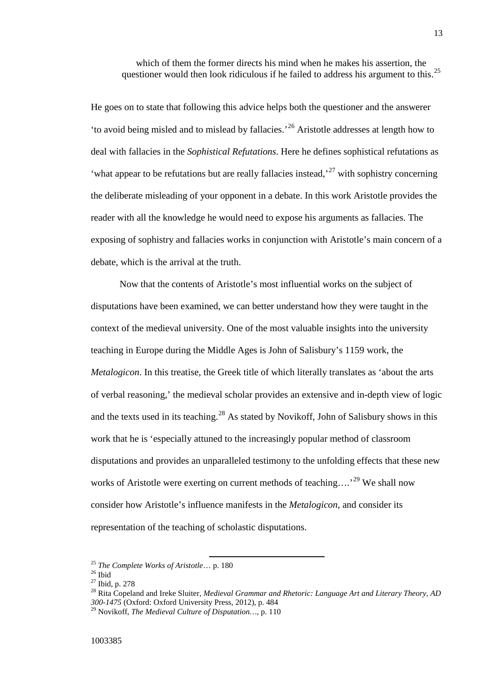which of them the former directs his mind when he makes his assertion, the questioner would then look ridiculous if he failed to address his argument to this.<sup>[25](#page-15-0)</sup>

He goes on to state that following this advice helps both the questioner and the answerer 'to avoid being misled and to mislead by fallacies.'[26](#page-15-1) Aristotle addresses at length how to deal with fallacies in the *Sophistical Refutations*. Here he defines sophistical refutations as 'what appear to be refutations but are really fallacies instead,<sup>[27](#page-15-2)</sup> with sophistry concerning the deliberate misleading of your opponent in a debate. In this work Aristotle provides the reader with all the knowledge he would need to expose his arguments as fallacies. The exposing of sophistry and fallacies works in conjunction with Aristotle's main concern of a debate, which is the arrival at the truth.

Now that the contents of Aristotle's most influential works on the subject of disputations have been examined, we can better understand how they were taught in the context of the medieval university. One of the most valuable insights into the university teaching in Europe during the Middle Ages is John of Salisbury's 1159 work, the *Metalogicon*. In this treatise, the Greek title of which literally translates as 'about the arts of verbal reasoning,' the medieval scholar provides an extensive and in-depth view of logic and the texts used in its teaching.<sup>[28](#page-15-3)</sup> As stated by Novikoff, John of Salisbury shows in this work that he is 'especially attuned to the increasingly popular method of classroom disputations and provides an unparalleled testimony to the unfolding effects that these new works of Aristotle were exerting on current methods of teaching....<sup>[29](#page-15-4)</sup> We shall now consider how Aristotle's influence manifests in the *Metalogicon*, and consider its representation of the teaching of scholastic disputations.

<span id="page-15-2"></span><span id="page-15-1"></span>

<span id="page-15-3"></span>

<span id="page-15-0"></span><sup>&</sup>lt;sup>25</sup> *The Complete Works of Aristotle* ... p. 180<br><sup>26</sup> Ibid<br><sup>27</sup> Ibid, p. 278<br><sup>28</sup> Rita Copeland and Ireke Sluiter, *Medieval Grammar and Rhetoric: Language Art and Literary Theory, AD 300-1475* (Oxford: Oxford University Press, 2012), p. 484

<span id="page-15-4"></span><sup>29</sup> Novikoff, *The Medieval Culture of Disputation…,* p. 110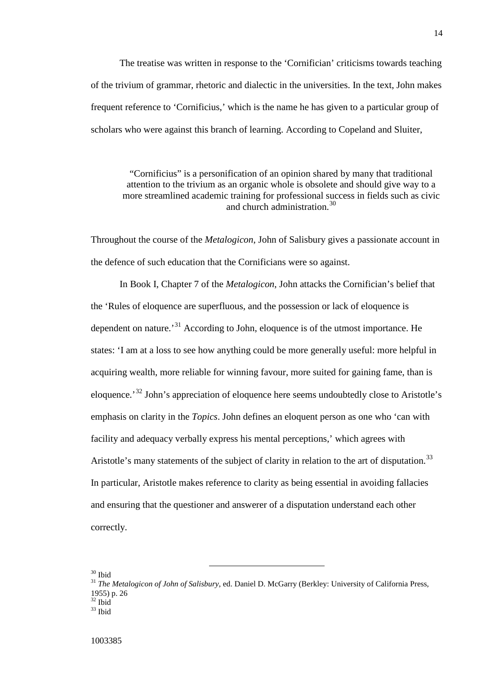The treatise was written in response to the 'Cornifician' criticisms towards teaching of the trivium of grammar, rhetoric and dialectic in the universities. In the text, John makes frequent reference to 'Cornificius,' which is the name he has given to a particular group of scholars who were against this branch of learning. According to Copeland and Sluiter,

"Cornificius" is a personification of an opinion shared by many that traditional attention to the trivium as an organic whole is obsolete and should give way to a more streamlined academic training for professional success in fields such as civic and church administration.[30](#page-16-0)

Throughout the course of the *Metalogicon*, John of Salisbury gives a passionate account in the defence of such education that the Cornificians were so against.

In Book I, Chapter 7 of the *Metalogicon*, John attacks the Cornifician's belief that the 'Rules of eloquence are superfluous, and the possession or lack of eloquence is dependent on nature.<sup>[31](#page-16-1)</sup> According to John, eloquence is of the utmost importance. He states: 'I am at a loss to see how anything could be more generally useful: more helpful in acquiring wealth, more reliable for winning favour, more suited for gaining fame, than is eloquence.'<sup>[32](#page-16-2)</sup> John's appreciation of eloquence here seems undoubtedly close to Aristotle's emphasis on clarity in the *Topics*. John defines an eloquent person as one who 'can with facility and adequacy verbally express his mental perceptions,' which agrees with Aristotle's many statements of the subject of clarity in relation to the art of disputation.<sup>[33](#page-16-3)</sup> In particular, Aristotle makes reference to clarity as being essential in avoiding fallacies and ensuring that the questioner and answerer of a disputation understand each other correctly.

<span id="page-16-1"></span>

<span id="page-16-0"></span><sup>&</sup>lt;sup>30</sup> Ibid<br><sup>31</sup> *The Metalogicon of John of Salisbury*, ed. Daniel D. McGarry (Berkley: University of California Press, 1955) p. 26

<span id="page-16-3"></span><span id="page-16-2"></span> $rac{32}{33}$  Ibid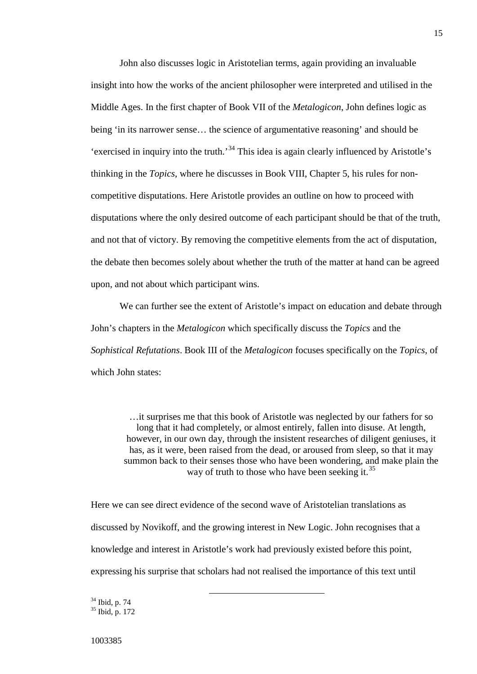John also discusses logic in Aristotelian terms, again providing an invaluable insight into how the works of the ancient philosopher were interpreted and utilised in the Middle Ages. In the first chapter of Book VII of the *Metalogicon*, John defines logic as being 'in its narrower sense… the science of argumentative reasoning' and should be 'exercised in inquiry into the truth.'[34](#page-17-0) This idea is again clearly influenced by Aristotle's thinking in the *Topics*, where he discusses in Book VIII, Chapter 5, his rules for noncompetitive disputations. Here Aristotle provides an outline on how to proceed with disputations where the only desired outcome of each participant should be that of the truth, and not that of victory. By removing the competitive elements from the act of disputation, the debate then becomes solely about whether the truth of the matter at hand can be agreed upon, and not about which participant wins.

We can further see the extent of Aristotle's impact on education and debate through John's chapters in the *Metalogicon* which specifically discuss the *Topics* and the *Sophistical Refutations*. Book III of the *Metalogicon* focuses specifically on the *Topics*, of which John states:

…it surprises me that this book of Aristotle was neglected by our fathers for so long that it had completely, or almost entirely, fallen into disuse. At length, however, in our own day, through the insistent researches of diligent geniuses, it has, as it were, been raised from the dead, or aroused from sleep, so that it may summon back to their senses those who have been wondering, and make plain the way of truth to those who have been seeking it.<sup>[35](#page-17-1)</sup>

Here we can see direct evidence of the second wave of Aristotelian translations as discussed by Novikoff, and the growing interest in New Logic. John recognises that a knowledge and interest in Aristotle's work had previously existed before this point, expressing his surprise that scholars had not realised the importance of this text until

<span id="page-17-1"></span><span id="page-17-0"></span> $\frac{34}{35}$  Ibid, p. 74<br> $\frac{35}{35}$  Ibid, p. 172

15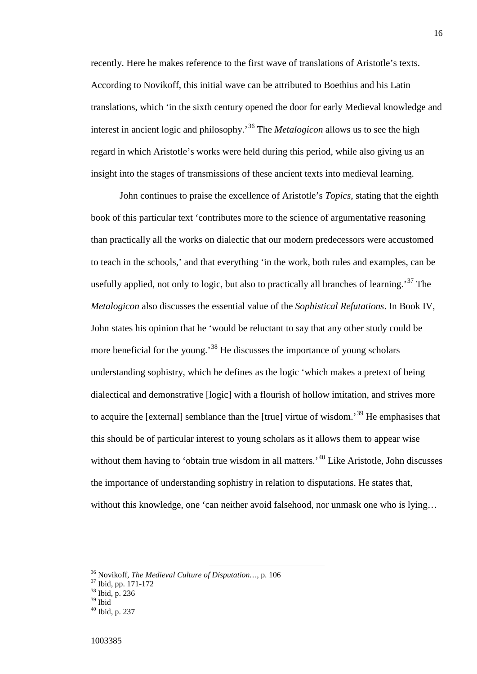recently. Here he makes reference to the first wave of translations of Aristotle's texts. According to Novikoff, this initial wave can be attributed to Boethius and his Latin translations, which 'in the sixth century opened the door for early Medieval knowledge and interest in ancient logic and philosophy.'[36](#page-18-0) The *Metalogicon* allows us to see the high regard in which Aristotle's works were held during this period, while also giving us an insight into the stages of transmissions of these ancient texts into medieval learning.

John continues to praise the excellence of Aristotle's *Topics*, stating that the eighth book of this particular text 'contributes more to the science of argumentative reasoning than practically all the works on dialectic that our modern predecessors were accustomed to teach in the schools,' and that everything 'in the work, both rules and examples, can be usefully applied, not only to logic, but also to practically all branches of learning.<sup>[37](#page-18-1)</sup> The *Metalogicon* also discusses the essential value of the *Sophistical Refutations*. In Book IV, John states his opinion that he 'would be reluctant to say that any other study could be more beneficial for the young.<sup>[38](#page-18-2)</sup> He discusses the importance of young scholars understanding sophistry, which he defines as the logic 'which makes a pretext of being dialectical and demonstrative [logic] with a flourish of hollow imitation, and strives more to acquire the [external] semblance than the [true] virtue of wisdom.<sup>[39](#page-18-3)</sup> He emphasises that this should be of particular interest to young scholars as it allows them to appear wise without them having to 'obtain true wisdom in all matters.<sup>[40](#page-18-4)</sup> Like Aristotle, John discusses the importance of understanding sophistry in relation to disputations. He states that, without this knowledge, one 'can neither avoid falsehood, nor unmask one who is lying...

<span id="page-18-0"></span><sup>&</sup>lt;sup>36</sup> Novikoff, *The Medieval Culture of Disputation*..., p. 106<br><sup>37</sup> Ibid, pp. 171-172<br><sup>38</sup> Ibid, p. 236<br>*39* Ibid

<span id="page-18-2"></span><span id="page-18-1"></span>

<span id="page-18-4"></span><span id="page-18-3"></span> $3^{40}$  Ibid, p. 237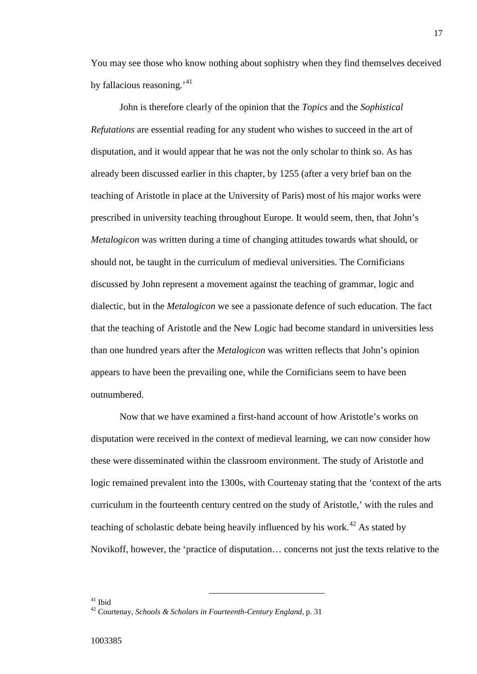You may see those who know nothing about sophistry when they find themselves deceived by fallacious reasoning.<sup> $41$ </sup>

John is therefore clearly of the opinion that the *Topics* and the *Sophistical Refutations* are essential reading for any student who wishes to succeed in the art of disputation, and it would appear that he was not the only scholar to think so. As has already been discussed earlier in this chapter, by 1255 (after a very brief ban on the teaching of Aristotle in place at the University of Paris) most of his major works were prescribed in university teaching throughout Europe. It would seem, then, that John's *Metalogicon* was written during a time of changing attitudes towards what should, or should not, be taught in the curriculum of medieval universities. The Cornificians discussed by John represent a movement against the teaching of grammar, logic and dialectic, but in the *Metalogicon* we see a passionate defence of such education. The fact that the teaching of Aristotle and the New Logic had become standard in universities less than one hundred years after the *Metalogicon* was written reflects that John's opinion appears to have been the prevailing one, while the Cornificians seem to have been outnumbered.

Now that we have examined a first-hand account of how Aristotle's works on disputation were received in the context of medieval learning, we can now consider how these were disseminated within the classroom environment. The study of Aristotle and logic remained prevalent into the 1300s, with Courtenay stating that the 'context of the arts curriculum in the fourteenth century centred on the study of Aristotle,' with the rules and teaching of scholastic debate being heavily influenced by his work.<sup>[42](#page-19-1)</sup> As stated by Novikoff, however, the 'practice of disputation… concerns not just the texts relative to the

<span id="page-19-1"></span><span id="page-19-0"></span><sup>41</sup> Ibid <sup>42</sup> Courtenay, *Schools & Scholars in Fourteenth-Century England,* p. 31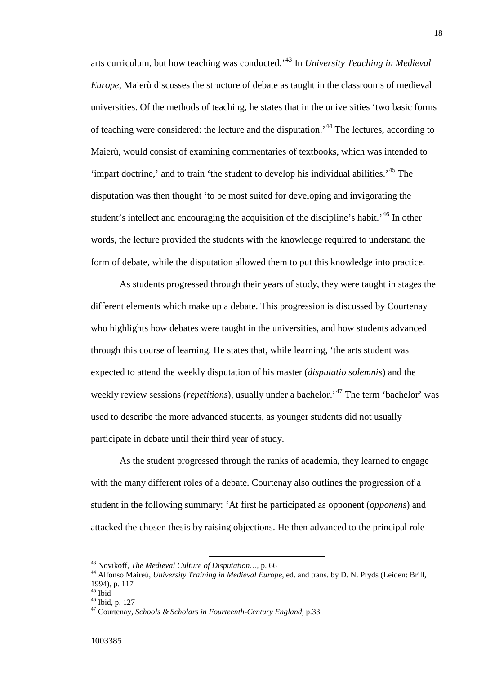arts curriculum, but how teaching was conducted.'[43](#page-20-0) In *University Teaching in Medieval Europe*, Maierù discusses the structure of debate as taught in the classrooms of medieval universities. Of the methods of teaching, he states that in the universities 'two basic forms of teaching were considered: the lecture and the disputation.<sup>[44](#page-20-1)</sup> The lectures, according to Maierù, would consist of examining commentaries of textbooks, which was intended to 'impart doctrine,' and to train 'the student to develop his individual abilities.'[45](#page-20-2) The disputation was then thought 'to be most suited for developing and invigorating the student's intellect and encouraging the acquisition of the discipline's habit.<sup>[46](#page-20-3)</sup> In other words, the lecture provided the students with the knowledge required to understand the form of debate, while the disputation allowed them to put this knowledge into practice.

As students progressed through their years of study, they were taught in stages the different elements which make up a debate. This progression is discussed by Courtenay who highlights how debates were taught in the universities, and how students advanced through this course of learning. He states that, while learning, 'the arts student was expected to attend the weekly disputation of his master (*disputatio solemnis*) and the weekly review sessions (*repetitions*), usually under a bachelor.<sup>[47](#page-20-4)</sup> The term 'bachelor' was used to describe the more advanced students, as younger students did not usually participate in debate until their third year of study.

As the student progressed through the ranks of academia, they learned to engage with the many different roles of a debate. Courtenay also outlines the progression of a student in the following summary: 'At first he participated as opponent (*opponens*) and attacked the chosen thesis by raising objections. He then advanced to the principal role

<span id="page-20-1"></span><span id="page-20-0"></span><sup>&</sup>lt;sup>43</sup> Novikoff, *The Medieval Culture of Disputation* ..., p. 66<br><sup>44</sup> Alfonso Maireù, *University Training in Medieval Europe*, ed. and trans. by D. N. Pryds (Leiden: Brill, 1994), p. 117

<span id="page-20-4"></span>

<span id="page-20-3"></span><span id="page-20-2"></span><sup>46</sup> Ibid, p. 127<br><sup>46</sup> Ibid, p. 127<br><sup>47</sup> Courtenay, *Schools & Scholars in Fourteenth-Century England*, p.33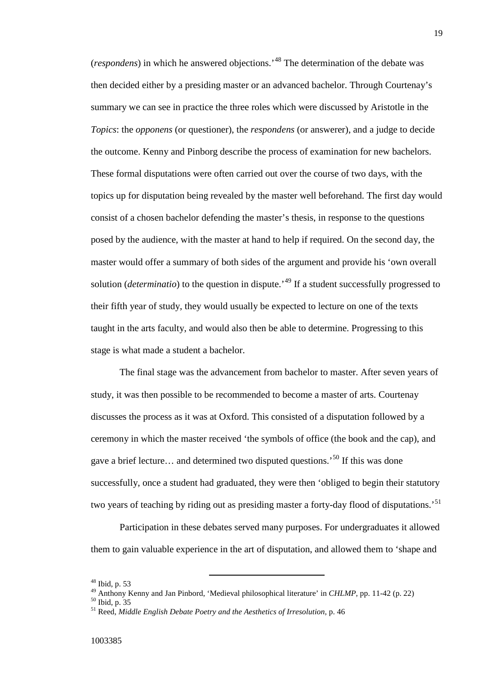(*respondens*) in which he answered objections.'[48](#page-21-0) The determination of the debate was then decided either by a presiding master or an advanced bachelor. Through Courtenay's summary we can see in practice the three roles which were discussed by Aristotle in the *Topics*: the *opponens* (or questioner), the *respondens* (or answerer), and a judge to decide the outcome. Kenny and Pinborg describe the process of examination for new bachelors. These formal disputations were often carried out over the course of two days, with the topics up for disputation being revealed by the master well beforehand. The first day would consist of a chosen bachelor defending the master's thesis, in response to the questions posed by the audience, with the master at hand to help if required. On the second day, the master would offer a summary of both sides of the argument and provide his 'own overall solution (*determinatio*) to the question in dispute.<sup>[49](#page-21-1)</sup> If a student successfully progressed to their fifth year of study, they would usually be expected to lecture on one of the texts taught in the arts faculty, and would also then be able to determine. Progressing to this stage is what made a student a bachelor.

The final stage was the advancement from bachelor to master. After seven years of study, it was then possible to be recommended to become a master of arts. Courtenay discusses the process as it was at Oxford. This consisted of a disputation followed by a ceremony in which the master received 'the symbols of office (the book and the cap), and gave a brief lecture… and determined two disputed questions.'[50](#page-21-2) If this was done successfully, once a student had graduated, they were then 'obliged to begin their statutory two years of teaching by riding out as presiding master a forty-day flood of disputations.<sup>[51](#page-21-3)</sup>

Participation in these debates served many purposes. For undergraduates it allowed them to gain valuable experience in the art of disputation, and allowed them to 'shape and

<span id="page-21-0"></span> $^{48}$  Ibid, p. 53

<span id="page-21-1"></span><sup>&</sup>lt;sup>49</sup> Anthony Kenny and Jan Pinbord, 'Medieval philosophical literature' in *CHLMP*, pp. 11-42 (p. 22)<br><sup>50</sup> Ibid, p. 35<br><sup>51</sup> Reed, *Middle English Debate Poetry and the Aesthetics of Irresolution*, p. 46

<span id="page-21-3"></span><span id="page-21-2"></span>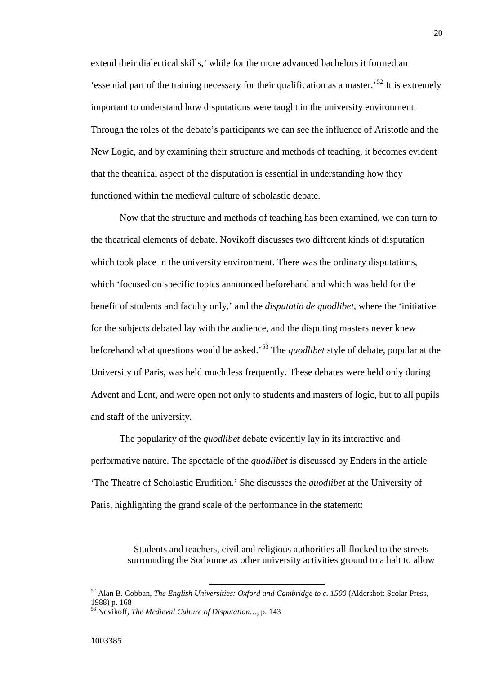extend their dialectical skills,' while for the more advanced bachelors it formed an 'essential part of the training necessary for their qualification as a master.<sup>[52](#page-22-0)</sup> It is extremely important to understand how disputations were taught in the university environment. Through the roles of the debate's participants we can see the influence of Aristotle and the New Logic, and by examining their structure and methods of teaching, it becomes evident that the theatrical aspect of the disputation is essential in understanding how they functioned within the medieval culture of scholastic debate.

Now that the structure and methods of teaching has been examined, we can turn to the theatrical elements of debate. Novikoff discusses two different kinds of disputation which took place in the university environment. There was the ordinary disputations, which 'focused on specific topics announced beforehand and which was held for the benefit of students and faculty only,' and the *disputatio de quodlibet*, where the 'initiative for the subjects debated lay with the audience, and the disputing masters never knew beforehand what questions would be asked.'[53](#page-22-1) The *quodlibet* style of debate, popular at the University of Paris, was held much less frequently. These debates were held only during Advent and Lent, and were open not only to students and masters of logic, but to all pupils and staff of the university.

The popularity of the *quodlibet* debate evidently lay in its interactive and performative nature. The spectacle of the *quodlibet* is discussed by Enders in the article 'The Theatre of Scholastic Erudition.' She discusses the *quodlibet* at the University of Paris, highlighting the grand scale of the performance in the statement:

> Students and teachers, civil and religious authorities all flocked to the streets surrounding the Sorbonne as other university activities ground to a halt to allow

<span id="page-22-0"></span><sup>52</sup> Alan B. Cobban, *The English Universities: Oxford and Cambridge to c. 1500* (Aldershot: Scolar Press, 1988) p. 168

<span id="page-22-1"></span><sup>53</sup> Novikoff, *The Medieval Culture of Disputation…,* p. 143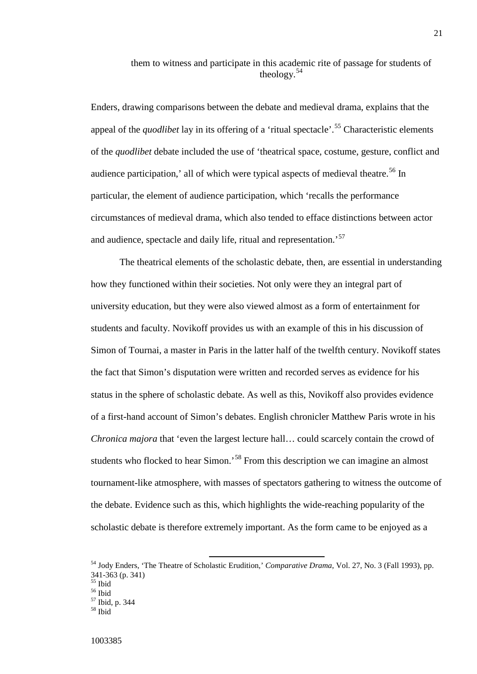them to witness and participate in this academic rite of passage for students of theology.[54](#page-23-0)

Enders, drawing comparisons between the debate and medieval drama, explains that the appeal of the *quodlibet* lay in its offering of a 'ritual spectacle'. [55](#page-23-1) Characteristic elements of the *quodlibet* debate included the use of 'theatrical space, costume, gesture, conflict and audience participation,' all of which were typical aspects of medieval theatre.<sup>[56](#page-23-2)</sup> In particular, the element of audience participation, which 'recalls the performance circumstances of medieval drama, which also tended to efface distinctions between actor and audience, spectacle and daily life, ritual and representation.<sup>[57](#page-23-3)</sup>

The theatrical elements of the scholastic debate, then, are essential in understanding how they functioned within their societies. Not only were they an integral part of university education, but they were also viewed almost as a form of entertainment for students and faculty. Novikoff provides us with an example of this in his discussion of Simon of Tournai, a master in Paris in the latter half of the twelfth century. Novikoff states the fact that Simon's disputation were written and recorded serves as evidence for his status in the sphere of scholastic debate. As well as this, Novikoff also provides evidence of a first-hand account of Simon's debates. English chronicler Matthew Paris wrote in his *Chronica majora* that 'even the largest lecture hall… could scarcely contain the crowd of students who flocked to hear Simon.<sup>[58](#page-23-4)</sup> From this description we can imagine an almost tournament-like atmosphere, with masses of spectators gathering to witness the outcome of the debate. Evidence such as this, which highlights the wide-reaching popularity of the scholastic debate is therefore extremely important. As the form came to be enjoyed as a

<span id="page-23-0"></span><sup>54</sup> Jody Enders, 'The Theatre of Scholastic Erudition,' *Comparative Drama*, Vol. 27, No. 3 (Fall 1993), pp.  $\frac{55}{55}$  Ibid<br> $\frac{56}{57}$  Ibid, p. 344<br> $\frac{58}{58}$  Ibid

<span id="page-23-3"></span><span id="page-23-2"></span><span id="page-23-1"></span>

<span id="page-23-4"></span>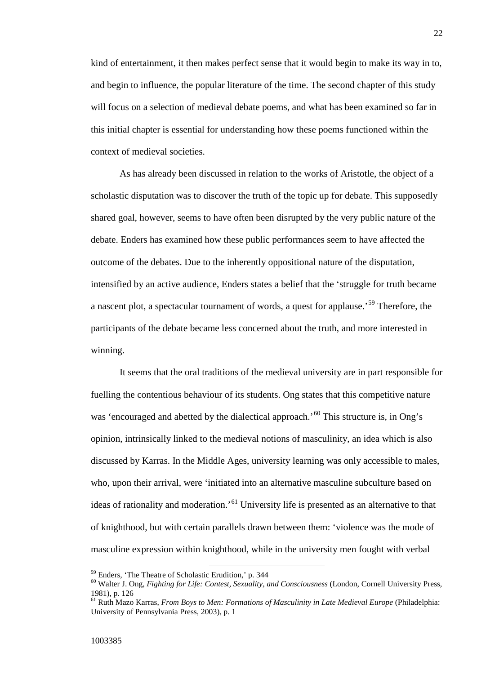kind of entertainment, it then makes perfect sense that it would begin to make its way in to, and begin to influence, the popular literature of the time. The second chapter of this study will focus on a selection of medieval debate poems, and what has been examined so far in this initial chapter is essential for understanding how these poems functioned within the context of medieval societies.

As has already been discussed in relation to the works of Aristotle, the object of a scholastic disputation was to discover the truth of the topic up for debate. This supposedly shared goal, however, seems to have often been disrupted by the very public nature of the debate. Enders has examined how these public performances seem to have affected the outcome of the debates. Due to the inherently oppositional nature of the disputation, intensified by an active audience, Enders states a belief that the 'struggle for truth became a nascent plot, a spectacular tournament of words, a quest for applause.<sup>[59](#page-24-0)</sup> Therefore, the participants of the debate became less concerned about the truth, and more interested in winning.

It seems that the oral traditions of the medieval university are in part responsible for fuelling the contentious behaviour of its students. Ong states that this competitive nature was 'encouraged and abetted by the dialectical approach.<sup>[60](#page-24-1)</sup> This structure is, in Ong's opinion, intrinsically linked to the medieval notions of masculinity, an idea which is also discussed by Karras. In the Middle Ages, university learning was only accessible to males, who, upon their arrival, were 'initiated into an alternative masculine subculture based on ideas of rationality and moderation.'[61](#page-24-2) University life is presented as an alternative to that of knighthood, but with certain parallels drawn between them: 'violence was the mode of masculine expression within knighthood, while in the university men fought with verbal

<span id="page-24-1"></span><span id="page-24-0"></span><sup>&</sup>lt;sup>59</sup> Enders, 'The Theatre of Scholastic Erudition,' p. 344<br><sup>60</sup> Walter J. Ong, *Fighting for Life: Contest, Sexuality, and Consciousness* (London, Cornell University Press, 1981), p. 126

<span id="page-24-2"></span><sup>61</sup> Ruth Mazo Karras, *From Boys to Men: Formations of Masculinity in Late Medieval Europe* (Philadelphia: University of Pennsylvania Press, 2003), p. 1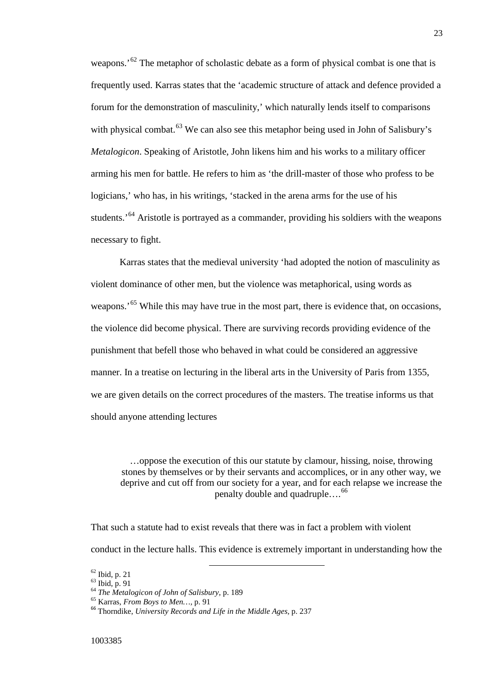weapons.<sup> $52$ </sup> The metaphor of scholastic debate as a form of physical combat is one that is frequently used. Karras states that the 'academic structure of attack and defence provided a forum for the demonstration of masculinity,' which naturally lends itself to comparisons with physical combat.<sup>[63](#page-25-1)</sup> We can also see this metaphor being used in John of Salisbury's *Metalogicon*. Speaking of Aristotle, John likens him and his works to a military officer arming his men for battle. He refers to him as 'the drill-master of those who profess to be logicians,' who has, in his writings, 'stacked in the arena arms for the use of his students.<sup>[64](#page-25-2)</sup> Aristotle is portrayed as a commander, providing his soldiers with the weapons necessary to fight.

Karras states that the medieval university 'had adopted the notion of masculinity as violent dominance of other men, but the violence was metaphorical, using words as weapons.<sup>'[65](#page-25-3)</sup> While this may have true in the most part, there is evidence that, on occasions, the violence did become physical. There are surviving records providing evidence of the punishment that befell those who behaved in what could be considered an aggressive manner. In a treatise on lecturing in the liberal arts in the University of Paris from 1355, we are given details on the correct procedures of the masters. The treatise informs us that should anyone attending lectures

…oppose the execution of this our statute by clamour, hissing, noise, throwing stones by themselves or by their servants and accomplices, or in any other way, we deprive and cut off from our society for a year, and for each relapse we increase the penalty double and quadruple....<sup>[66](#page-25-4)</sup>

That such a statute had to exist reveals that there was in fact a problem with violent conduct in the lecture halls. This evidence is extremely important in understanding how the

<span id="page-25-0"></span>

<span id="page-25-2"></span><span id="page-25-1"></span>

<span id="page-25-4"></span><span id="page-25-3"></span>

<sup>&</sup>lt;sup>62</sup> Ibid, p. 21<br><sup>63</sup> Ibid, p. 91<br><sup>64</sup> *The Metalogicon of John of Salisbury*, p. 189<br><sup>65</sup> Karras, *From Boys to Men*..., p. 91<br><sup>66</sup> Thorndike, *University Records and Life in the Middle Ages*, p. 237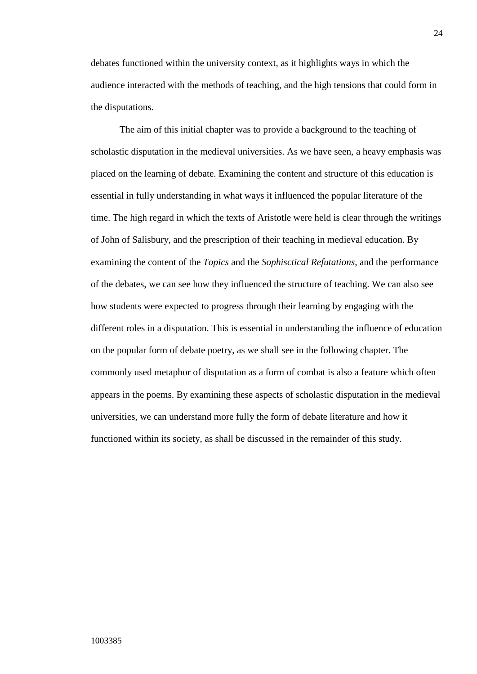debates functioned within the university context, as it highlights ways in which the audience interacted with the methods of teaching, and the high tensions that could form in the disputations.

The aim of this initial chapter was to provide a background to the teaching of scholastic disputation in the medieval universities. As we have seen, a heavy emphasis was placed on the learning of debate. Examining the content and structure of this education is essential in fully understanding in what ways it influenced the popular literature of the time. The high regard in which the texts of Aristotle were held is clear through the writings of John of Salisbury, and the prescription of their teaching in medieval education. By examining the content of the *Topics* and the *Sophisctical Refutations*, and the performance of the debates, we can see how they influenced the structure of teaching. We can also see how students were expected to progress through their learning by engaging with the different roles in a disputation. This is essential in understanding the influence of education on the popular form of debate poetry, as we shall see in the following chapter. The commonly used metaphor of disputation as a form of combat is also a feature which often appears in the poems. By examining these aspects of scholastic disputation in the medieval universities, we can understand more fully the form of debate literature and how it functioned within its society, as shall be discussed in the remainder of this study.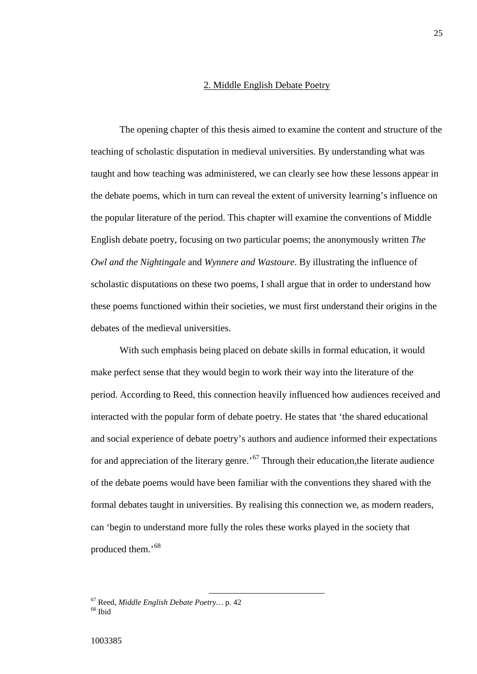## 2. Middle English Debate Poetry

The opening chapter of this thesis aimed to examine the content and structure of the teaching of scholastic disputation in medieval universities. By understanding what was taught and how teaching was administered, we can clearly see how these lessons appear in the debate poems, which in turn can reveal the extent of university learning's influence on the popular literature of the period. This chapter will examine the conventions of Middle English debate poetry, focusing on two particular poems; the anonymously written *The Owl and the Nightingale* and *Wynnere and Wastoure*. By illustrating the influence of scholastic disputations on these two poems, I shall argue that in order to understand how these poems functioned within their societies, we must first understand their origins in the debates of the medieval universities.

With such emphasis being placed on debate skills in formal education, it would make perfect sense that they would begin to work their way into the literature of the period. According to Reed, this connection heavily influenced how audiences received and interacted with the popular form of debate poetry. He states that 'the shared educational and social experience of debate poetry's authors and audience informed their expectations for and appreciation of the literary genre.<sup> $67$ </sup> Through their education, the literate audience of the debate poems would have been familiar with the conventions they shared with the formal debates taught in universities. By realising this connection we, as modern readers, can 'begin to understand more fully the roles these works played in the society that produced them.'[68](#page-27-1)

<span id="page-27-1"></span><span id="page-27-0"></span><sup>67</sup> Reed, *Middle English Debate Poetry…* p. 42 <sup>68</sup> Ibid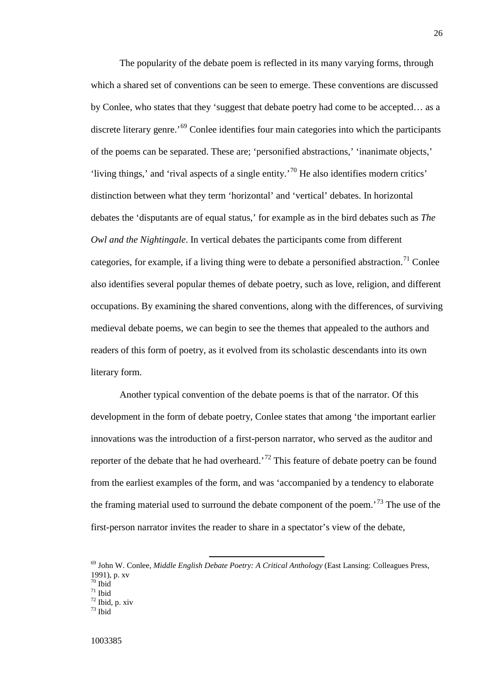The popularity of the debate poem is reflected in its many varying forms, through which a shared set of conventions can be seen to emerge. These conventions are discussed by Conlee, who states that they 'suggest that debate poetry had come to be accepted… as a discrete literary genre.<sup>[69](#page-28-0)</sup> Conlee identifies four main categories into which the participants of the poems can be separated. These are; 'personified abstractions,' 'inanimate objects,' 'living things,' and 'rival aspects of a single entity.'[70](#page-28-1) He also identifies modern critics' distinction between what they term 'horizontal' and 'vertical' debates. In horizontal debates the 'disputants are of equal status,' for example as in the bird debates such as *The Owl and the Nightingale*. In vertical debates the participants come from different categories, for example, if a living thing were to debate a personified abstraction.<sup>[71](#page-28-2)</sup> Conlee also identifies several popular themes of debate poetry, such as love, religion, and different occupations. By examining the shared conventions, along with the differences, of surviving medieval debate poems, we can begin to see the themes that appealed to the authors and readers of this form of poetry, as it evolved from its scholastic descendants into its own literary form.

Another typical convention of the debate poems is that of the narrator. Of this development in the form of debate poetry, Conlee states that among 'the important earlier innovations was the introduction of a first-person narrator, who served as the auditor and reporter of the debate that he had overheard.<sup>[72](#page-28-3)</sup> This feature of debate poetry can be found from the earliest examples of the form, and was 'accompanied by a tendency to elaborate the framing material used to surround the debate component of the poem.<sup>'[73](#page-28-4)</sup> The use of the first-person narrator invites the reader to share in a spectator's view of the debate,

<span id="page-28-0"></span><sup>69</sup> John W. Conlee, *Middle English Debate Poetry: A Critical Anthology* (East Lansing: Colleagues Press, 1991), p. xv

<span id="page-28-4"></span><span id="page-28-3"></span><span id="page-28-2"></span><span id="page-28-1"></span>

 $\frac{71}{72}$  Ibid, p. xiv<br> $\frac{72}{73}$  Ibid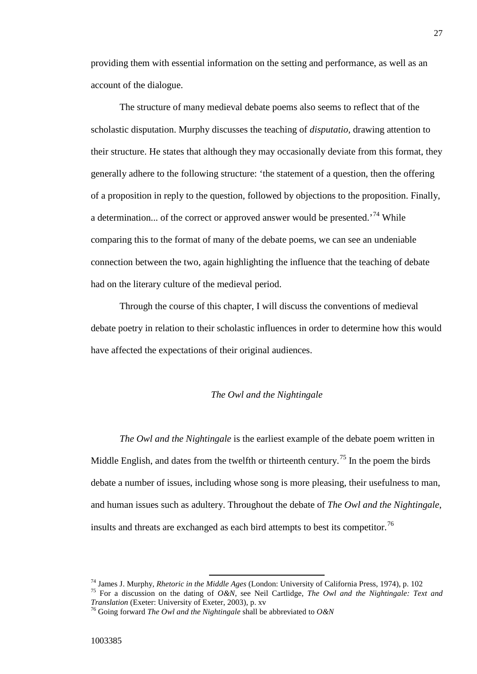providing them with essential information on the setting and performance, as well as an account of the dialogue.

The structure of many medieval debate poems also seems to reflect that of the scholastic disputation. Murphy discusses the teaching of *disputatio*, drawing attention to their structure. He states that although they may occasionally deviate from this format, they generally adhere to the following structure: 'the statement of a question, then the offering of a proposition in reply to the question, followed by objections to the proposition. Finally, a determination... of the correct or approved answer would be presented.<sup>[74](#page-29-0)</sup> While comparing this to the format of many of the debate poems, we can see an undeniable connection between the two, again highlighting the influence that the teaching of debate had on the literary culture of the medieval period.

Through the course of this chapter, I will discuss the conventions of medieval debate poetry in relation to their scholastic influences in order to determine how this would have affected the expectations of their original audiences.

# *The Owl and the Nightingale*

*The Owl and the Nightingale* is the earliest example of the debate poem written in Middle English, and dates from the twelfth or thirteenth century.<sup>[75](#page-29-1)</sup> In the poem the birds debate a number of issues, including whose song is more pleasing, their usefulness to man, and human issues such as adultery. Throughout the debate of *The Owl and the Nightingale*, insults and threats are exchanged as each bird attempts to best its competitor.<sup>[76](#page-29-2)</sup>

<span id="page-29-1"></span><span id="page-29-0"></span><sup>&</sup>lt;sup>74</sup> James J. Murphy, *Rhetoric in the Middle Ages* (London: University of California Press, 1974), p. 102<br><sup>75</sup> For a discussion on the dating of *O&N*, see Neil Cartlidge, *The Owl and the Nightingale: Text and*<br>*Translat* 

<span id="page-29-2"></span><sup>&</sup>lt;sup>76</sup> Going forward *The Owl and the Nightingale* shall be abbreviated to *O&N*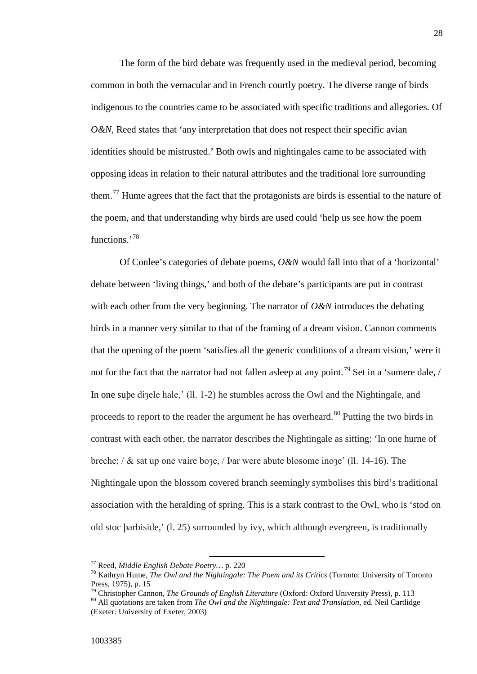The form of the bird debate was frequently used in the medieval period, becoming common in both the vernacular and in French courtly poetry. The diverse range of birds indigenous to the countries came to be associated with specific traditions and allegories. Of *O&N*, Reed states that 'any interpretation that does not respect their specific avian identities should be mistrusted.' Both owls and nightingales came to be associated with opposing ideas in relation to their natural attributes and the traditional lore surrounding them.[77](#page-30-0) Hume agrees that the fact that the protagonists are birds is essential to the nature of the poem, and that understanding why birds are used could 'help us see how the poem functions.'[78](#page-30-1)

Of Conlee's categories of debate poems, *O&N* would fall into that of a 'horizontal' debate between 'living things,' and both of the debate's participants are put in contrast with each other from the very beginning. The narrator of *O&N* introduces the debating birds in a manner very similar to that of the framing of a dream vision. Cannon comments that the opening of the poem 'satisfies all the generic conditions of a dream vision,' were it not for the fact that the narrator had not fallen asleep at any point.<sup>[79](#page-30-2)</sup> Set in a 'sumere dale, / In one sube dizele hale,' (11, 1-2) he stumbles across the Owl and the Nightingale, and proceeds to report to the reader the argument he has overheard.<sup>[80](#page-30-3)</sup> Putting the two birds in contrast with each other, the narrator describes the Nightingale as sitting: 'In one hurne of breche;  $\ell$  & sat up one vaire bo<sub>3</sub>e,  $\ell$  par were abute blosome ino<sub>3</sub>e' (ll. 14-16). The Nightingale upon the blossom covered branch seemingly symbolises this bird's traditional association with the heralding of spring. This is a stark contrast to the Owl, who is 'stod on old stoc þarbiside,' (l. 25) surrounded by ivy, which although evergreen, is traditionally

<span id="page-30-1"></span><span id="page-30-0"></span><sup>&</sup>lt;sup>77</sup> Reed, *Middle English Debate Poetry...* p. 220<br><sup>78</sup> Kathryn Hume, *The Owl and the Nightingale: The Poem and its Critics* (Toronto: University of Toronto Press, 1975), p. 15<br><sup>79</sup> Christopher Cannon. *The Grounds of English Literature* (Oxford: Oxford University Press). p. 113

<span id="page-30-3"></span><span id="page-30-2"></span><sup>&</sup>lt;sup>80</sup> All quotations are taken from *The Owl and the Nightingale: Text and Translation*, ed. Neil Cartlidge (Exeter: University of Exeter, 2003)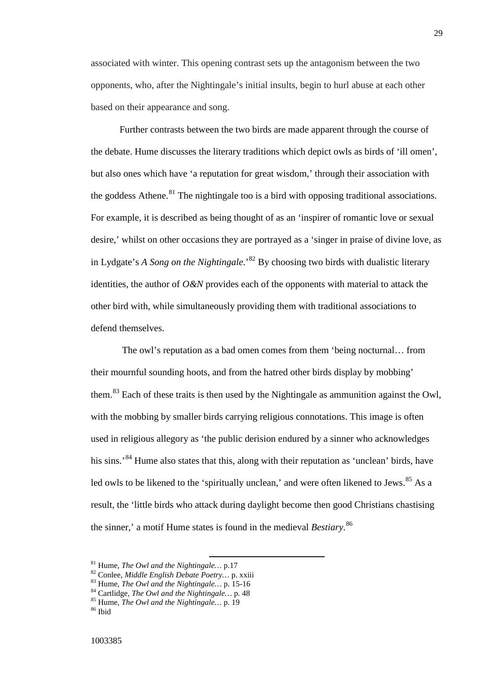associated with winter. This opening contrast sets up the antagonism between the two opponents, who, after the Nightingale's initial insults, begin to hurl abuse at each other based on their appearance and song.

Further contrasts between the two birds are made apparent through the course of the debate. Hume discusses the literary traditions which depict owls as birds of 'ill omen', but also ones which have 'a reputation for great wisdom,' through their association with the goddess Athene.<sup>[81](#page-31-0)</sup> The nightingale too is a bird with opposing traditional associations. For example, it is described as being thought of as an 'inspirer of romantic love or sexual desire,' whilst on other occasions they are portrayed as a 'singer in praise of divine love, as in Lydgate's *A Song on the Nightingale*.'[82](#page-31-1) By choosing two birds with dualistic literary identities, the author of *O&N* provides each of the opponents with material to attack the other bird with, while simultaneously providing them with traditional associations to defend themselves.

The owl's reputation as a bad omen comes from them 'being nocturnal… from their mournful sounding hoots, and from the hatred other birds display by mobbing' them.<sup>[83](#page-31-2)</sup> Each of these traits is then used by the Nightingale as ammunition against the Owl, with the mobbing by smaller birds carrying religious connotations. This image is often used in religious allegory as 'the public derision endured by a sinner who acknowledges his sins.<sup>[84](#page-31-3)</sup> Hume also states that this, along with their reputation as 'unclean' birds, have led owls to be likened to the 'spiritually unclean,' and were often likened to Jews.<sup>[85](#page-31-4)</sup> As a result, the 'little birds who attack during daylight become then good Christians chastising the sinner,' a motif Hume states is found in the medieval *Bestiary*. [86](#page-31-5)

<span id="page-31-1"></span><span id="page-31-0"></span><sup>&</sup>lt;sup>81</sup> Hume, *The Owl and the Nightingale*... p.17<br><sup>82</sup> Conlee, *Middle English Debate Poetry*... p. xxiii<br><sup>83</sup> Hume, *The Owl and the Nightingale*... p. 15-16<br><sup>84</sup> Cartlidge, *The Owl and the Nightingale*... p. 48<br><sup>85</sup> Hum

<span id="page-31-2"></span>

<span id="page-31-3"></span>

<span id="page-31-5"></span><span id="page-31-4"></span>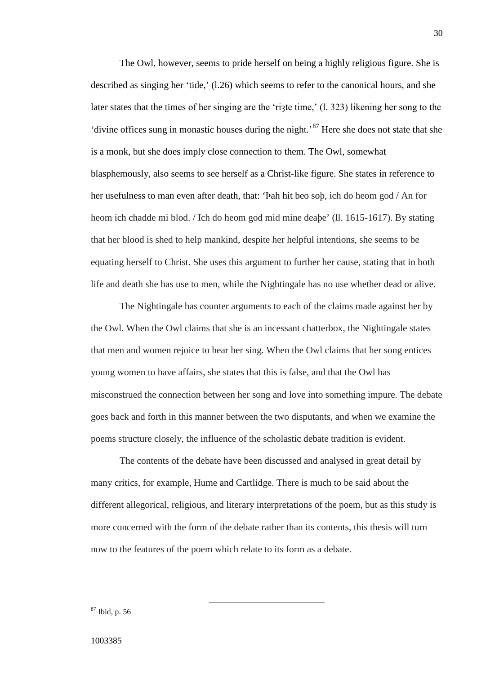The Owl, however, seems to pride herself on being a highly religious figure. She is described as singing her 'tide,' (l.26) which seems to refer to the canonical hours, and she later states that the times of her singing are the 'ri<sub>3</sub>te time,' (1, 323) likening her song to the 'divine offices sung in monastic houses during the night.'[87](#page-32-0) Here she does not state that she is a monk, but she does imply close connection to them. The Owl, somewhat blasphemously, also seems to see herself as a Christ-like figure. She states in reference to her usefulness to man even after death, that: 'Ϸah hit beo soþ, ich do heom god / An for heom ich chadde mi blod. / Ich do heom god mid mine deaþe' (ll. 1615-1617). By stating that her blood is shed to help mankind, despite her helpful intentions, she seems to be equating herself to Christ. She uses this argument to further her cause, stating that in both life and death she has use to men, while the Nightingale has no use whether dead or alive.

The Nightingale has counter arguments to each of the claims made against her by the Owl. When the Owl claims that she is an incessant chatterbox, the Nightingale states that men and women rejoice to hear her sing. When the Owl claims that her song entices young women to have affairs, she states that this is false, and that the Owl has misconstrued the connection between her song and love into something impure. The debate goes back and forth in this manner between the two disputants, and when we examine the poems structure closely, the influence of the scholastic debate tradition is evident.

The contents of the debate have been discussed and analysed in great detail by many critics, for example, Hume and Cartlidge. There is much to be said about the different allegorical, religious, and literary interpretations of the poem, but as this study is more concerned with the form of the debate rather than its contents, this thesis will turn now to the features of the poem which relate to its form as a debate.

<span id="page-32-0"></span><sup>87</sup> Ibid, p. 56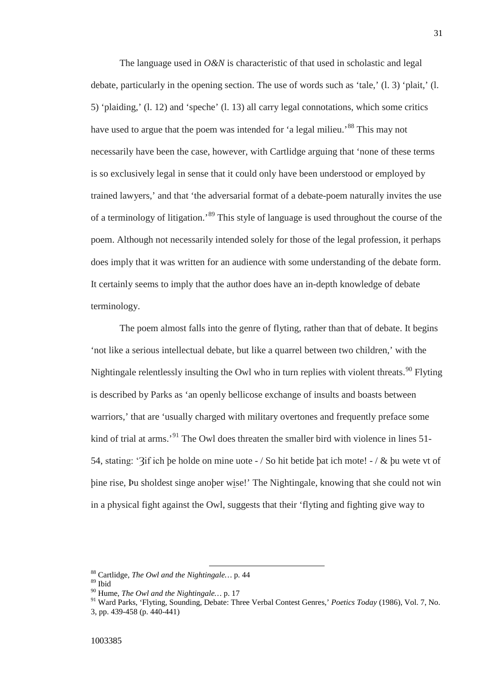The language used in *O&N* is characteristic of that used in scholastic and legal debate, particularly in the opening section. The use of words such as 'tale,' (l. 3) 'plait,' (l. 5) 'plaiding,' (l. 12) and 'speche' (l. 13) all carry legal connotations, which some critics have used to argue that the poem was intended for 'a legal milieu.<sup>[88](#page-33-0)</sup> This may not necessarily have been the case, however, with Cartlidge arguing that 'none of these terms is so exclusively legal in sense that it could only have been understood or employed by trained lawyers,' and that 'the adversarial format of a debate-poem naturally invites the use of a terminology of litigation.'[89](#page-33-1) This style of language is used throughout the course of the poem. Although not necessarily intended solely for those of the legal profession, it perhaps does imply that it was written for an audience with some understanding of the debate form. It certainly seems to imply that the author does have an in-depth knowledge of debate terminology.

The poem almost falls into the genre of flyting, rather than that of debate. It begins 'not like a serious intellectual debate, but like a quarrel between two children,' with the Nightingale relentlessly insulting the Owl who in turn replies with violent threats.<sup>[90](#page-33-2)</sup> Flyting is described by Parks as 'an openly bellicose exchange of insults and boasts between warriors,' that are 'usually charged with military overtones and frequently preface some kind of trial at arms.<sup>[91](#page-33-3)</sup> The Owl does threaten the smaller bird with violence in lines  $51$ -54, stating: ' $\Im$ if ich be holde on mine uote - / So hit betide bat ich mote! - / & bu wete vt of þine rise, Þu sholdest singe anoþer wise!' The Nightingale, knowing that she could not win in a physical fight against the Owl, suggests that their 'flyting and fighting give way to

<sup>88</sup> Cartlidge, *The Owl and the Nightingale…* p. 44

<span id="page-33-1"></span><span id="page-33-0"></span> $^{89}$  Ibid

<sup>90</sup> Hume, *The Owl and the Nightingale…* p. 17

<span id="page-33-3"></span><span id="page-33-2"></span><sup>91</sup> Ward Parks, 'Flyting, Sounding, Debate: Three Verbal Contest Genres,' *Poetics Today* (1986), Vol. 7, No.

<sup>3,</sup> pp. 439-458 (p. 440-441)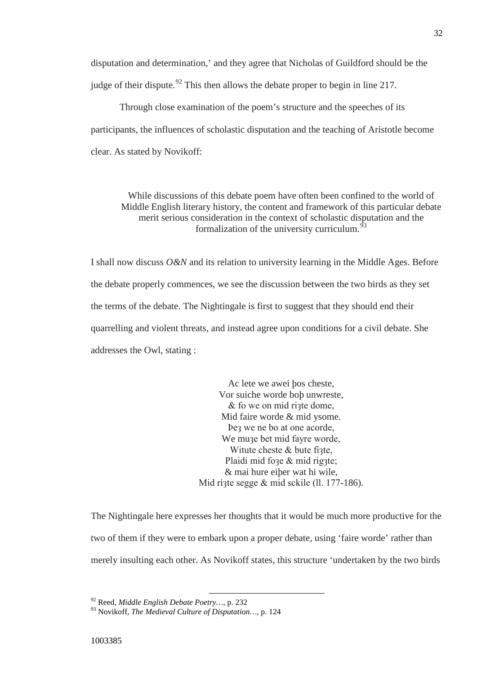disputation and determination,' and they agree that Nicholas of Guildford should be the judge of their dispute.<sup>[92](#page-34-0)</sup> This then allows the debate proper to begin in line 217.

Through close examination of the poem's structure and the speeches of its participants, the influences of scholastic disputation and the teaching of Aristotle become clear. As stated by Novikoff:

While discussions of this debate poem have often been confined to the world of Middle English literary history, the content and framework of this particular debate merit serious consideration in the context of scholastic disputation and the formalization of the university curriculum.<sup>[93](#page-34-1)</sup>

I shall now discuss *O&N* and its relation to university learning in the Middle Ages. Before the debate properly commences, we see the discussion between the two birds as they set the terms of the debate. The Nightingale is first to suggest that they should end their quarrelling and violent threats, and instead agree upon conditions for a civil debate. She addresses the Owl, stating :

> Ac lete we awei þos cheste, Vor suiche worde boþ unwreste, & fo we on mid riȝte dome, Mid faire worde & mid ysome. Þeȝ we ne bo at one acorde, We muze bet mid fayre worde, Witute cheste  $&$  bute figte, Plaidi mid foae & mid rigate; & mai hure eiþer wat hi wile, Mid ri<sub>3te segge & mid sckile (11. 177-186)</sub>.

The Nightingale here expresses her thoughts that it would be much more productive for the two of them if they were to embark upon a proper debate, using 'faire worde' rather than merely insulting each other. As Novikoff states, this structure 'undertaken by the two birds

<span id="page-34-0"></span><sup>92</sup> Reed, *Middle English Debate Poetry…,* p. 232

<span id="page-34-1"></span><sup>93</sup> Novikoff, *The Medieval Culture of Disputation…,* p. 124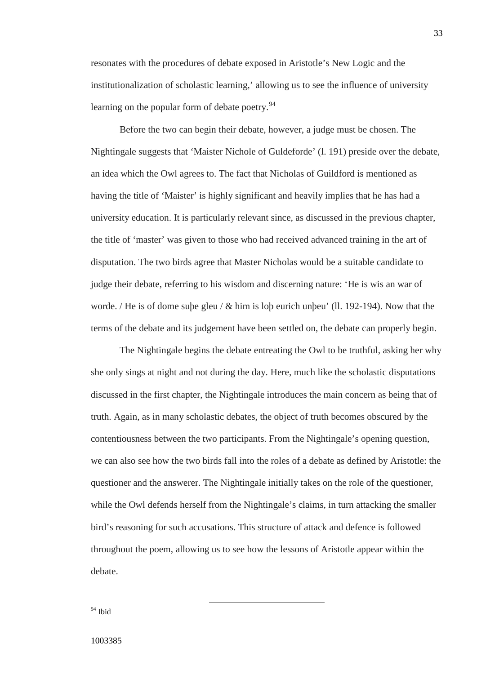resonates with the procedures of debate exposed in Aristotle's New Logic and the institutionalization of scholastic learning,' allowing us to see the influence of university learning on the popular form of debate poetry.<sup>[94](#page-35-0)</sup>

Before the two can begin their debate, however, a judge must be chosen. The Nightingale suggests that 'Maister Nichole of Guldeforde' (l. 191) preside over the debate, an idea which the Owl agrees to. The fact that Nicholas of Guildford is mentioned as having the title of 'Maister' is highly significant and heavily implies that he has had a university education. It is particularly relevant since, as discussed in the previous chapter, the title of 'master' was given to those who had received advanced training in the art of disputation. The two birds agree that Master Nicholas would be a suitable candidate to judge their debate, referring to his wisdom and discerning nature: 'He is wis an war of worde. / He is of dome suþe gleu / & him is loþ eurich unþeu' (ll. 192-194). Now that the terms of the debate and its judgement have been settled on, the debate can properly begin.

The Nightingale begins the debate entreating the Owl to be truthful, asking her why she only sings at night and not during the day. Here, much like the scholastic disputations discussed in the first chapter, the Nightingale introduces the main concern as being that of truth. Again, as in many scholastic debates, the object of truth becomes obscured by the contentiousness between the two participants. From the Nightingale's opening question, we can also see how the two birds fall into the roles of a debate as defined by Aristotle: the questioner and the answerer. The Nightingale initially takes on the role of the questioner, while the Owl defends herself from the Nightingale's claims, in turn attacking the smaller bird's reasoning for such accusations. This structure of attack and defence is followed throughout the poem, allowing us to see how the lessons of Aristotle appear within the debate.

<span id="page-35-0"></span><sup>94</sup> Ibid

1003385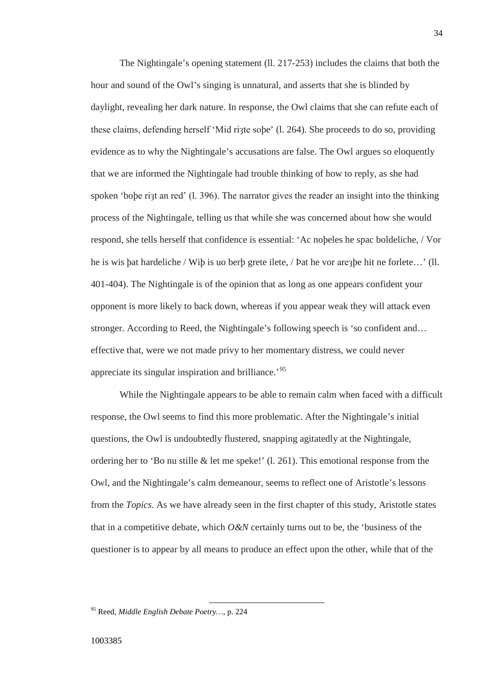The Nightingale's opening statement (ll. 217-253) includes the claims that both the hour and sound of the Owl's singing is unnatural, and asserts that she is blinded by daylight, revealing her dark nature. In response, the Owl claims that she can refute each of these claims, defending herself 'Mid ri<sub>3te sope' (l. 264)</sub>. She proceeds to do so, providing evidence as to why the Nightingale's accusations are false. The Owl argues so eloquently that we are informed the Nightingale had trouble thinking of how to reply, as she had spoken 'boþe ri3t an red' (l. 396). The narrator gives the reader an insight into the thinking process of the Nightingale, telling us that while she was concerned about how she would respond, she tells herself that confidence is essential: 'Ac noþeles he spac boldeliche, / Vor he is wis bat hardeliche / Wib is uo berb grete ilete, / Þat he vor are $\alpha$ be hit ne forlete...' (ll. 401-404). The Nightingale is of the opinion that as long as one appears confident your opponent is more likely to back down, whereas if you appear weak they will attack even stronger. According to Reed, the Nightingale's following speech is 'so confident and… effective that, were we not made privy to her momentary distress, we could never appreciate its singular inspiration and brilliance.'[95](#page-36-0)

While the Nightingale appears to be able to remain calm when faced with a difficult response, the Owl seems to find this more problematic. After the Nightingale's initial questions, the Owl is undoubtedly flustered, snapping agitatedly at the Nightingale, ordering her to 'Bo nu stille & let me speke!' (l. 261). This emotional response from the Owl, and the Nightingale's calm demeanour, seems to reflect one of Aristotle's lessons from the *Topics*. As we have already seen in the first chapter of this study, Aristotle states that in a competitive debate, which *O&N* certainly turns out to be, the 'business of the questioner is to appear by all means to produce an effect upon the other, while that of the

<span id="page-36-0"></span><sup>95</sup> Reed, *Middle English Debate Poetry…,* p. 224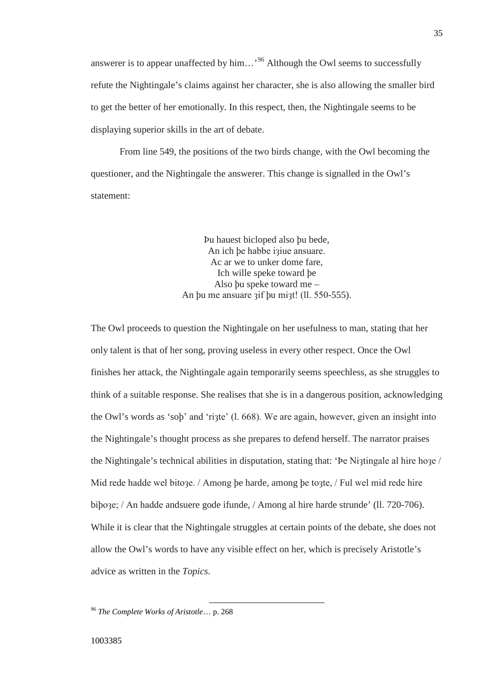answerer is to appear unaffected by him...<sup>[96](#page-37-0)</sup> Although the Owl seems to successfully refute the Nightingale's claims against her character, she is also allowing the smaller bird to get the better of her emotionally. In this respect, then, the Nightingale seems to be displaying superior skills in the art of debate.

From line 549, the positions of the two birds change, with the Owl becoming the questioner, and the Nightingale the answerer. This change is signalled in the Owl's statement:

> Þu hauest bicloped also þu bede, An ich be habbe iaiue ansuare. Ac ar we to unker dome fare, Ich wille speke toward þe Also þu speke toward me – An þu me ansuare aif þu miat! (ll. 550-555).

The Owl proceeds to question the Nightingale on her usefulness to man, stating that her only talent is that of her song, proving useless in every other respect. Once the Owl finishes her attack, the Nightingale again temporarily seems speechless, as she struggles to think of a suitable response. She realises that she is in a dangerous position, acknowledging the Owl's words as 'sob' and 'ri<sub>3</sub>te' (l. 668). We are again, however, given an insight into the Nightingale's thought process as she prepares to defend herself. The narrator praises the Nightingale's technical abilities in disputation, stating that: 'Þe Niαtingale al hire ho∢e / Mid rede hadde wel bitoze. / Among þe harde, among þe tozte, / Ful wel mid rede hire biþoȝe; / An hadde andsuere gode ifunde, / Among al hire harde strunde' (ll. 720-706). While it is clear that the Nightingale struggles at certain points of the debate, she does not allow the Owl's words to have any visible effect on her, which is precisely Aristotle's advice as written in the *Topics*.

<span id="page-37-0"></span><sup>96</sup> *The Complete Works of Aristotle*… p. 268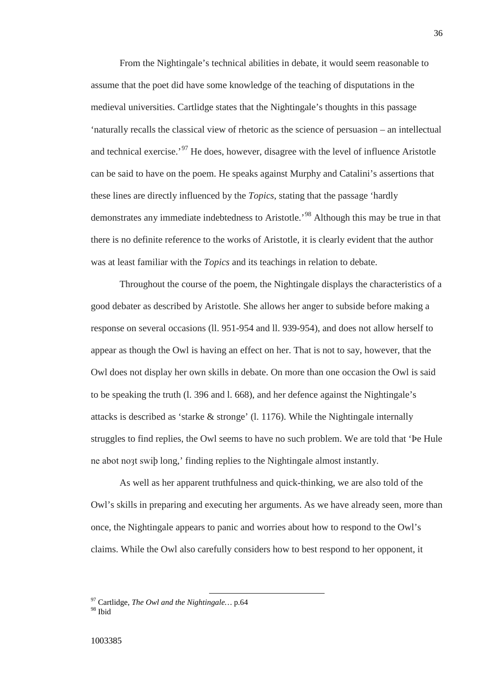From the Nightingale's technical abilities in debate, it would seem reasonable to assume that the poet did have some knowledge of the teaching of disputations in the medieval universities. Cartlidge states that the Nightingale's thoughts in this passage 'naturally recalls the classical view of rhetoric as the science of persuasion – an intellectual and technical exercise.<sup>[97](#page-38-0)</sup> He does, however, disagree with the level of influence Aristotle can be said to have on the poem. He speaks against Murphy and Catalini's assertions that these lines are directly influenced by the *Topics*, stating that the passage 'hardly demonstrates any immediate indebtedness to Aristotle.'[98](#page-38-1) Although this may be true in that there is no definite reference to the works of Aristotle, it is clearly evident that the author was at least familiar with the *Topics* and its teachings in relation to debate.

Throughout the course of the poem, the Nightingale displays the characteristics of a good debater as described by Aristotle. She allows her anger to subside before making a response on several occasions (ll. 951-954 and ll. 939-954), and does not allow herself to appear as though the Owl is having an effect on her. That is not to say, however, that the Owl does not display her own skills in debate. On more than one occasion the Owl is said to be speaking the truth (l. 396 and l. 668), and her defence against the Nightingale's attacks is described as 'starke & stronge' (l. 1176). While the Nightingale internally struggles to find replies, the Owl seems to have no such problem. We are told that 'Þe Hule ne abot noȝt swiþ long,' finding replies to the Nightingale almost instantly.

As well as her apparent truthfulness and quick-thinking, we are also told of the Owl's skills in preparing and executing her arguments. As we have already seen, more than once, the Nightingale appears to panic and worries about how to respond to the Owl's claims. While the Owl also carefully considers how to best respond to her opponent, it

<span id="page-38-1"></span><span id="page-38-0"></span><sup>97</sup> Cartlidge, *The Owl and the Nightingale…* p.64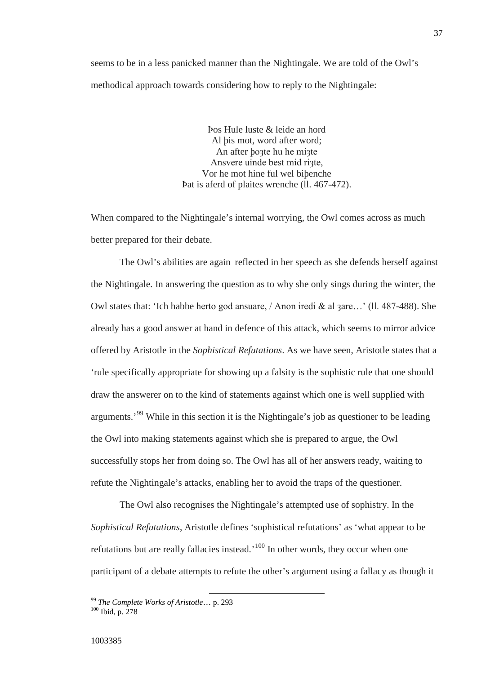seems to be in a less panicked manner than the Nightingale. We are told of the Owl's methodical approach towards considering how to reply to the Nightingale:

> Ϸos Hule luste & leide an hord Al þis mot, word after word; An after bo<sub>3</sub>te hu he mi<sub>3te</sub> Ansvere uinde best mid ri<sub>3te</sub>, Vor he mot hine ful wel biþenche Ϸat is aferd of plaites wrenche (ll. 467-472).

When compared to the Nightingale's internal worrying, the Owl comes across as much better prepared for their debate.

The Owl's abilities are again reflected in her speech as she defends herself against the Nightingale. In answering the question as to why she only sings during the winter, the Owl states that: 'Ich habbe herto god ansuare, / Anon iredi & al ȝare…' (ll. 487-488). She already has a good answer at hand in defence of this attack, which seems to mirror advice offered by Aristotle in the *Sophistical Refutations*. As we have seen, Aristotle states that a 'rule specifically appropriate for showing up a falsity is the sophistic rule that one should draw the answerer on to the kind of statements against which one is well supplied with arguments.<sup>[99](#page-39-0)</sup> While in this section it is the Nightingale's job as questioner to be leading the Owl into making statements against which she is prepared to argue, the Owl successfully stops her from doing so. The Owl has all of her answers ready, waiting to refute the Nightingale's attacks, enabling her to avoid the traps of the questioner.

The Owl also recognises the Nightingale's attempted use of sophistry. In the *Sophistical Refutations*, Aristotle defines 'sophistical refutations' as 'what appear to be refutations but are really fallacies instead.'[100](#page-39-1) In other words, they occur when one participant of a debate attempts to refute the other's argument using a fallacy as though it

<span id="page-39-1"></span><span id="page-39-0"></span><sup>99</sup> *The Complete Works of Aristotle*… p. 293 <sup>100</sup> Ibid, p. 278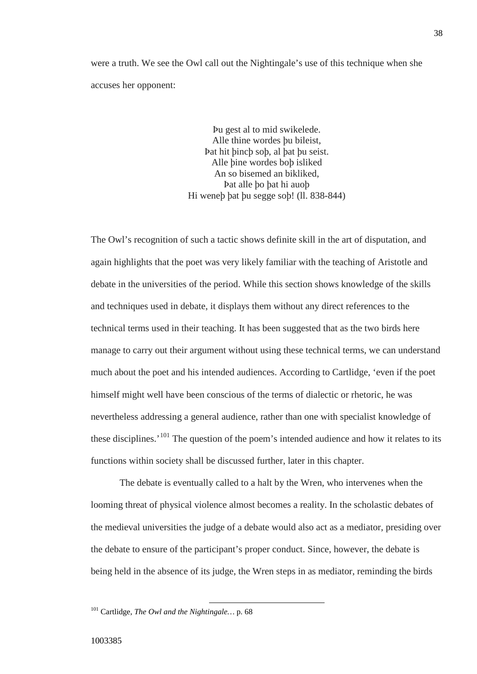were a truth. We see the Owl call out the Nightingale's use of this technique when she accuses her opponent:

> Ϸu gest al to mid swikelede. Alle thine wordes þu bileist, Ϸat hit þincþ soþ, al þat þu seist. Alle þine wordes boþ isliked An so bisemed an bikliked, Ϸat alle þo þat hi auoþ Hi weneþ þat þu segge soþ! (ll. 838-844)

The Owl's recognition of such a tactic shows definite skill in the art of disputation, and again highlights that the poet was very likely familiar with the teaching of Aristotle and debate in the universities of the period. While this section shows knowledge of the skills and techniques used in debate, it displays them without any direct references to the technical terms used in their teaching. It has been suggested that as the two birds here manage to carry out their argument without using these technical terms, we can understand much about the poet and his intended audiences. According to Cartlidge, 'even if the poet himself might well have been conscious of the terms of dialectic or rhetoric, he was nevertheless addressing a general audience, rather than one with specialist knowledge of these disciplines.<sup>'[101](#page-40-0)</sup> The question of the poem's intended audience and how it relates to its functions within society shall be discussed further, later in this chapter.

The debate is eventually called to a halt by the Wren, who intervenes when the looming threat of physical violence almost becomes a reality. In the scholastic debates of the medieval universities the judge of a debate would also act as a mediator, presiding over the debate to ensure of the participant's proper conduct. Since, however, the debate is being held in the absence of its judge, the Wren steps in as mediator, reminding the birds

<span id="page-40-0"></span><sup>101</sup> Cartlidge, *The Owl and the Nightingale…* p. 68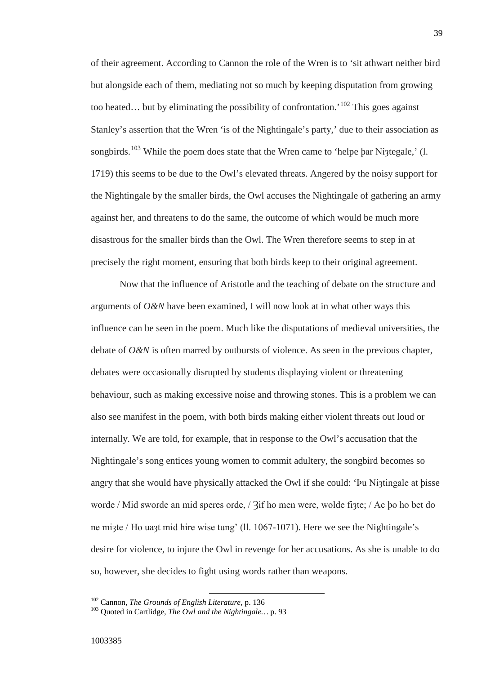of their agreement. According to Cannon the role of the Wren is to 'sit athwart neither bird but alongside each of them, mediating not so much by keeping disputation from growing too heated... but by eliminating the possibility of confrontation.<sup>'[102](#page-41-0)</sup> This goes against Stanley's assertion that the Wren 'is of the Nightingale's party,' due to their association as songbirds.<sup>[103](#page-41-1)</sup> While the poem does state that the Wren came to 'helpe þar Ni3tegale,' (l. 1719) this seems to be due to the Owl's elevated threats. Angered by the noisy support for the Nightingale by the smaller birds, the Owl accuses the Nightingale of gathering an army against her, and threatens to do the same, the outcome of which would be much more disastrous for the smaller birds than the Owl. The Wren therefore seems to step in at precisely the right moment, ensuring that both birds keep to their original agreement.

Now that the influence of Aristotle and the teaching of debate on the structure and arguments of *O&N* have been examined, I will now look at in what other ways this influence can be seen in the poem. Much like the disputations of medieval universities, the debate of *O&N* is often marred by outbursts of violence. As seen in the previous chapter, debates were occasionally disrupted by students displaying violent or threatening behaviour, such as making excessive noise and throwing stones. This is a problem we can also see manifest in the poem, with both birds making either violent threats out loud or internally. We are told, for example, that in response to the Owl's accusation that the Nightingale's song entices young women to commit adultery, the songbird becomes so angry that she would have physically attacked the Owl if she could: 'Ϸu Niȝtingale at þisse worde / Mid sworde an mid speres orde, /  $\overline{3}$ if ho men were, wolde fi $\overline{3}$ te; / Ac þo ho bet do ne mizte / Ho uazt mid hire wise tung' (ll. 1067-1071). Here we see the Nightingale's desire for violence, to injure the Owl in revenge for her accusations. As she is unable to do so, however, she decides to fight using words rather than weapons.

<span id="page-41-1"></span><span id="page-41-0"></span><sup>&</sup>lt;sup>102</sup> Cannon, *The Grounds of English Literature*, p. 136<br><sup>103</sup> Ouoted in Cartlidge, *The Owl and the Nightingale*... p. 93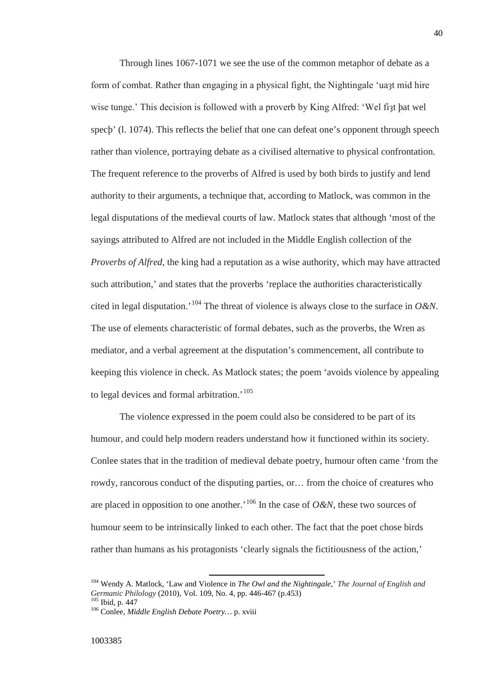Through lines 1067-1071 we see the use of the common metaphor of debate as a form of combat. Rather than engaging in a physical fight, the Nightingale 'uand hire wise tunge.' This decision is followed with a proverb by King Alfred: 'Wel fingt bat wel specþ' (l. 1074). This reflects the belief that one can defeat one's opponent through speech rather than violence, portraying debate as a civilised alternative to physical confrontation. The frequent reference to the proverbs of Alfred is used by both birds to justify and lend authority to their arguments, a technique that, according to Matlock, was common in the legal disputations of the medieval courts of law. Matlock states that although 'most of the sayings attributed to Alfred are not included in the Middle English collection of the *Proverbs of Alfred*, the king had a reputation as a wise authority, which may have attracted such attribution,' and states that the proverbs 'replace the authorities characteristically cited in legal disputation.<sup>'[104](#page-42-0)</sup> The threat of violence is always close to the surface in  $O\&N$ . The use of elements characteristic of formal debates, such as the proverbs, the Wren as mediator, and a verbal agreement at the disputation's commencement, all contribute to keeping this violence in check. As Matlock states; the poem 'avoids violence by appealing to legal devices and formal arbitration.'<sup>[105](#page-42-1)</sup>

The violence expressed in the poem could also be considered to be part of its humour, and could help modern readers understand how it functioned within its society. Conlee states that in the tradition of medieval debate poetry, humour often came 'from the rowdy, rancorous conduct of the disputing parties, or… from the choice of creatures who are placed in opposition to one another.<sup>'[106](#page-42-2)</sup> In the case of  $O\&N$ , these two sources of humour seem to be intrinsically linked to each other. The fact that the poet chose birds rather than humans as his protagonists 'clearly signals the fictitiousness of the action,'

<span id="page-42-1"></span><span id="page-42-0"></span><sup>104</sup> Wendy A. Matlock, 'Law and Violence in *The Owl and the Nightingale*,' *The Journal of English and Germanic Philology* (2010), Vol. 109, No. 4, pp. 446-467 (p.453)<sup>105</sup> Ibid, p. 447<br><sup>105</sup> Conlee, *Middle English Debate Poetry*... p. xviii

<span id="page-42-2"></span>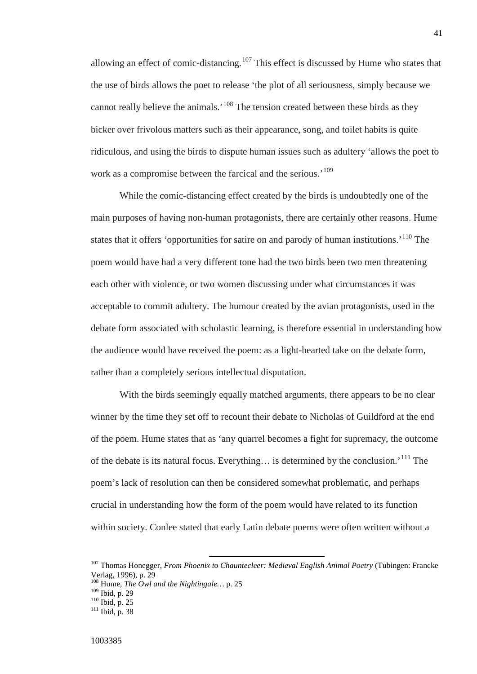allowing an effect of comic-distancing.<sup>[107](#page-43-0)</sup> This effect is discussed by Hume who states that the use of birds allows the poet to release 'the plot of all seriousness, simply because we cannot really believe the animals.<sup>'[108](#page-43-1)</sup> The tension created between these birds as they bicker over frivolous matters such as their appearance, song, and toilet habits is quite ridiculous, and using the birds to dispute human issues such as adultery 'allows the poet to work as a compromise between the farcical and the serious.<sup>'[109](#page-43-2)</sup>

While the comic-distancing effect created by the birds is undoubtedly one of the main purposes of having non-human protagonists, there are certainly other reasons. Hume states that it offers 'opportunities for satire on and parody of human institutions.<sup>'[110](#page-43-3)</sup> The poem would have had a very different tone had the two birds been two men threatening each other with violence, or two women discussing under what circumstances it was acceptable to commit adultery. The humour created by the avian protagonists, used in the debate form associated with scholastic learning, is therefore essential in understanding how the audience would have received the poem: as a light-hearted take on the debate form, rather than a completely serious intellectual disputation.

With the birds seemingly equally matched arguments, there appears to be no clear winner by the time they set off to recount their debate to Nicholas of Guildford at the end of the poem. Hume states that as 'any quarrel becomes a fight for supremacy, the outcome of the debate is its natural focus. Everything… is determined by the conclusion.<sup>'[111](#page-43-4)</sup> The poem's lack of resolution can then be considered somewhat problematic, and perhaps crucial in understanding how the form of the poem would have related to its function within society. Conlee stated that early Latin debate poems were often written without a

<span id="page-43-0"></span><sup>107</sup> Thomas Honegger, *From Phoenix to Chauntecleer: Medieval English Animal Poetry* (Tubingen: Francke Verlag, 1996), p. 29

<span id="page-43-1"></span><sup>108</sup> Hume, *The Owl and the Nightingale…* p. 25

<span id="page-43-4"></span><span id="page-43-3"></span>

<span id="page-43-2"></span> $\frac{109}{110}$  Ibid, p. 29<br> $\frac{110}{111}$  Ibid, p. 38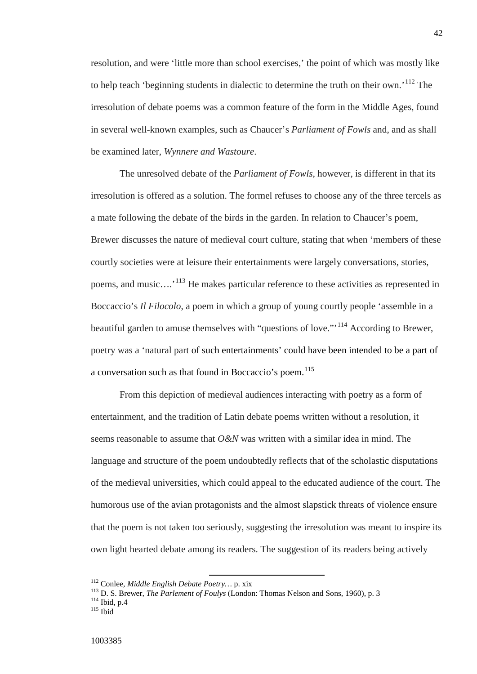resolution, and were 'little more than school exercises,' the point of which was mostly like to help teach 'beginning students in dialectic to determine the truth on their own.<sup>[112](#page-44-0)</sup> The irresolution of debate poems was a common feature of the form in the Middle Ages, found in several well-known examples, such as Chaucer's *Parliament of Fowls* and, and as shall be examined later, *Wynnere and Wastoure*.

The unresolved debate of the *Parliament of Fowls*, however, is different in that its irresolution is offered as a solution. The formel refuses to choose any of the three tercels as a mate following the debate of the birds in the garden. In relation to Chaucer's poem, Brewer discusses the nature of medieval court culture, stating that when 'members of these courtly societies were at leisure their entertainments were largely conversations, stories, poems, and music….'[113](#page-44-1) He makes particular reference to these activities as represented in Boccaccio's *Il Filocolo*, a poem in which a group of young courtly people 'assemble in a beautiful garden to amuse themselves with "questions of love."<sup>[114](#page-44-2)</sup> According to Brewer, poetry was a 'natural part of such entertainments' could have been intended to be a part of a conversation such as that found in Boccaccio's poem.<sup>[115](#page-44-3)</sup>

From this depiction of medieval audiences interacting with poetry as a form of entertainment, and the tradition of Latin debate poems written without a resolution, it seems reasonable to assume that *O&N* was written with a similar idea in mind. The language and structure of the poem undoubtedly reflects that of the scholastic disputations of the medieval universities, which could appeal to the educated audience of the court. The humorous use of the avian protagonists and the almost slapstick threats of violence ensure that the poem is not taken too seriously, suggesting the irresolution was meant to inspire its own light hearted debate among its readers. The suggestion of its readers being actively

<span id="page-44-1"></span><span id="page-44-0"></span><sup>112</sup> Conlee, *Middle English Debate Poetry*... p. xix 113 D. S. Brewer, *The Parlement of Foulys* (London: Thomas Nelson and Sons, 1960), p. 3 114 Ibid, p.4 115 Ibid.

<span id="page-44-3"></span><span id="page-44-2"></span>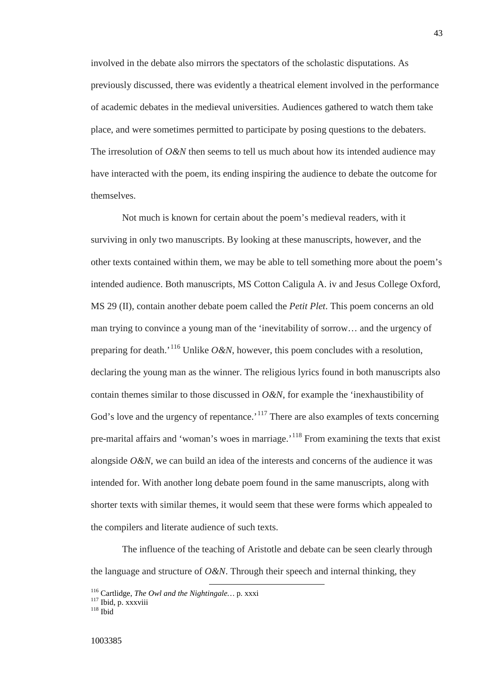involved in the debate also mirrors the spectators of the scholastic disputations. As previously discussed, there was evidently a theatrical element involved in the performance of academic debates in the medieval universities. Audiences gathered to watch them take place, and were sometimes permitted to participate by posing questions to the debaters. The irresolution of *O&N* then seems to tell us much about how its intended audience may have interacted with the poem, its ending inspiring the audience to debate the outcome for themselves.

Not much is known for certain about the poem's medieval readers, with it surviving in only two manuscripts. By looking at these manuscripts, however, and the other texts contained within them, we may be able to tell something more about the poem's intended audience. Both manuscripts, MS Cotton Caligula A. iv and Jesus College Oxford, MS 29 (II), contain another debate poem called the *Petit Plet*. This poem concerns an old man trying to convince a young man of the 'inevitability of sorrow… and the urgency of preparing for death.<sup>'[116](#page-45-0)</sup> Unlike  $O\&N$ , however, this poem concludes with a resolution, declaring the young man as the winner. The religious lyrics found in both manuscripts also contain themes similar to those discussed in *O&N*, for example the 'inexhaustibility of God's love and the urgency of repentance.<sup>[117](#page-45-1)</sup> There are also examples of texts concerning pre-marital affairs and 'woman's woes in marriage.<sup>'[118](#page-45-2)</sup> From examining the texts that exist alongside  $O\&N$ , we can build an idea of the interests and concerns of the audience it was intended for. With another long debate poem found in the same manuscripts, along with shorter texts with similar themes, it would seem that these were forms which appealed to the compilers and literate audience of such texts.

The influence of the teaching of Aristotle and debate can be seen clearly through the language and structure of *O&N*. Through their speech and internal thinking, they

<span id="page-45-0"></span><sup>&</sup>lt;sup>116</sup> Cartlidge, *The Owl and the Nightingale* ... p. xxxi<br><sup>117</sup> Ibid, p. xxxviii <sup>118</sup> Ibid

<span id="page-45-2"></span><span id="page-45-1"></span>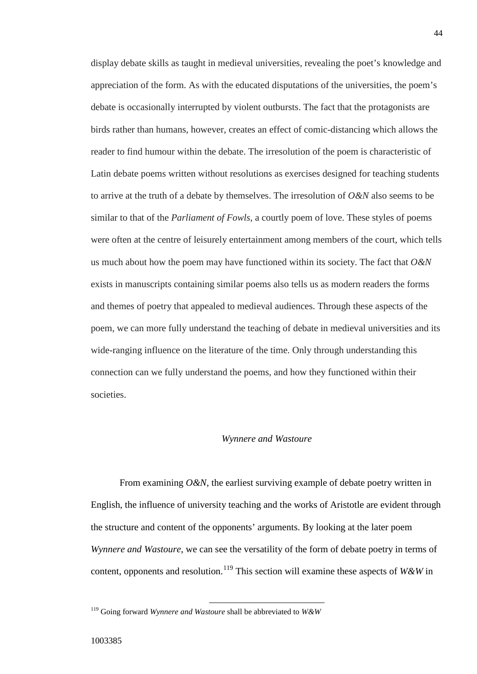display debate skills as taught in medieval universities, revealing the poet's knowledge and appreciation of the form. As with the educated disputations of the universities, the poem's debate is occasionally interrupted by violent outbursts. The fact that the protagonists are birds rather than humans, however, creates an effect of comic-distancing which allows the reader to find humour within the debate. The irresolution of the poem is characteristic of Latin debate poems written without resolutions as exercises designed for teaching students to arrive at the truth of a debate by themselves. The irresolution of *O&N* also seems to be similar to that of the *Parliament of Fowls*, a courtly poem of love. These styles of poems were often at the centre of leisurely entertainment among members of the court, which tells us much about how the poem may have functioned within its society. The fact that *O&N* exists in manuscripts containing similar poems also tells us as modern readers the forms and themes of poetry that appealed to medieval audiences. Through these aspects of the poem, we can more fully understand the teaching of debate in medieval universities and its wide-ranging influence on the literature of the time. Only through understanding this connection can we fully understand the poems, and how they functioned within their societies.

## *Wynnere and Wastoure*

From examining *O&N*, the earliest surviving example of debate poetry written in English, the influence of university teaching and the works of Aristotle are evident through the structure and content of the opponents' arguments. By looking at the later poem *Wynnere and Wastoure*, we can see the versatility of the form of debate poetry in terms of content, opponents and resolution.<sup>[119](#page-46-0)</sup> This section will examine these aspects of  $W\&W$  in

<span id="page-46-0"></span><sup>119</sup> Going forward *Wynnere and Wastoure* shall be abbreviated to *W&W*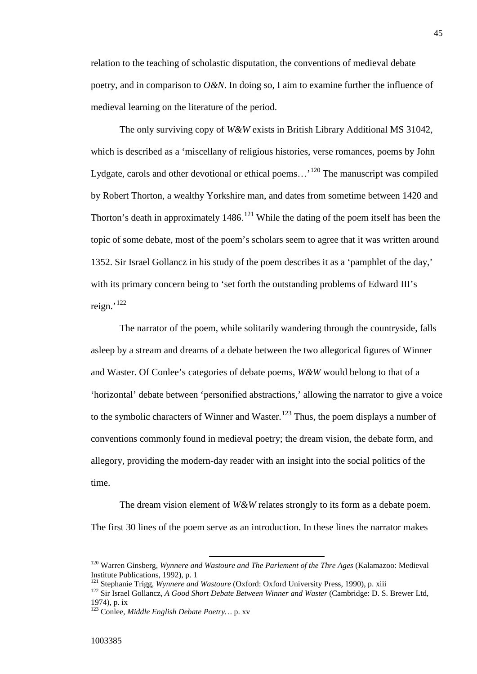relation to the teaching of scholastic disputation, the conventions of medieval debate poetry, and in comparison to *O&N*. In doing so, I aim to examine further the influence of medieval learning on the literature of the period.

The only surviving copy of *W&W* exists in British Library Additional MS 31042, which is described as a 'miscellany of religious histories, verse romances, poems by John Lydgate, carols and other devotional or ethical poems...<sup>[120](#page-47-0)</sup> The manuscript was compiled by Robert Thorton, a wealthy Yorkshire man, and dates from sometime between 1420 and Thorton's death in approximately  $1486$ <sup>[121](#page-47-1)</sup> While the dating of the poem itself has been the topic of some debate, most of the poem's scholars seem to agree that it was written around 1352. Sir Israel Gollancz in his study of the poem describes it as a 'pamphlet of the day,' with its primary concern being to 'set forth the outstanding problems of Edward III's reign.'[122](#page-47-2)

The narrator of the poem, while solitarily wandering through the countryside, falls asleep by a stream and dreams of a debate between the two allegorical figures of Winner and Waster. Of Conlee's categories of debate poems, *W&W* would belong to that of a 'horizontal' debate between 'personified abstractions,' allowing the narrator to give a voice to the symbolic characters of Winner and Waster.<sup>[123](#page-47-3)</sup> Thus, the poem displays a number of conventions commonly found in medieval poetry; the dream vision, the debate form, and allegory, providing the modern-day reader with an insight into the social politics of the time.

The dream vision element of *W&W* relates strongly to its form as a debate poem. The first 30 lines of the poem serve as an introduction. In these lines the narrator makes

<span id="page-47-0"></span><sup>120</sup> Warren Ginsberg, *Wynnere and Wastoure and The Parlement of the Thre Ages* (Kalamazoo: Medieval Institute Publications, 1992), p. 1<br><sup>121</sup> Stephanie Trigg, *Wynnere and Wastoure* (Oxford: Oxford University Press, 1990), p. xiii

<span id="page-47-2"></span><span id="page-47-1"></span><sup>&</sup>lt;sup>122</sup> Sir Israel Gollancz, *A Good Short Debate Between Winner and Waster* (Cambridge: D. S. Brewer Ltd, 1974), p. ix

<span id="page-47-3"></span><sup>123</sup> Conlee, *Middle English Debate Poetry…* p. xv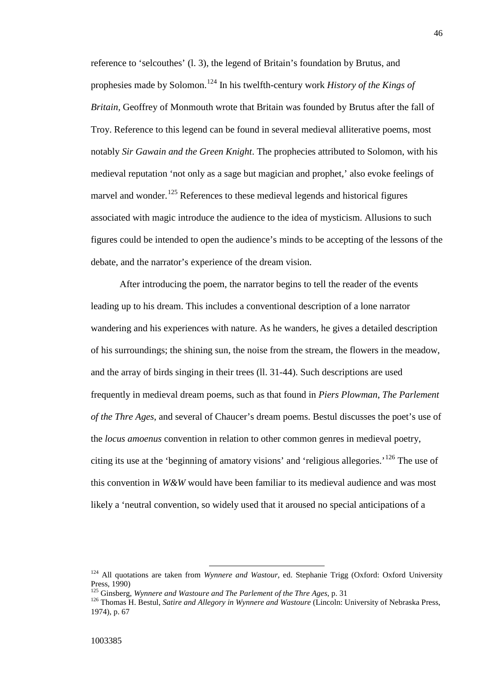reference to 'selcouthes' (l. 3), the legend of Britain's foundation by Brutus, and prophesies made by Solomon.[124](#page-48-0) In his twelfth-century work *History of the Kings of Britain,* Geoffrey of Monmouth wrote that Britain was founded by Brutus after the fall of Troy. Reference to this legend can be found in several medieval alliterative poems, most notably *Sir Gawain and the Green Knight*. The prophecies attributed to Solomon, with his medieval reputation 'not only as a sage but magician and prophet,' also evoke feelings of marvel and wonder.<sup>[125](#page-48-1)</sup> References to these medieval legends and historical figures associated with magic introduce the audience to the idea of mysticism. Allusions to such figures could be intended to open the audience's minds to be accepting of the lessons of the debate, and the narrator's experience of the dream vision.

After introducing the poem, the narrator begins to tell the reader of the events leading up to his dream. This includes a conventional description of a lone narrator wandering and his experiences with nature. As he wanders, he gives a detailed description of his surroundings; the shining sun, the noise from the stream, the flowers in the meadow, and the array of birds singing in their trees (ll. 31-44). Such descriptions are used frequently in medieval dream poems, such as that found in *Piers Plowman*, *The Parlement of the Thre Ages*, and several of Chaucer's dream poems. Bestul discusses the poet's use of the *locus amoenus* convention in relation to other common genres in medieval poetry, citing its use at the 'beginning of amatory visions' and 'religious allegories.<sup>'[126](#page-48-2)</sup> The use of this convention in *W&W* would have been familiar to its medieval audience and was most likely a 'neutral convention, so widely used that it aroused no special anticipations of a

<span id="page-48-0"></span><sup>124</sup> All quotations are taken from *Wynnere and Wastour*, ed. Stephanie Trigg (Oxford: Oxford University Press, 1990)<br><sup>125</sup> Ginsberg, Wynnere and Wastoure and The Parlement of the Thre Ages, p. 31

<span id="page-48-2"></span><span id="page-48-1"></span><sup>&</sup>lt;sup>126</sup> Thomas H. Bestul, *Satire and Allegory in Wynnere and Wastoure* (Lincoln: University of Nebraska Press, 1974), p. 67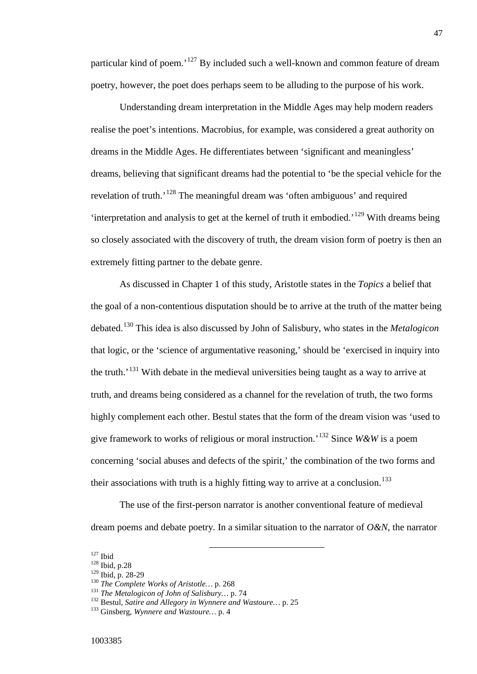particular kind of poem.'[127](#page-49-0) By included such a well-known and common feature of dream poetry, however, the poet does perhaps seem to be alluding to the purpose of his work.

Understanding dream interpretation in the Middle Ages may help modern readers realise the poet's intentions. Macrobius, for example, was considered a great authority on dreams in the Middle Ages. He differentiates between 'significant and meaningless' dreams, believing that significant dreams had the potential to 'be the special vehicle for the revelation of truth.<sup>'[128](#page-49-1)</sup> The meaningful dream was 'often ambiguous' and required 'interpretation and analysis to get at the kernel of truth it embodied.<sup>'[129](#page-49-2)</sup> With dreams being so closely associated with the discovery of truth, the dream vision form of poetry is then an extremely fitting partner to the debate genre.

As discussed in Chapter 1 of this study, Aristotle states in the *Topics* a belief that the goal of a non-contentious disputation should be to arrive at the truth of the matter being debated.[130](#page-49-3) This idea is also discussed by John of Salisbury, who states in the *Metalogicon*  that logic, or the 'science of argumentative reasoning,' should be 'exercised in inquiry into the truth.<sup> $131$ </sup> With debate in the medieval universities being taught as a way to arrive at truth, and dreams being considered as a channel for the revelation of truth, the two forms highly complement each other. Bestul states that the form of the dream vision was 'used to give framework to works of religious or moral instruction.'[132](#page-49-5) Since *W&W* is a poem concerning 'social abuses and defects of the spirit,' the combination of the two forms and their associations with truth is a highly fitting way to arrive at a conclusion.<sup>[133](#page-49-6)</sup>

The use of the first-person narrator is another conventional feature of medieval dream poems and debate poetry. In a similar situation to the narrator of *O&N*, the narrator

<span id="page-49-1"></span><span id="page-49-0"></span> $\frac{^{127}}{^{128}}$  Ibid, p.28<br> $\frac{^{129}}{^{129}}$  Ibid, p. 28-29

<span id="page-49-4"></span><span id="page-49-3"></span><span id="page-49-2"></span><sup>&</sup>lt;sup>130</sup> The Complete Works of Aristotle... p. 268<br><sup>131</sup> The Metalogicon of John of Salisbury... p. 74<br><sup>132</sup> Bestul, Satire and Allegory in Wynnere and Wastoure... p. 25<br><sup>133</sup> Ginsberg. Wynnere and Wastoure... p. 4

<span id="page-49-6"></span><span id="page-49-5"></span>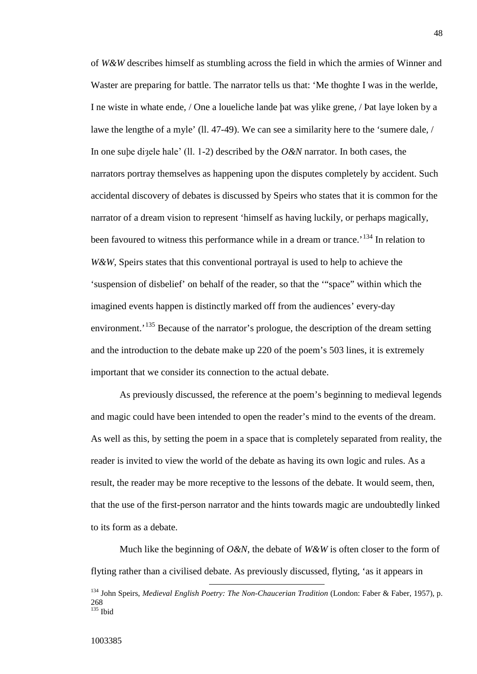of *W&W* describes himself as stumbling across the field in which the armies of Winner and Waster are preparing for battle. The narrator tells us that: 'Me thoghte I was in the werlde, I ne wiste in whate ende, / One a loueliche lande þat was ylike grene, / Þat laye loken by a lawe the lengthe of a myle' (ll. 47-49). We can see a similarity here to the 'sumere dale, / In one supe digele hale' (11. 1-2) described by the  $O\&N$  narrator. In both cases, the narrators portray themselves as happening upon the disputes completely by accident. Such accidental discovery of debates is discussed by Speirs who states that it is common for the narrator of a dream vision to represent 'himself as having luckily, or perhaps magically, been favoured to witness this performance while in a dream or trance.<sup>'[134](#page-50-0)</sup> In relation to *W&W*, Speirs states that this conventional portrayal is used to help to achieve the 'suspension of disbelief' on behalf of the reader, so that the '"space" within which the imagined events happen is distinctly marked off from the audiences' every-day environment.<sup>[135](#page-50-1)</sup> Because of the narrator's prologue, the description of the dream setting and the introduction to the debate make up 220 of the poem's 503 lines, it is extremely important that we consider its connection to the actual debate.

As previously discussed, the reference at the poem's beginning to medieval legends and magic could have been intended to open the reader's mind to the events of the dream. As well as this, by setting the poem in a space that is completely separated from reality, the reader is invited to view the world of the debate as having its own logic and rules. As a result, the reader may be more receptive to the lessons of the debate. It would seem, then, that the use of the first-person narrator and the hints towards magic are undoubtedly linked to its form as a debate.

Much like the beginning of *O&N*, the debate of *W&W* is often closer to the form of flyting rather than a civilised debate. As previously discussed, flyting, 'as it appears in

<span id="page-50-1"></span><span id="page-50-0"></span><sup>134</sup> John Speirs, *Medieval English Poetry: The Non-Chaucerian Tradition* (London: Faber & Faber, 1957), p. 268  $135$  Ibid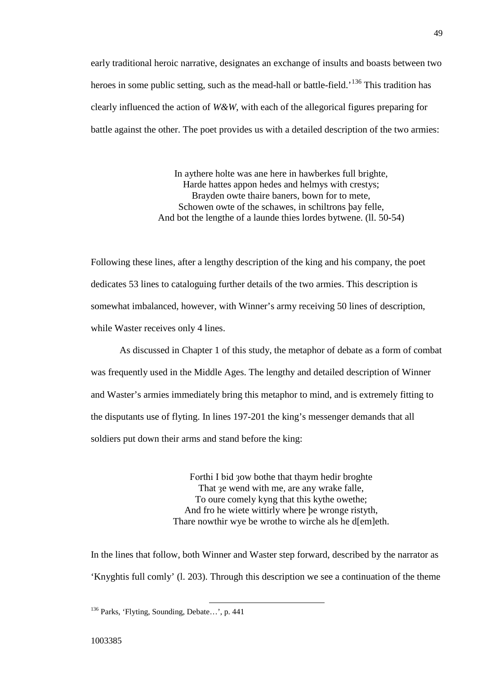early traditional heroic narrative, designates an exchange of insults and boasts between two heroes in some public setting, such as the mead-hall or battle-field.<sup>'[136](#page-51-0)</sup> This tradition has clearly influenced the action of *W&W*, with each of the allegorical figures preparing for battle against the other. The poet provides us with a detailed description of the two armies:

> In aythere holte was ane here in hawberkes full brighte, Harde hattes appon hedes and helmys with crestys; Brayden owte thaire baners, bown for to mete, Schowen owte of the schawes, in schiltrons þay felle, And bot the lengthe of a launde thies lordes bytwene. (ll. 50-54)

Following these lines, after a lengthy description of the king and his company, the poet dedicates 53 lines to cataloguing further details of the two armies. This description is somewhat imbalanced, however, with Winner's army receiving 50 lines of description, while Waster receives only 4 lines.

As discussed in Chapter 1 of this study, the metaphor of debate as a form of combat was frequently used in the Middle Ages. The lengthy and detailed description of Winner and Waster's armies immediately bring this metaphor to mind, and is extremely fitting to the disputants use of flyting. In lines 197-201 the king's messenger demands that all soldiers put down their arms and stand before the king:

> Forthi I bid 30w bothe that thaym hedir broghte That ze wend with me, are any wrake falle, To oure comely kyng that this kythe owethe; And fro he wiete wittirly where þe wronge ristyth, Thare nowthir wye be wrothe to wirche als he d[em]eth.

In the lines that follow, both Winner and Waster step forward, described by the narrator as 'Knyghtis full comly' (l. 203). Through this description we see a continuation of the theme

<span id="page-51-0"></span><sup>136</sup> Parks, 'Flyting, Sounding, Debate…', p. 441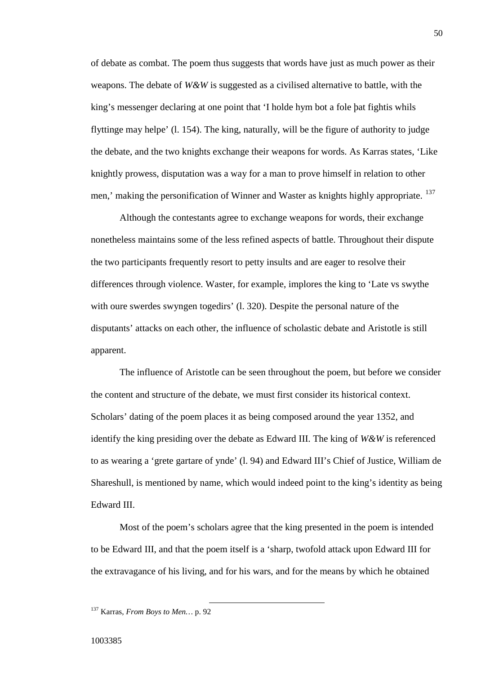of debate as combat. The poem thus suggests that words have just as much power as their weapons. The debate of *W&W* is suggested as a civilised alternative to battle, with the king's messenger declaring at one point that 'I holde hym bot a fole þat fightis whils flyttinge may helpe' (l. 154). The king, naturally, will be the figure of authority to judge the debate, and the two knights exchange their weapons for words. As Karras states, 'Like knightly prowess, disputation was a way for a man to prove himself in relation to other men,' making the personification of Winner and Waster as knights highly appropriate. <sup>[137](#page-52-0)</sup>

Although the contestants agree to exchange weapons for words, their exchange nonetheless maintains some of the less refined aspects of battle. Throughout their dispute the two participants frequently resort to petty insults and are eager to resolve their differences through violence. Waster, for example, implores the king to 'Late vs swythe with oure swerdes swyngen togedirs' (l. 320). Despite the personal nature of the disputants' attacks on each other, the influence of scholastic debate and Aristotle is still apparent.

The influence of Aristotle can be seen throughout the poem, but before we consider the content and structure of the debate, we must first consider its historical context. Scholars' dating of the poem places it as being composed around the year 1352, and identify the king presiding over the debate as Edward III. The king of *W&W* is referenced to as wearing a 'grete gartare of ynde' (l. 94) and Edward III's Chief of Justice, William de Shareshull, is mentioned by name, which would indeed point to the king's identity as being Edward III.

Most of the poem's scholars agree that the king presented in the poem is intended to be Edward III, and that the poem itself is a 'sharp, twofold attack upon Edward III for the extravagance of his living, and for his wars, and for the means by which he obtained

<span id="page-52-0"></span><sup>137</sup> Karras, *From Boys to Men…* p. 92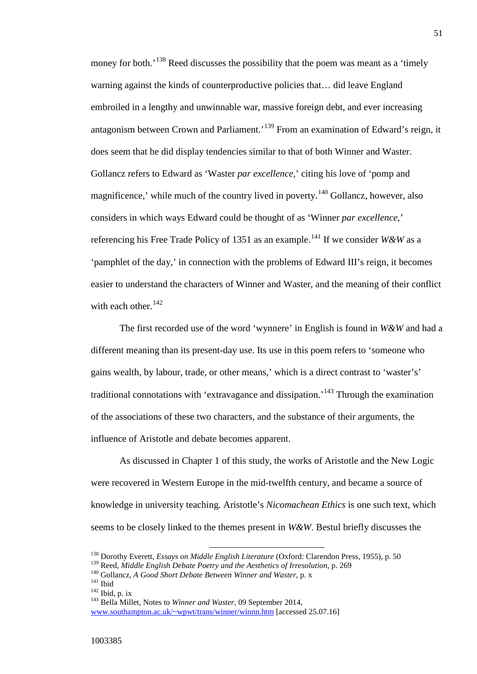money for both.<sup>'[138](#page-53-0)</sup> Reed discusses the possibility that the poem was meant as a 'timely warning against the kinds of counterproductive policies that… did leave England embroiled in a lengthy and unwinnable war, massive foreign debt, and ever increasing antagonism between Crown and Parliament.<sup>'[139](#page-53-1)</sup> From an examination of Edward's reign, it does seem that he did display tendencies similar to that of both Winner and Waster. Gollancz refers to Edward as 'Waster *par excellence*,' citing his love of 'pomp and magnificence,' while much of the country lived in poverty.<sup>[140](#page-53-2)</sup> Gollancz, however, also considers in which ways Edward could be thought of as 'Winner *par excellence*,' referencing his Free Trade Policy of 1351 as an example.<sup>[141](#page-53-3)</sup> If we consider W&W as a 'pamphlet of the day,' in connection with the problems of Edward III's reign, it becomes easier to understand the characters of Winner and Waster, and the meaning of their conflict with each other. $142$ 

The first recorded use of the word 'wynnere' in English is found in *W&W* and had a different meaning than its present-day use. Its use in this poem refers to 'someone who gains wealth, by labour, trade, or other means,' which is a direct contrast to 'waster's' traditional connotations with 'extravagance and dissipation.<sup>[143](#page-53-5)</sup> Through the examination of the associations of these two characters, and the substance of their arguments, the influence of Aristotle and debate becomes apparent.

As discussed in Chapter 1 of this study, the works of Aristotle and the New Logic were recovered in Western Europe in the mid-twelfth century, and became a source of knowledge in university teaching. Aristotle's *Nicomachean Ethics* is one such text, which seems to be closely linked to the themes present in *W&W*. Bestul briefly discusses the

<span id="page-53-3"></span>

<sup>138</sup> Dorothy Everett, *Essays on Middle English Literature* (Oxford: Clarendon Press, 1955), p. 50

<span id="page-53-2"></span><span id="page-53-1"></span><span id="page-53-0"></span><sup>&</sup>lt;sup>139</sup> Reed, *Middle English Debate Poetry and the Aesthetics of Irresolution*, p. 269<br><sup>140</sup> Gollancz, *A Good Short Debate Between Winner and Waster*, p. x<br><sup>141</sup> Ibid, p. ix<br><sup>142</sup> Ibid, p. ix<br><sup>142</sup> Bella Millet. Notes to

<span id="page-53-4"></span>

<span id="page-53-5"></span>[www.southampton.ac.uk/~wpwt/trans/winner/winnn.htm](http://www.southampton.ac.uk/~wpwt/trans/winner/winnn.htm) [accessed 25.07.16]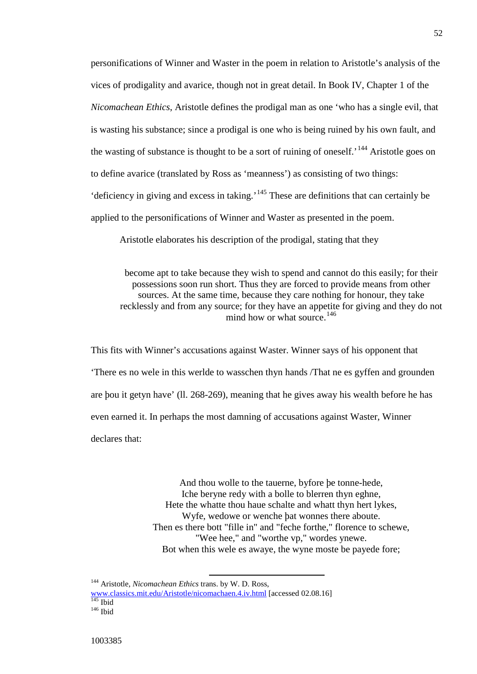personifications of Winner and Waster in the poem in relation to Aristotle's analysis of the vices of prodigality and avarice, though not in great detail. In Book IV, Chapter 1 of the *Nicomachean Ethics*, Aristotle defines the prodigal man as one 'who has a single evil, that is wasting his substance; since a prodigal is one who is being ruined by his own fault, and the wasting of substance is thought to be a sort of ruining of oneself.'<sup>[144](#page-54-0)</sup> Aristotle goes on to define avarice (translated by Ross as 'meanness') as consisting of two things: 'deficiency in giving and excess in taking.'<sup>[145](#page-54-1)</sup> These are definitions that can certainly be applied to the personifications of Winner and Waster as presented in the poem.

Aristotle elaborates his description of the prodigal, stating that they

become apt to take because they wish to spend and cannot do this easily; for their possessions soon run short. Thus they are forced to provide means from other sources. At the same time, because they care nothing for honour, they take recklessly and from any source; for they have an appetite for giving and they do not mind how or what source.<sup>[146](#page-54-2)</sup>

This fits with Winner's accusations against Waster. Winner says of his opponent that 'There es no wele in this werlde to wasschen thyn hands /That ne es gyffen and grounden are þou it getyn have' (ll. 268-269), meaning that he gives away his wealth before he has even earned it. In perhaps the most damning of accusations against Waster, Winner declares that:

> And thou wolle to the tauerne, byfore þe tonne-hede, Iche beryne redy with a bolle to blerren thyn eghne, Hete the whatte thou haue schalte and whatt thyn hert lykes, Wyfe, wedowe or wenche þat wonnes there aboute. Then es there bott "fille in" and "feche forthe," florence to schewe, "Wee hee," and "worthe vp," wordes ynewe. Bot when this wele es awaye, the wyne moste be payede fore;

<span id="page-54-2"></span><span id="page-54-1"></span><span id="page-54-0"></span><sup>144</sup> Aristotle, *Nicomachean Ethics* trans. by W. D. Ross, [www.classics.mit.edu/Aristotle/nicomachaen.4.iv.html](http://www.classics.mit.edu/Aristotle/nicomachaen.4.iv.html) [accessed 02.08.16]<br><sup>145</sup> Ibid<br><sup>146</sup> Ibid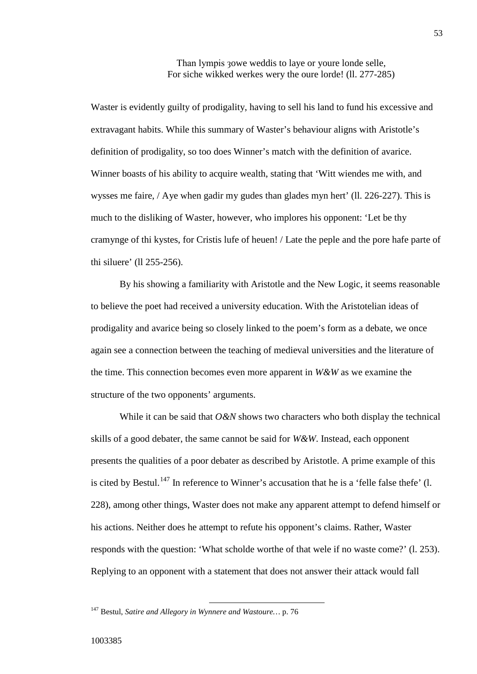Than lympis zowe weddis to laye or youre londe selle, For siche wikked werkes wery the oure lorde! (ll. 277-285)

Waster is evidently guilty of prodigality, having to sell his land to fund his excessive and extravagant habits. While this summary of Waster's behaviour aligns with Aristotle's definition of prodigality, so too does Winner's match with the definition of avarice. Winner boasts of his ability to acquire wealth, stating that 'Witt wiendes me with, and wysses me faire, / Aye when gadir my gudes than glades myn hert' (ll. 226-227). This is much to the disliking of Waster, however, who implores his opponent: 'Let be thy cramynge of thi kystes, for Cristis lufe of heuen! / Late the peple and the pore hafe parte of thi siluere' (ll 255-256).

By his showing a familiarity with Aristotle and the New Logic, it seems reasonable to believe the poet had received a university education. With the Aristotelian ideas of prodigality and avarice being so closely linked to the poem's form as a debate, we once again see a connection between the teaching of medieval universities and the literature of the time. This connection becomes even more apparent in *W&W* as we examine the structure of the two opponents' arguments.

While it can be said that  $O\&N$  shows two characters who both display the technical skills of a good debater, the same cannot be said for *W&W*. Instead, each opponent presents the qualities of a poor debater as described by Aristotle. A prime example of this is cited by Bestul.<sup>[147](#page-55-0)</sup> In reference to Winner's accusation that he is a 'felle false thefe' (1. 228), among other things, Waster does not make any apparent attempt to defend himself or his actions. Neither does he attempt to refute his opponent's claims. Rather, Waster responds with the question: 'What scholde worthe of that wele if no waste come?' (l. 253). Replying to an opponent with a statement that does not answer their attack would fall

<span id="page-55-0"></span><sup>147</sup> Bestul, *Satire and Allegory in Wynnere and Wastoure…* p. <sup>76</sup>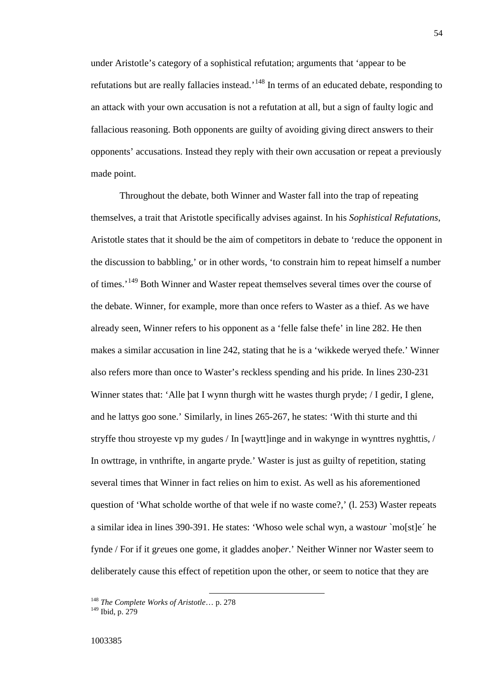under Aristotle's category of a sophistical refutation; arguments that 'appear to be refutations but are really fallacies instead.<sup>'[148](#page-56-0)</sup> In terms of an educated debate, responding to an attack with your own accusation is not a refutation at all, but a sign of faulty logic and fallacious reasoning. Both opponents are guilty of avoiding giving direct answers to their opponents' accusations. Instead they reply with their own accusation or repeat a previously made point.

Throughout the debate, both Winner and Waster fall into the trap of repeating themselves, a trait that Aristotle specifically advises against. In his *Sophistical Refutations*, Aristotle states that it should be the aim of competitors in debate to 'reduce the opponent in the discussion to babbling,' or in other words, 'to constrain him to repeat himself a number of times.'<sup>[149](#page-56-1)</sup> Both Winner and Waster repeat themselves several times over the course of the debate. Winner, for example, more than once refers to Waster as a thief. As we have already seen, Winner refers to his opponent as a 'felle false thefe' in line 282. He then makes a similar accusation in line 242, stating that he is a 'wikkede weryed thefe.' Winner also refers more than once to Waster's reckless spending and his pride. In lines 230-231 Winner states that: 'Alle þat I wynn thurgh witt he wastes thurgh pryde; / I gedir, I glene, and he lattys goo sone.' Similarly, in lines 265-267, he states: 'With thi sturte and thi stryffe thou stroyeste vp my gudes / In [waytt]inge and in wakynge in wynttres nyghttis, / In owttrage, in vnthrifte, in angarte pryde.' Waster is just as guilty of repetition, stating several times that Winner in fact relies on him to exist. As well as his aforementioned question of 'What scholde worthe of that wele if no waste come?,' (l. 253) Waster repeats a similar idea in lines 390-391. He states: 'Whoso wele schal wyn, a wasto*ur* `mo[st]e´ he fynde / For if it g*re*ues one gome, it gladdes anoþ*er*.' Neither Winner nor Waster seem to deliberately cause this effect of repetition upon the other, or seem to notice that they are

<span id="page-56-1"></span><span id="page-56-0"></span><sup>148</sup> *The Complete Works of Aristotle*… p. 278 <sup>149</sup> Ibid, p. 279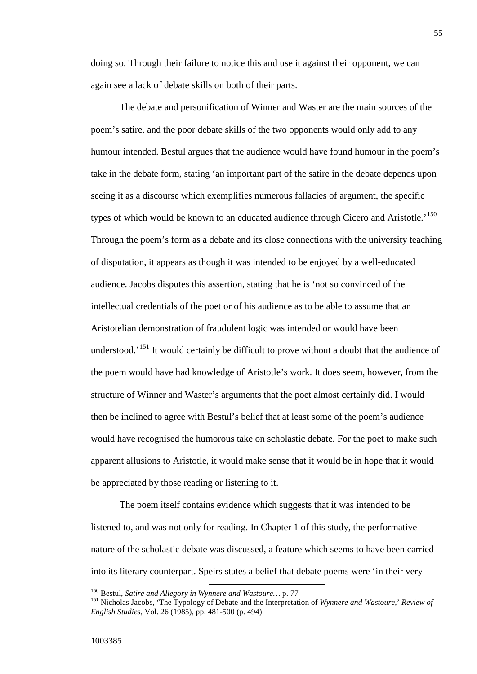doing so. Through their failure to notice this and use it against their opponent, we can again see a lack of debate skills on both of their parts.

The debate and personification of Winner and Waster are the main sources of the poem's satire, and the poor debate skills of the two opponents would only add to any humour intended. Bestul argues that the audience would have found humour in the poem's take in the debate form, stating 'an important part of the satire in the debate depends upon seeing it as a discourse which exemplifies numerous fallacies of argument, the specific types of which would be known to an educated audience through Cicero and Aristotle.<sup>'[150](#page-57-0)</sup> Through the poem's form as a debate and its close connections with the university teaching of disputation, it appears as though it was intended to be enjoyed by a well-educated audience. Jacobs disputes this assertion, stating that he is 'not so convinced of the intellectual credentials of the poet or of his audience as to be able to assume that an Aristotelian demonstration of fraudulent logic was intended or would have been understood.<sup> $151$ </sup> It would certainly be difficult to prove without a doubt that the audience of the poem would have had knowledge of Aristotle's work. It does seem, however, from the structure of Winner and Waster's arguments that the poet almost certainly did. I would then be inclined to agree with Bestul's belief that at least some of the poem's audience would have recognised the humorous take on scholastic debate. For the poet to make such apparent allusions to Aristotle, it would make sense that it would be in hope that it would be appreciated by those reading or listening to it.

The poem itself contains evidence which suggests that it was intended to be listened to, and was not only for reading. In Chapter 1 of this study, the performative nature of the scholastic debate was discussed, a feature which seems to have been carried into its literary counterpart. Speirs states a belief that debate poems were 'in their very

<span id="page-57-1"></span><span id="page-57-0"></span><sup>&</sup>lt;sup>150</sup> Bestul, *Satire and Allegory in Wynnere and Wastoure* ... p. 77<br><sup>151</sup> Nicholas Jacobs, 'The Typology of Debate and the Interpretation of *Wynnere and Wastoure*,' *Review of English Studies*, Vol. 26 (1985), pp. 481-500 (p. 494)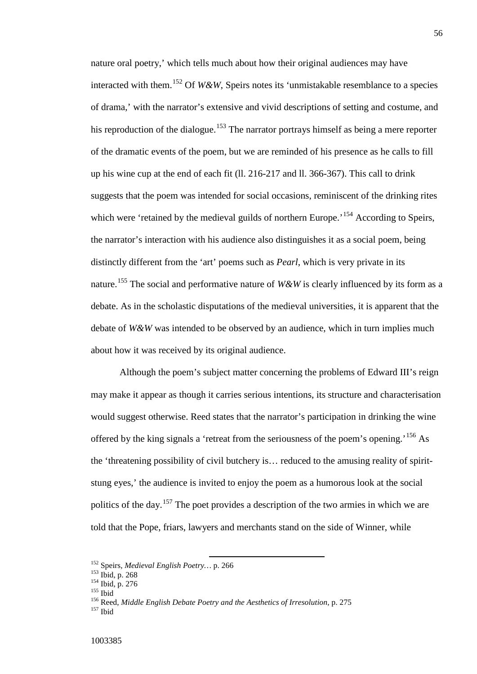nature oral poetry,' which tells much about how their original audiences may have interacted with them.<sup>[152](#page-58-0)</sup> Of *W&W*, Speirs notes its 'unmistakable resemblance to a species of drama,' with the narrator's extensive and vivid descriptions of setting and costume, and his reproduction of the dialogue.<sup>[153](#page-58-1)</sup> The narrator portrays himself as being a mere reporter of the dramatic events of the poem, but we are reminded of his presence as he calls to fill up his wine cup at the end of each fit (ll. 216-217 and ll. 366-367). This call to drink suggests that the poem was intended for social occasions, reminiscent of the drinking rites which were 'retained by the medieval guilds of northern Europe.<sup>[154](#page-58-2)</sup> According to Speirs, the narrator's interaction with his audience also distinguishes it as a social poem, being distinctly different from the 'art' poems such as *Pearl*, which is very private in its nature.<sup>[155](#page-58-3)</sup> The social and performative nature of  $W\&W$  is clearly influenced by its form as a debate. As in the scholastic disputations of the medieval universities, it is apparent that the debate of *W&W* was intended to be observed by an audience, which in turn implies much about how it was received by its original audience.

Although the poem's subject matter concerning the problems of Edward III's reign may make it appear as though it carries serious intentions, its structure and characterisation would suggest otherwise. Reed states that the narrator's participation in drinking the wine offered by the king signals a 'retreat from the seriousness of the poem's opening.<sup>'[156](#page-58-4)</sup> As the 'threatening possibility of civil butchery is… reduced to the amusing reality of spiritstung eyes,' the audience is invited to enjoy the poem as a humorous look at the social politics of the day.<sup>[157](#page-58-5)</sup> The poet provides a description of the two armies in which we are told that the Pope, friars, lawyers and merchants stand on the side of Winner, while

<span id="page-58-3"></span><span id="page-58-2"></span>

<span id="page-58-1"></span><span id="page-58-0"></span><sup>&</sup>lt;sup>152</sup> Speirs, *Medieval English Poetry*… p. 266<br><sup>153</sup> Ibid, p. 268<br><sup>154</sup> Ibid, p. 276<br><sup>155</sup> Ibid<br><sup>156</sup> Reed, *Middle English Debate Poetry and the Aesthetics of Irresolution*, p. 275<br><sup>157</sup> Ibid

<span id="page-58-5"></span><span id="page-58-4"></span>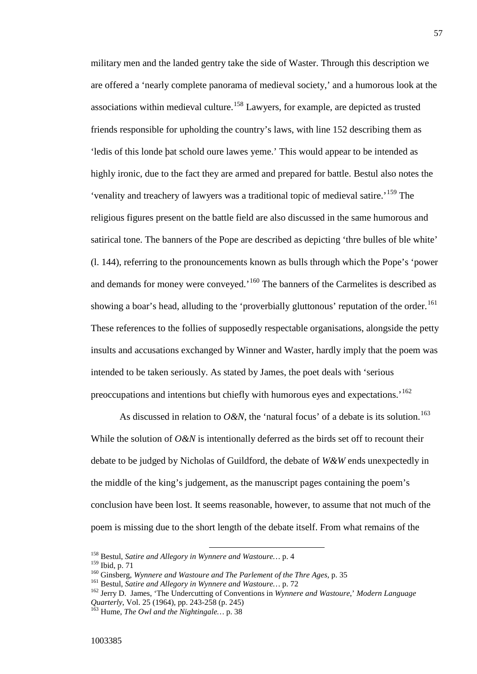military men and the landed gentry take the side of Waster. Through this description we are offered a 'nearly complete panorama of medieval society,' and a humorous look at the associations within medieval culture.<sup>[158](#page-59-0)</sup> Lawyers, for example, are depicted as trusted friends responsible for upholding the country's laws, with line 152 describing them as 'ledis of this londe þat schold oure lawes yeme.' This would appear to be intended as highly ironic, due to the fact they are armed and prepared for battle. Bestul also notes the 'venality and treachery of lawyers was a traditional topic of medieval satire.'[159](#page-59-1) The religious figures present on the battle field are also discussed in the same humorous and satirical tone. The banners of the Pope are described as depicting 'thre bulles of ble white' (l. 144), referring to the pronouncements known as bulls through which the Pope's 'power and demands for money were conveyed.<sup>'[160](#page-59-2)</sup> The banners of the Carmelites is described as showing a boar's head, alluding to the 'proverbially gluttonous' reputation of the order.<sup>[161](#page-59-3)</sup> These references to the follies of supposedly respectable organisations, alongside the petty insults and accusations exchanged by Winner and Waster, hardly imply that the poem was intended to be taken seriously. As stated by James, the poet deals with 'serious preoccupations and intentions but chiefly with humorous eyes and expectations.'[162](#page-59-4)

As discussed in relation to  $O\&N$ , the 'natural focus' of a debate is its solution.<sup>[163](#page-59-5)</sup> While the solution of  $O\&N$  is intentionally deferred as the birds set off to recount their debate to be judged by Nicholas of Guildford, the debate of *W&W* ends unexpectedly in the middle of the king's judgement, as the manuscript pages containing the poem's conclusion have been lost. It seems reasonable, however, to assume that not much of the poem is missing due to the short length of the debate itself. From what remains of the

<span id="page-59-0"></span><sup>158</sup> Bestul, *Satire and Allegory in Wynnere and Wastoure…* p. 4

<span id="page-59-4"></span><span id="page-59-3"></span><span id="page-59-2"></span><span id="page-59-1"></span><sup>&</sup>lt;sup>160</sup> Ginsberg, *Wynnere and Wastoure and The Parlement of the Thre Ages*, p. 35<br><sup>161</sup> Bestul, *Satire and Allegory in Wynnere and Wastoure*... p. 72<br><sup>162</sup> Jerry D. James, 'The Undercutting of Conventions in *Wynnere and Quarterly*, Vol. 25 (1964), pp. 243-258 (p. 245) <sup>163</sup> Hume, *The Owl and the Nightingale…* p. 38

<span id="page-59-5"></span>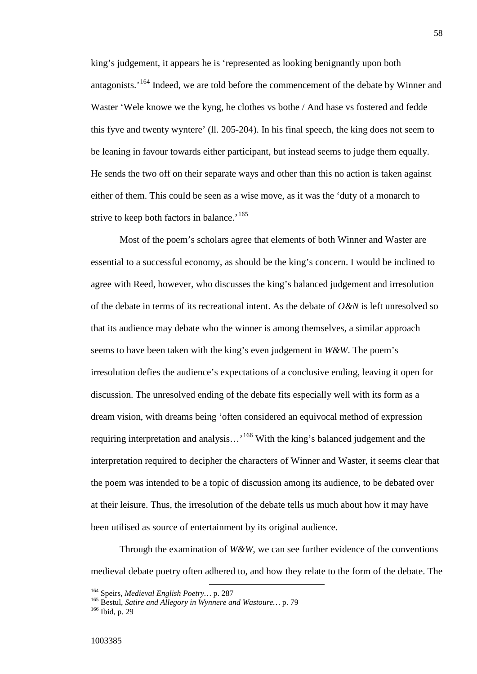king's judgement, it appears he is 'represented as looking benignantly upon both antagonists.<sup>'</sup><sup>[164](#page-60-0)</sup> Indeed, we are told before the commencement of the debate by Winner and Waster 'Wele knowe we the kyng, he clothes vs bothe / And hase vs fostered and fedde this fyve and twenty wyntere' (ll. 205-204). In his final speech, the king does not seem to be leaning in favour towards either participant, but instead seems to judge them equally. He sends the two off on their separate ways and other than this no action is taken against either of them. This could be seen as a wise move, as it was the 'duty of a monarch to strive to keep both factors in balance.'<sup>[165](#page-60-1)</sup>

Most of the poem's scholars agree that elements of both Winner and Waster are essential to a successful economy, as should be the king's concern. I would be inclined to agree with Reed, however, who discusses the king's balanced judgement and irresolution of the debate in terms of its recreational intent. As the debate of *O&N* is left unresolved so that its audience may debate who the winner is among themselves, a similar approach seems to have been taken with the king's even judgement in *W&W*. The poem's irresolution defies the audience's expectations of a conclusive ending, leaving it open for discussion. The unresolved ending of the debate fits especially well with its form as a dream vision, with dreams being 'often considered an equivocal method of expression requiring interpretation and analysis…'[166](#page-60-2) With the king's balanced judgement and the interpretation required to decipher the characters of Winner and Waster, it seems clear that the poem was intended to be a topic of discussion among its audience, to be debated over at their leisure. Thus, the irresolution of the debate tells us much about how it may have been utilised as source of entertainment by its original audience.

Through the examination of *W&W*, we can see further evidence of the conventions medieval debate poetry often adhered to, and how they relate to the form of the debate. The

<span id="page-60-1"></span><span id="page-60-0"></span><sup>&</sup>lt;sup>164</sup> Speirs, *Medieval English Poetry*... p. 287<br><sup>165</sup> Bestul, *Satire and Allegory in Wynnere and Wastoure*... p. 79<br><sup>166</sup> Ibid. p. 29

<span id="page-60-2"></span>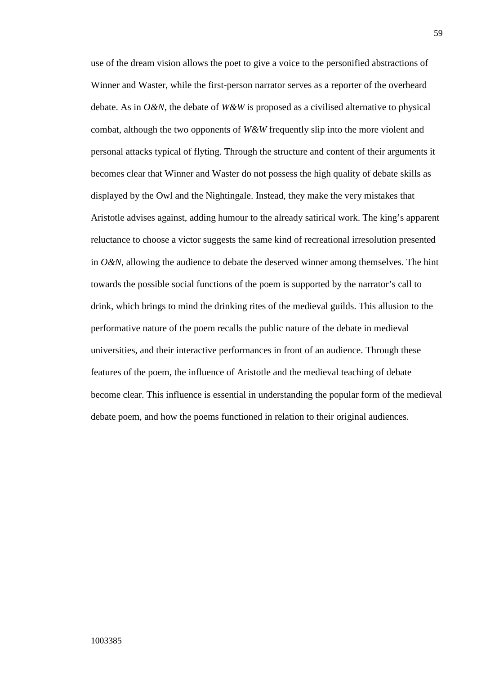use of the dream vision allows the poet to give a voice to the personified abstractions of Winner and Waster, while the first-person narrator serves as a reporter of the overheard debate. As in *O&N*, the debate of *W&W* is proposed as a civilised alternative to physical combat, although the two opponents of *W&W* frequently slip into the more violent and personal attacks typical of flyting. Through the structure and content of their arguments it becomes clear that Winner and Waster do not possess the high quality of debate skills as displayed by the Owl and the Nightingale. Instead, they make the very mistakes that Aristotle advises against, adding humour to the already satirical work. The king's apparent reluctance to choose a victor suggests the same kind of recreational irresolution presented in *O&N*, allowing the audience to debate the deserved winner among themselves. The hint towards the possible social functions of the poem is supported by the narrator's call to drink, which brings to mind the drinking rites of the medieval guilds. This allusion to the performative nature of the poem recalls the public nature of the debate in medieval universities, and their interactive performances in front of an audience. Through these features of the poem, the influence of Aristotle and the medieval teaching of debate become clear. This influence is essential in understanding the popular form of the medieval debate poem, and how the poems functioned in relation to their original audiences.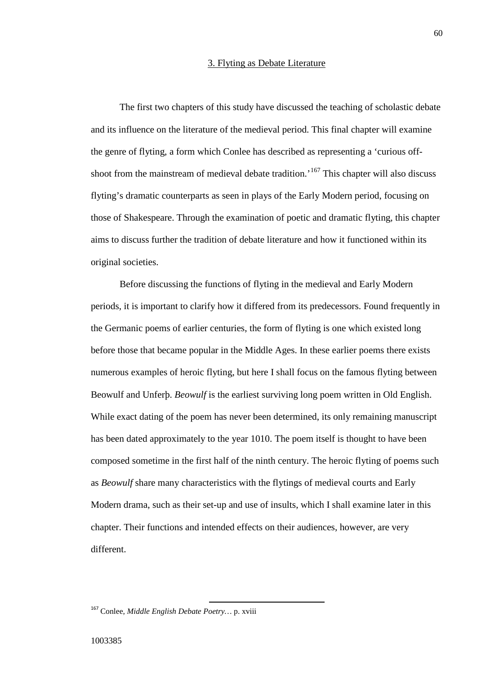## 3. Flyting as Debate Literature

The first two chapters of this study have discussed the teaching of scholastic debate and its influence on the literature of the medieval period. This final chapter will examine the genre of flyting, a form which Conlee has described as representing a 'curious offshoot from the mainstream of medieval debate tradition.'[167](#page-62-0) This chapter will also discuss flyting's dramatic counterparts as seen in plays of the Early Modern period, focusing on those of Shakespeare. Through the examination of poetic and dramatic flyting, this chapter aims to discuss further the tradition of debate literature and how it functioned within its original societies.

Before discussing the functions of flyting in the medieval and Early Modern periods, it is important to clarify how it differed from its predecessors. Found frequently in the Germanic poems of earlier centuries, the form of flyting is one which existed long before those that became popular in the Middle Ages. In these earlier poems there exists numerous examples of heroic flyting, but here I shall focus on the famous flyting between Beowulf and Unferþ. *Beowulf* is the earliest surviving long poem written in Old English. While exact dating of the poem has never been determined, its only remaining manuscript has been dated approximately to the year 1010. The poem itself is thought to have been composed sometime in the first half of the ninth century. The heroic flyting of poems such as *Beowulf* share many characteristics with the flytings of medieval courts and Early Modern drama, such as their set-up and use of insults, which I shall examine later in this chapter. Their functions and intended effects on their audiences, however, are very different.

<span id="page-62-0"></span> <sup>167</sup> Conlee, *Middle English Debate Poetry…* p. xviii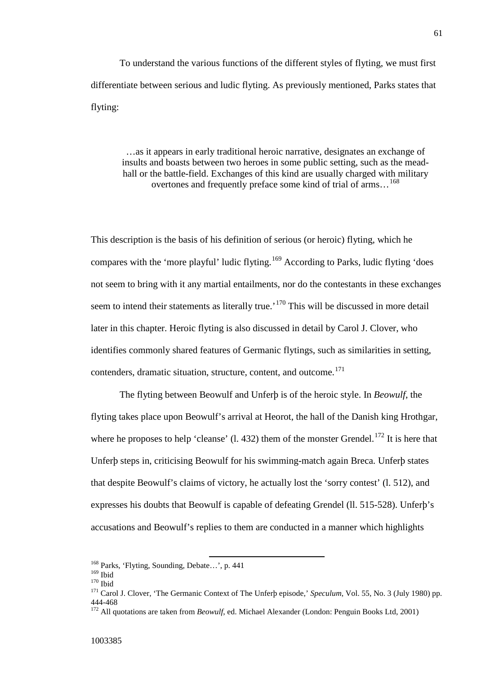To understand the various functions of the different styles of flyting, we must first differentiate between serious and ludic flyting. As previously mentioned, Parks states that flyting:

…as it appears in early traditional heroic narrative, designates an exchange of insults and boasts between two heroes in some public setting, such as the meadhall or the battle-field. Exchanges of this kind are usually charged with military overtones and frequently preface some kind of trial of arms…[168](#page-63-0)

This description is the basis of his definition of serious (or heroic) flyting, which he compares with the 'more playful' ludic flyting.<sup>[169](#page-63-1)</sup> According to Parks, ludic flyting 'does not seem to bring with it any martial entailments, nor do the contestants in these exchanges seem to intend their statements as literally true.<sup>'[170](#page-63-2)</sup> This will be discussed in more detail later in this chapter. Heroic flyting is also discussed in detail by Carol J. Clover, who identifies commonly shared features of Germanic flytings, such as similarities in setting, contenders, dramatic situation, structure, content, and outcome.<sup>[171](#page-63-3)</sup>

The flyting between Beowulf and Unferþ is of the heroic style. In *Beowulf*, the flyting takes place upon Beowulf's arrival at Heorot, the hall of the Danish king Hrothgar, where he proposes to help 'cleanse'  $(1.432)$  them of the monster Grendel.<sup>[172](#page-63-4)</sup> It is here that Unferþ steps in, criticising Beowulf for his swimming-match again Breca. Unferþ states that despite Beowulf's claims of victory, he actually lost the 'sorry contest' (l. 512), and expresses his doubts that Beowulf is capable of defeating Grendel (ll. 515-528). Unferþ's accusations and Beowulf's replies to them are conducted in a manner which highlights

<span id="page-63-0"></span><sup>&</sup>lt;sup>168</sup> Parks, 'Flyting, Sounding, Debate...', p. 441<br><sup>169</sup> Ibid

<span id="page-63-3"></span>

<span id="page-63-2"></span><span id="page-63-1"></span><sup>170</sup> Ibid<br><sup>170</sup> Ibid<br><sup>171</sup> Carol J. Clover, 'The Germanic Context of The Unferþ episode,' *Speculum*, Vol. 55, No. 3 (July 1980) pp. 444-468 <sup>172</sup> All quotations are taken from *Beowulf*, ed. Michael Alexander (London: Penguin Books Ltd, 2001)

<span id="page-63-4"></span>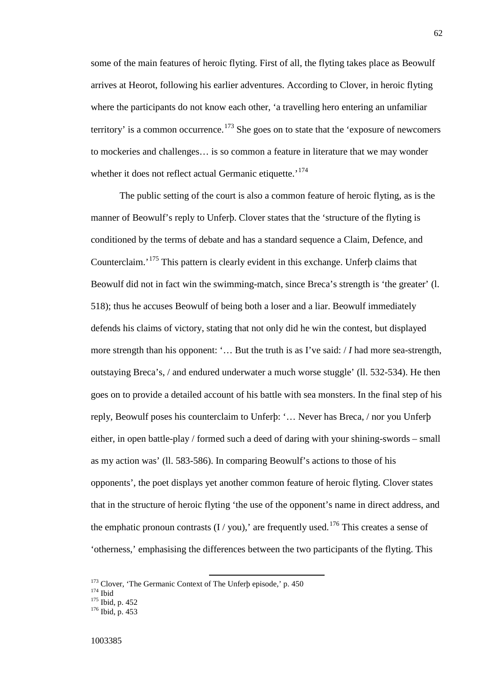some of the main features of heroic flyting. First of all, the flyting takes place as Beowulf arrives at Heorot, following his earlier adventures. According to Clover, in heroic flyting where the participants do not know each other, 'a travelling hero entering an unfamiliar territory' is a common occurrence.<sup>[173](#page-64-0)</sup> She goes on to state that the 'exposure of newcomers' to mockeries and challenges… is so common a feature in literature that we may wonder whether it does not reflect actual Germanic etiquette.<sup>'[174](#page-64-1)</sup>

The public setting of the court is also a common feature of heroic flyting, as is the manner of Beowulf's reply to Unferþ. Clover states that the 'structure of the flyting is conditioned by the terms of debate and has a standard sequence a Claim, Defence, and Counterclaim.'[175](#page-64-2) This pattern is clearly evident in this exchange. Unferþ claims that Beowulf did not in fact win the swimming-match, since Breca's strength is 'the greater' (l. 518); thus he accuses Beowulf of being both a loser and a liar. Beowulf immediately defends his claims of victory, stating that not only did he win the contest, but displayed more strength than his opponent: '… But the truth is as I've said: / *I* had more sea-strength, outstaying Breca's, / and endured underwater a much worse stuggle' (ll. 532-534). He then goes on to provide a detailed account of his battle with sea monsters. In the final step of his reply, Beowulf poses his counterclaim to Unferþ: '… Never has Breca, / nor you Unferþ either, in open battle-play / formed such a deed of daring with your shining-swords – small as my action was' (ll. 583-586). In comparing Beowulf's actions to those of his opponents', the poet displays yet another common feature of heroic flyting. Clover states that in the structure of heroic flyting 'the use of the opponent's name in direct address, and the emphatic pronoun contrasts  $(I / you)$ , are frequently used.<sup>[176](#page-64-3)</sup> This creates a sense of 'otherness,' emphasising the differences between the two participants of the flyting. This

<span id="page-64-0"></span><sup>&</sup>lt;sup>173</sup> Clover, 'The Germanic Context of The Unferp episode,' p. 450<br><sup>174</sup> Ibid<br><sup>175</sup> Ibid, p. 452<br><sup>176</sup> Ibid, p. 453

<span id="page-64-2"></span><span id="page-64-1"></span>

<span id="page-64-3"></span>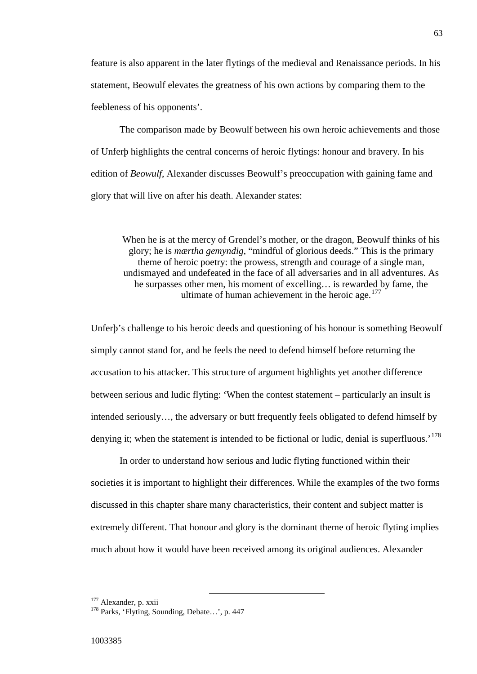feature is also apparent in the later flytings of the medieval and Renaissance periods. In his statement, Beowulf elevates the greatness of his own actions by comparing them to the feebleness of his opponents'.

The comparison made by Beowulf between his own heroic achievements and those of Unferþ highlights the central concerns of heroic flytings: honour and bravery. In his edition of *Beowulf*, Alexander discusses Beowulf's preoccupation with gaining fame and glory that will live on after his death. Alexander states:

When he is at the mercy of Grendel's mother, or the dragon, Beowulf thinks of his glory; he is *mærtha gemyndig*, "mindful of glorious deeds." This is the primary theme of heroic poetry: the prowess, strength and courage of a single man, undismayed and undefeated in the face of all adversaries and in all adventures. As he surpasses other men, his moment of excelling… is rewarded by fame, the ultimate of human achievement in the heroic age. $177$ 

Unferþ's challenge to his heroic deeds and questioning of his honour is something Beowulf simply cannot stand for, and he feels the need to defend himself before returning the accusation to his attacker. This structure of argument highlights yet another difference between serious and ludic flyting: 'When the contest statement – particularly an insult is intended seriously…, the adversary or butt frequently feels obligated to defend himself by denying it; when the statement is intended to be fictional or ludic, denial is superfluous.<sup>[178](#page-65-1)</sup>

In order to understand how serious and ludic flyting functioned within their societies it is important to highlight their differences. While the examples of the two forms discussed in this chapter share many characteristics, their content and subject matter is extremely different. That honour and glory is the dominant theme of heroic flyting implies much about how it would have been received among its original audiences. Alexander

<span id="page-65-1"></span><span id="page-65-0"></span><sup>&</sup>lt;sup>177</sup> Alexander, p. xxii<br><sup>178</sup> Parks, 'Flyting, Sounding, Debate...', p. 447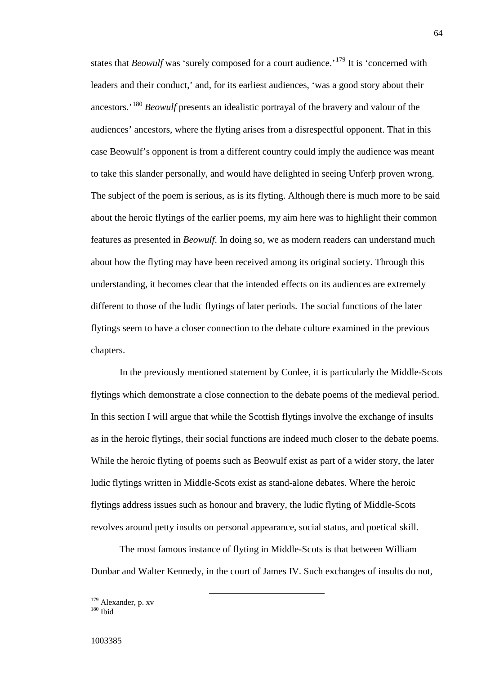states that *Beowulf* was 'surely composed for a court audience.<sup>[179](#page-66-0)</sup> It is 'concerned with leaders and their conduct,' and, for its earliest audiences, 'was a good story about their ancestors.'[180](#page-66-1) *Beowulf* presents an idealistic portrayal of the bravery and valour of the audiences' ancestors, where the flyting arises from a disrespectful opponent. That in this case Beowulf's opponent is from a different country could imply the audience was meant to take this slander personally, and would have delighted in seeing Unferþ proven wrong. The subject of the poem is serious, as is its flyting. Although there is much more to be said about the heroic flytings of the earlier poems, my aim here was to highlight their common features as presented in *Beowulf*. In doing so, we as modern readers can understand much about how the flyting may have been received among its original society. Through this understanding, it becomes clear that the intended effects on its audiences are extremely different to those of the ludic flytings of later periods. The social functions of the later flytings seem to have a closer connection to the debate culture examined in the previous chapters.

In the previously mentioned statement by Conlee, it is particularly the Middle-Scots flytings which demonstrate a close connection to the debate poems of the medieval period. In this section I will argue that while the Scottish flytings involve the exchange of insults as in the heroic flytings, their social functions are indeed much closer to the debate poems. While the heroic flyting of poems such as Beowulf exist as part of a wider story, the later ludic flytings written in Middle-Scots exist as stand-alone debates. Where the heroic flytings address issues such as honour and bravery, the ludic flyting of Middle-Scots revolves around petty insults on personal appearance, social status, and poetical skill.

The most famous instance of flyting in Middle-Scots is that between William Dunbar and Walter Kennedy, in the court of James IV. Such exchanges of insults do not,

<span id="page-66-1"></span><span id="page-66-0"></span> $179$  Alexander, p. xv<br> $180$  Ibid

## 1003385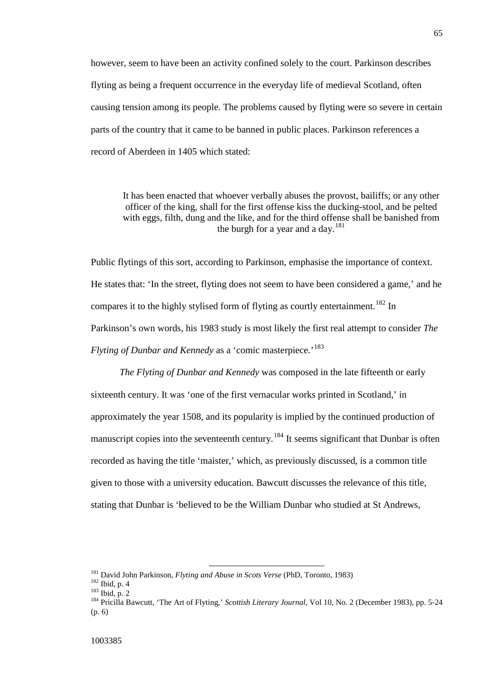however, seem to have been an activity confined solely to the court. Parkinson describes flyting as being a frequent occurrence in the everyday life of medieval Scotland, often causing tension among its people. The problems caused by flyting were so severe in certain parts of the country that it came to be banned in public places. Parkinson references a record of Aberdeen in 1405 which stated:

It has been enacted that whoever verbally abuses the provost, bailiffs; or any other officer of the king, shall for the first offense kiss the ducking-stool, and be pelted with eggs, filth, dung and the like, and for the third offense shall be banished from the burgh for a year and a day.<sup>[181](#page-67-0)</sup>

Public flytings of this sort, according to Parkinson, emphasise the importance of context. He states that: 'In the street, flyting does not seem to have been considered a game,' and he compares it to the highly stylised form of flyting as courtly entertainment.<sup>[182](#page-67-1)</sup> In Parkinson's own words, his 1983 study is most likely the first real attempt to consider *The Flyting of Dunbar and Kennedy* as a 'comic masterpiece.'<sup>183</sup>

*The Flyting of Dunbar and Kennedy* was composed in the late fifteenth or early sixteenth century. It was 'one of the first vernacular works printed in Scotland,' in approximately the year 1508, and its popularity is implied by the continued production of manuscript copies into the seventeenth century.<sup>[184](#page-67-3)</sup> It seems significant that Dunbar is often recorded as having the title 'maister,' which, as previously discussed, is a common title given to those with a university education. Bawcutt discusses the relevance of this title, stating that Dunbar is 'believed to be the William Dunbar who studied at St Andrews,

<span id="page-67-3"></span><span id="page-67-2"></span>

<span id="page-67-1"></span><span id="page-67-0"></span><sup>&</sup>lt;sup>181</sup> David John Parkinson, *Flyting and Abuse in Scots Verse* (PhD, Toronto, 1983)<br><sup>182</sup> Ibid, p. 4<br><sup>183</sup> Ibid, p. 2<br><sup>184</sup> Pricilla Bawcutt. 'The Art of Flyting.' *Scottish Literary Journal*, Vol 10, No. 2 (December 1983 (p. 6)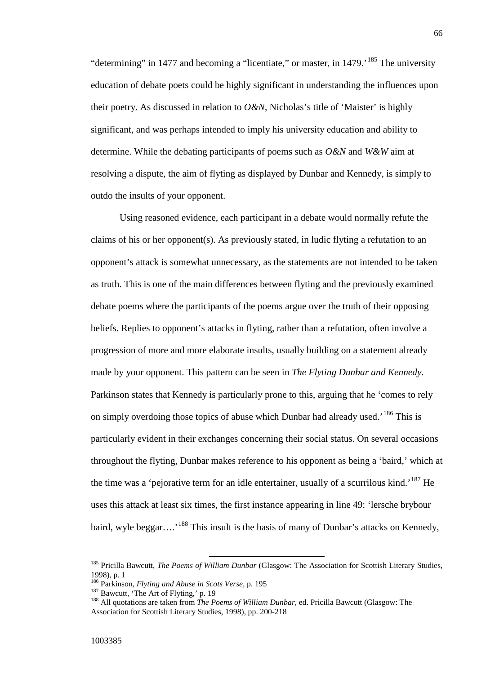"determining" in 1477 and becoming a "licentiate," or master, in  $1479$ .<sup>[185](#page-68-0)</sup> The university education of debate poets could be highly significant in understanding the influences upon their poetry. As discussed in relation to *O&N*, Nicholas's title of 'Maister' is highly significant, and was perhaps intended to imply his university education and ability to determine. While the debating participants of poems such as *O&N* and *W&W* aim at resolving a dispute, the aim of flyting as displayed by Dunbar and Kennedy, is simply to outdo the insults of your opponent.

Using reasoned evidence, each participant in a debate would normally refute the claims of his or her opponent(s). As previously stated, in ludic flyting a refutation to an opponent's attack is somewhat unnecessary, as the statements are not intended to be taken as truth. This is one of the main differences between flyting and the previously examined debate poems where the participants of the poems argue over the truth of their opposing beliefs. Replies to opponent's attacks in flyting, rather than a refutation, often involve a progression of more and more elaborate insults, usually building on a statement already made by your opponent. This pattern can be seen in *The Flyting Dunbar and Kennedy*. Parkinson states that Kennedy is particularly prone to this, arguing that he 'comes to rely on simply overdoing those topics of abuse which Dunbar had already used.<sup>[186](#page-68-1)</sup> This is particularly evident in their exchanges concerning their social status. On several occasions throughout the flyting, Dunbar makes reference to his opponent as being a 'baird,' which at the time was a 'pejorative term for an idle entertainer, usually of a scurrilous kind.<sup>'[187](#page-68-2)</sup> He uses this attack at least six times, the first instance appearing in line 49: 'lersche brybour baird, wyle beggar....<sup>, [188](#page-68-3)</sup> This insult is the basis of many of Dunbar's attacks on Kennedy,

<span id="page-68-0"></span><sup>185</sup> Pricilla Bawcutt, *The Poems of William Dunbar* (Glasgow: The Association for Scottish Literary Studies, 1998), p. 1<br><sup>186</sup> Parkinson, *Flyting and Abuse in Scots Verse*, p. 195

<span id="page-68-3"></span><span id="page-68-2"></span><span id="page-68-1"></span><sup>187</sup> Bawcutt, 'The Art of Flyting,' p. 19<br><sup>188</sup> All quotations are taken from *The Poems of William Dunbar*, ed. Pricilla Bawcutt (Glasgow: The Association for Scottish Literary Studies, 1998), pp. 200-218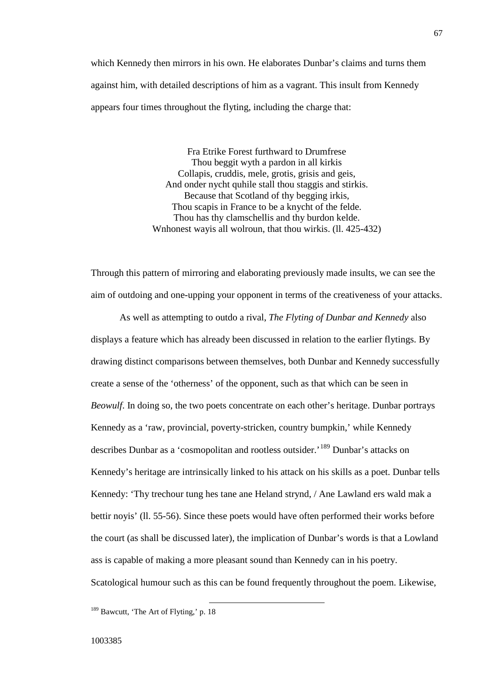which Kennedy then mirrors in his own. He elaborates Dunbar's claims and turns them against him, with detailed descriptions of him as a vagrant. This insult from Kennedy appears four times throughout the flyting, including the charge that:

> Fra Etrike Forest furthward to Drumfrese Thou beggit wyth a pardon in all kirkis Collapis, cruddis, mele, grotis, grisis and geis, And onder nycht quhile stall thou staggis and stirkis. Because that Scotland of thy begging irkis, Thou scapis in France to be a knycht of the felde. Thou has thy clamschellis and thy burdon kelde. Wnhonest wayis all wolroun, that thou wirkis. (ll. 425-432)

Through this pattern of mirroring and elaborating previously made insults, we can see the aim of outdoing and one-upping your opponent in terms of the creativeness of your attacks.

As well as attempting to outdo a rival, *The Flyting of Dunbar and Kennedy* also displays a feature which has already been discussed in relation to the earlier flytings. By drawing distinct comparisons between themselves, both Dunbar and Kennedy successfully create a sense of the 'otherness' of the opponent, such as that which can be seen in *Beowulf*. In doing so, the two poets concentrate on each other's heritage. Dunbar portrays Kennedy as a 'raw, provincial, poverty-stricken, country bumpkin,' while Kennedy describes Dunbar as a 'cosmopolitan and rootless outsider.'[189](#page-69-0) Dunbar's attacks on Kennedy's heritage are intrinsically linked to his attack on his skills as a poet. Dunbar tells Kennedy: 'Thy trechour tung hes tane ane Heland strynd, / Ane Lawland ers wald mak a bettir noyis' (ll. 55-56). Since these poets would have often performed their works before the court (as shall be discussed later), the implication of Dunbar's words is that a Lowland ass is capable of making a more pleasant sound than Kennedy can in his poetry. Scatological humour such as this can be found frequently throughout the poem. Likewise,

<span id="page-69-0"></span><sup>189</sup> Bawcutt, 'The Art of Flyting,' p. 18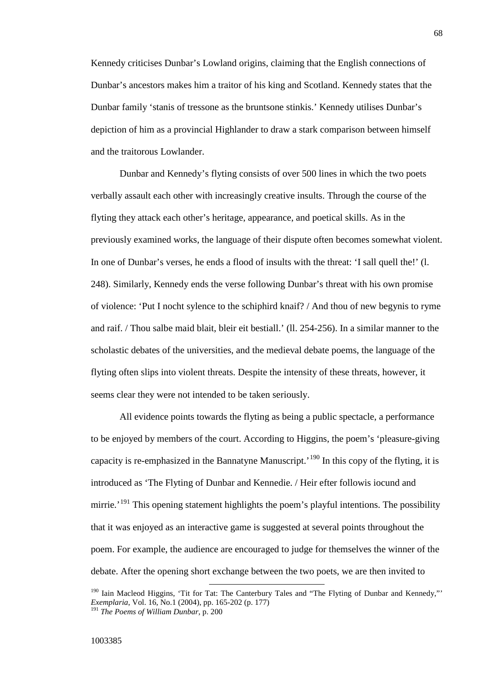Kennedy criticises Dunbar's Lowland origins, claiming that the English connections of Dunbar's ancestors makes him a traitor of his king and Scotland. Kennedy states that the Dunbar family 'stanis of tressone as the bruntsone stinkis.' Kennedy utilises Dunbar's depiction of him as a provincial Highlander to draw a stark comparison between himself and the traitorous Lowlander.

Dunbar and Kennedy's flyting consists of over 500 lines in which the two poets verbally assault each other with increasingly creative insults. Through the course of the flyting they attack each other's heritage, appearance, and poetical skills. As in the previously examined works, the language of their dispute often becomes somewhat violent. In one of Dunbar's verses, he ends a flood of insults with the threat: 'I sall quell the!' (l. 248). Similarly, Kennedy ends the verse following Dunbar's threat with his own promise of violence: 'Put I nocht sylence to the schiphird knaif? / And thou of new begynis to ryme and raif. / Thou salbe maid blait, bleir eit bestiall.' (ll. 254-256). In a similar manner to the scholastic debates of the universities, and the medieval debate poems, the language of the flyting often slips into violent threats. Despite the intensity of these threats, however, it seems clear they were not intended to be taken seriously.

All evidence points towards the flyting as being a public spectacle, a performance to be enjoyed by members of the court. According to Higgins, the poem's 'pleasure-giving capacity is re-emphasized in the Bannatyne Manuscript.<sup>'[190](#page-70-0)</sup> In this copy of the flyting, it is introduced as 'The Flyting of Dunbar and Kennedie. / Heir efter followis iocund and mirrie.<sup> $191$ </sup> This opening statement highlights the poem's playful intentions. The possibility that it was enjoyed as an interactive game is suggested at several points throughout the poem. For example, the audience are encouraged to judge for themselves the winner of the debate. After the opening short exchange between the two poets, we are then invited to

<span id="page-70-1"></span><span id="page-70-0"></span><sup>&</sup>lt;sup>190</sup> Iain Macleod Higgins, 'Tit for Tat: The Canterbury Tales and "The Flyting of Dunbar and Kennedy,"' *Exemplaria*, Vol. 16, No.1 (2004), pp. 165-202 (p. 177) <sup>191</sup> *The Poems of William Dunbar,* p. 200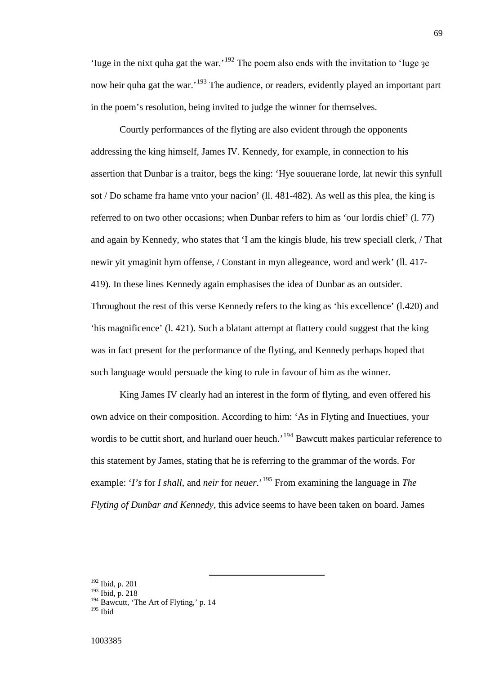'Iuge in the nixt quha gat the war.'[192](#page-71-0) The poem also ends with the invitation to 'Iuge ȝe now heir quha gat the war.<sup>'[193](#page-71-1)</sup> The audience, or readers, evidently played an important part in the poem's resolution, being invited to judge the winner for themselves.

Courtly performances of the flyting are also evident through the opponents addressing the king himself, James IV. Kennedy, for example, in connection to his assertion that Dunbar is a traitor, begs the king: 'Hye souuerane lorde, lat newir this synfull sot / Do schame fra hame vnto your nacion' (ll. 481-482). As well as this plea, the king is referred to on two other occasions; when Dunbar refers to him as 'our lordis chief' (l. 77) and again by Kennedy, who states that 'I am the kingis blude, his trew speciall clerk, / That newir yit ymaginit hym offense, / Constant in myn allegeance, word and werk' (ll. 417- 419). In these lines Kennedy again emphasises the idea of Dunbar as an outsider. Throughout the rest of this verse Kennedy refers to the king as 'his excellence' (l.420) and 'his magnificence' (l. 421). Such a blatant attempt at flattery could suggest that the king was in fact present for the performance of the flyting, and Kennedy perhaps hoped that such language would persuade the king to rule in favour of him as the winner.

King James IV clearly had an interest in the form of flyting, and even offered his own advice on their composition. According to him: 'As in Flyting and Inuectiues, your wordis to be cuttit short, and hurland ouer heuch.<sup>[194](#page-71-2)</sup> Bawcutt makes particular reference to this statement by James, stating that he is referring to the grammar of the words. For example: '*I*'s for *I shall*, and *neir* for *neuer*.'<sup>[195](#page-71-3)</sup> From examining the language in *The Flyting of Dunbar and Kennedy*, this advice seems to have been taken on board. James

<span id="page-71-1"></span><span id="page-71-0"></span><sup>192</sup> Ibid, p. 201

<sup>193</sup> Ibid, p. 218

<sup>&</sup>lt;sup>194</sup> Bawcutt, 'The Art of Flyting,' p. 14

<span id="page-71-3"></span><span id="page-71-2"></span> $195$  Ibid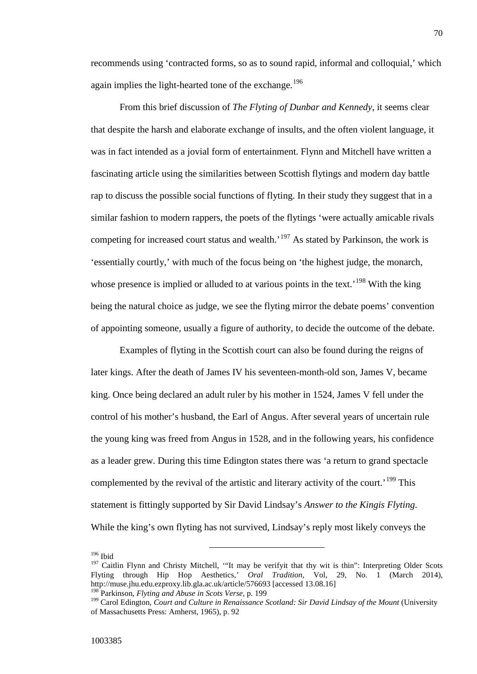recommends using 'contracted forms, so as to sound rapid, informal and colloquial,' which again implies the light-hearted tone of the exchange.<sup>[196](#page-72-0)</sup>

From this brief discussion of *The Flyting of Dunbar and Kennedy*, it seems clear that despite the harsh and elaborate exchange of insults, and the often violent language, it was in fact intended as a jovial form of entertainment. Flynn and Mitchell have written a fascinating article using the similarities between Scottish flytings and modern day battle rap to discuss the possible social functions of flyting. In their study they suggest that in a similar fashion to modern rappers, the poets of the flytings 'were actually amicable rivals competing for increased court status and wealth.<sup>'[197](#page-72-1)</sup> As stated by Parkinson, the work is 'essentially courtly,' with much of the focus being on 'the highest judge, the monarch, whose presence is implied or alluded to at various points in the text.<sup>[198](#page-72-2)</sup> With the king being the natural choice as judge, we see the flyting mirror the debate poems' convention of appointing someone, usually a figure of authority, to decide the outcome of the debate.

Examples of flyting in the Scottish court can also be found during the reigns of later kings. After the death of James IV his seventeen-month-old son, James V, became king. Once being declared an adult ruler by his mother in 1524, James V fell under the control of his mother's husband, the Earl of Angus. After several years of uncertain rule the young king was freed from Angus in 1528, and in the following years, his confidence as a leader grew. During this time Edington states there was 'a return to grand spectacle complemented by the revival of the artistic and literary activity of the court.<sup>'[199](#page-72-3)</sup> This statement is fittingly supported by Sir David Lindsay's *Answer to the Kingis Flyting*. While the king's own flyting has not survived, Lindsay's reply most likely conveys the

<span id="page-72-0"></span><sup>196</sup> Ibid

<span id="page-72-1"></span><sup>&</sup>lt;sup>197</sup> Caitlin Flynn and Christy Mitchell, "It may be verifyit that thy wit is thin": Interpreting Older Scots Flyting through Hip Hop Aesthetics,' *Oral Tradition*, Vol, 29, No. 1 (March 2014), http://muse.jhu.edu.ezproxy.lib.gla.ac.uk/article/576693 [accessed 13.08.16]

<span id="page-72-2"></span><sup>198</sup> Parkinson, *Flyting and Abuse in Scots Verse,* p. 199

<span id="page-72-3"></span><sup>199</sup> Carol Edington, *Court and Culture in Renaissance Scotland: Sir David Lindsay of the Mount* (University of Massachusetts Press: Amherst, 1965), p. 92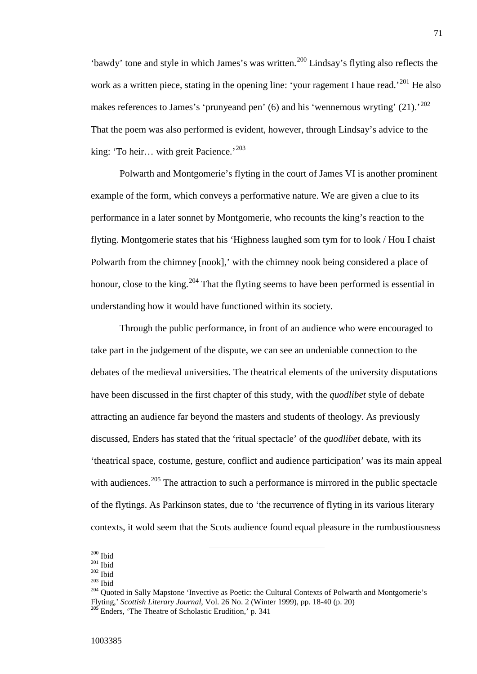'bawdy' tone and style in which James's was written.[200](#page-73-0) Lindsay's flyting also reflects the work as a written piece, stating in the opening line: 'your ragement I haue read.'<sup>[201](#page-73-1)</sup> He also makes references to James's 'prunyeand pen' (6) and his 'wennemous wryting'  $(21)$ .<sup>[202](#page-73-2)</sup> That the poem was also performed is evident, however, through Lindsay's advice to the king: 'To heir... with greit Pacience.'<sup>[203](#page-73-3)</sup>

Polwarth and Montgomerie's flyting in the court of James VI is another prominent example of the form, which conveys a performative nature. We are given a clue to its performance in a later sonnet by Montgomerie, who recounts the king's reaction to the flyting. Montgomerie states that his 'Highness laughed som tym for to look / Hou I chaist Polwarth from the chimney [nook],' with the chimney nook being considered a place of honour, close to the king.<sup>[204](#page-73-4)</sup> That the flyting seems to have been performed is essential in understanding how it would have functioned within its society.

Through the public performance, in front of an audience who were encouraged to take part in the judgement of the dispute, we can see an undeniable connection to the debates of the medieval universities. The theatrical elements of the university disputations have been discussed in the first chapter of this study, with the *quodlibet* style of debate attracting an audience far beyond the masters and students of theology. As previously discussed, Enders has stated that the 'ritual spectacle' of the *quodlibet* debate, with its 'theatrical space, costume, gesture, conflict and audience participation' was its main appeal with audiences.<sup>[205](#page-73-5)</sup> The attraction to such a performance is mirrored in the public spectacle of the flytings. As Parkinson states, due to 'the recurrence of flyting in its various literary contexts, it wold seem that the Scots audience found equal pleasure in the rumbustiousness

<span id="page-73-1"></span>

<span id="page-73-2"></span>

<span id="page-73-5"></span><span id="page-73-4"></span><span id="page-73-3"></span>

<span id="page-73-0"></span><sup>&</sup>lt;sup>200</sup> Ibid<br><sup>201</sup> Ibid<br><sup>202</sup> Ibid<br><sup>204</sup> Quoted in Sally Mapstone 'Invective as Poetic: the Cultural Contexts of Polwarth and Montgomerie's Flyting,' *Scottish Literary Journal*, Vol. 26 No. 2 (Winter 1999), pp. 18-40 (p. 20)<br><sup>205</sup> Enders, 'The Theatre of Scholastic Erudition,' p. 341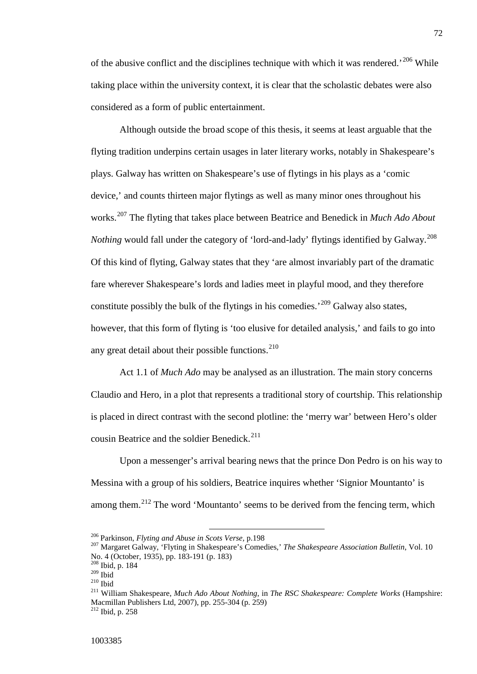of the abusive conflict and the disciplines technique with which it was rendered.<sup> $206$ </sup> While taking place within the university context, it is clear that the scholastic debates were also considered as a form of public entertainment.

Although outside the broad scope of this thesis, it seems at least arguable that the flyting tradition underpins certain usages in later literary works, notably in Shakespeare's plays. Galway has written on Shakespeare's use of flytings in his plays as a 'comic device,' and counts thirteen major flytings as well as many minor ones throughout his works.[207](#page-74-1) The flyting that takes place between Beatrice and Benedick in *Much Ado About Nothing* would fall under the category of 'lord-and-lady' flytings identified by Galway.<sup>[208](#page-74-2)</sup> Of this kind of flyting, Galway states that they 'are almost invariably part of the dramatic fare wherever Shakespeare's lords and ladies meet in playful mood, and they therefore constitute possibly the bulk of the flytings in his comedies.'[209](#page-74-3) Galway also states, however, that this form of flyting is 'too elusive for detailed analysis,' and fails to go into any great detail about their possible functions.  $2^{10}$ 

Act 1.1 of *Much Ado* may be analysed as an illustration. The main story concerns Claudio and Hero, in a plot that represents a traditional story of courtship. This relationship is placed in direct contrast with the second plotline: the 'merry war' between Hero's older cousin Beatrice and the soldier Benedick.<sup>[211](#page-74-5)</sup>

Upon a messenger's arrival bearing news that the prince Don Pedro is on his way to Messina with a group of his soldiers, Beatrice inquires whether 'Signior Mountanto' is among them.<sup>[212](#page-74-6)</sup> The word 'Mountanto' seems to be derived from the fencing term, which

<span id="page-74-1"></span><span id="page-74-0"></span><sup>&</sup>lt;sup>206</sup> Parkinson, *Flyting and Abuse in Scots Verse*, p.198<br><sup>207</sup> Margaret Galway, 'Flyting in Shakespeare's Comedies,' *The Shakespeare Association Bulletin*, Vol. 10 No. 4 (October, 1935), pp. 183-191 (p. 183)<br><sup>208</sup> Ibid, p. 184<br><sup>209</sup> Ibid

<span id="page-74-2"></span>

<span id="page-74-5"></span>

<span id="page-74-4"></span><span id="page-74-3"></span><sup>209</sup> Ibid 210 Ibid 211 William Shakespeare, *Much Ado About Nothing*, in *The RSC Shakespeare: Complete Works* (Hampshire: Macmillan Publishers Ltd, 2007), pp. 255-304 (p. 259) 212 Ibid, p. 258

<span id="page-74-6"></span>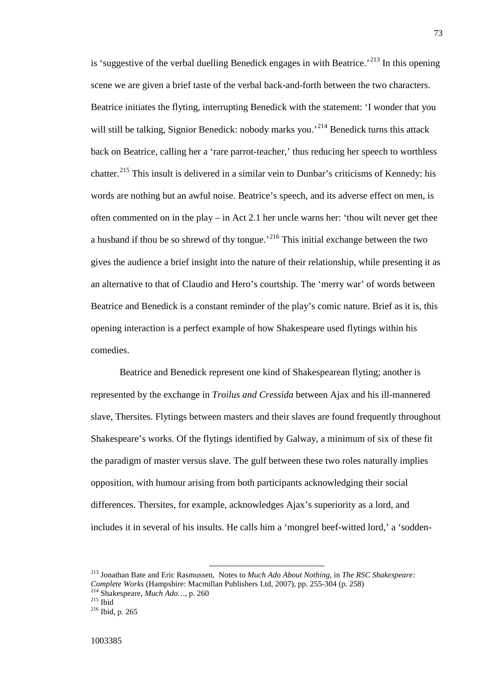is 'suggestive of the verbal duelling Benedick engages in with Beatrice.<sup>[213](#page-75-0)</sup> In this opening scene we are given a brief taste of the verbal back-and-forth between the two characters. Beatrice initiates the flyting, interrupting Benedick with the statement: 'I wonder that you will still be talking, Signior Benedick: nobody marks you.<sup> $214$ </sup> Benedick turns this attack back on Beatrice, calling her a 'rare parrot-teacher,' thus reducing her speech to worthless chatter.<sup>[215](#page-75-2)</sup> This insult is delivered in a similar vein to Dunbar's criticisms of Kennedy: his words are nothing but an awful noise. Beatrice's speech, and its adverse effect on men, is often commented on in the play – in Act 2.1 her uncle warns her: 'thou wilt never get thee a husband if thou be so shrewd of thy tongue.<sup>[216](#page-75-3)</sup> This initial exchange between the two gives the audience a brief insight into the nature of their relationship, while presenting it as an alternative to that of Claudio and Hero's courtship. The 'merry war' of words between Beatrice and Benedick is a constant reminder of the play's comic nature. Brief as it is, this opening interaction is a perfect example of how Shakespeare used flytings within his comedies.

Beatrice and Benedick represent one kind of Shakespearean flyting; another is represented by the exchange in *Troilus and Cressida* between Ajax and his ill-mannered slave, Thersites. Flytings between masters and their slaves are found frequently throughout Shakespeare's works. Of the flytings identified by Galway, a minimum of six of these fit the paradigm of master versus slave. The gulf between these two roles naturally implies opposition, with humour arising from both participants acknowledging their social differences. Thersites, for example, acknowledges Ajax's superiority as a lord, and includes it in several of his insults. He calls him a 'mongrel beef-witted lord,' a 'sodden-

<span id="page-75-0"></span><sup>213</sup> Jonathan Bate and Eric Rasmussen, Notes to *Much Ado About Nothing*, in *The RSC Shakespeare: Complete Works* (Hampshire: Macmillan Publishers Ltd, 2007), pp. 255-304 (p. 258)<sup>214</sup> Shakespeare, *Much Ado…*, p. 260<br><sup>215</sup> Ibid<br><sup>216</sup> Ibid, p. 265

<span id="page-75-2"></span><span id="page-75-1"></span>

<span id="page-75-3"></span>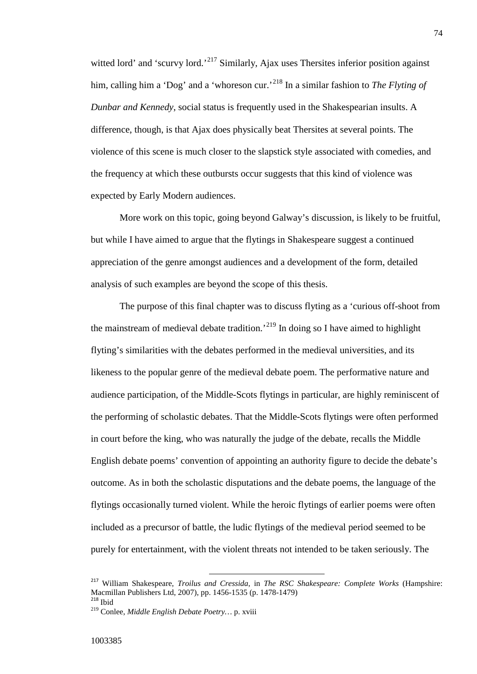witted lord' and 'scurvy lord.<sup>'[217](#page-76-0)</sup> Similarly, Ajax uses Thersites inferior position against him, calling him a 'Dog' and a 'whoreson cur.' [218](#page-76-1) In a similar fashion to *The Flyting of Dunbar and Kennedy*, social status is frequently used in the Shakespearian insults. A difference, though, is that Ajax does physically beat Thersites at several points. The violence of this scene is much closer to the slapstick style associated with comedies, and the frequency at which these outbursts occur suggests that this kind of violence was expected by Early Modern audiences.

More work on this topic, going beyond Galway's discussion, is likely to be fruitful, but while I have aimed to argue that the flytings in Shakespeare suggest a continued appreciation of the genre amongst audiences and a development of the form, detailed analysis of such examples are beyond the scope of this thesis.

The purpose of this final chapter was to discuss flyting as a 'curious off-shoot from the mainstream of medieval debate tradition.<sup>[219](#page-76-2)</sup> In doing so I have aimed to highlight flyting's similarities with the debates performed in the medieval universities, and its likeness to the popular genre of the medieval debate poem. The performative nature and audience participation, of the Middle-Scots flytings in particular, are highly reminiscent of the performing of scholastic debates. That the Middle-Scots flytings were often performed in court before the king, who was naturally the judge of the debate, recalls the Middle English debate poems' convention of appointing an authority figure to decide the debate's outcome. As in both the scholastic disputations and the debate poems, the language of the flytings occasionally turned violent. While the heroic flytings of earlier poems were often included as a precursor of battle, the ludic flytings of the medieval period seemed to be purely for entertainment, with the violent threats not intended to be taken seriously. The

<span id="page-76-0"></span> <sup>217</sup> William Shakespeare, *Troilus and Cressida*, in *The RSC Shakespeare: Complete Works* (Hampshire: Macmillan Publishers Ltd, 2007), pp. 1456-1535 (p. 1478-1479)<br><sup>218</sup> Ibid

<span id="page-76-2"></span><span id="page-76-1"></span><sup>219</sup> Conlee, *Middle English Debate Poetry…* p. xviii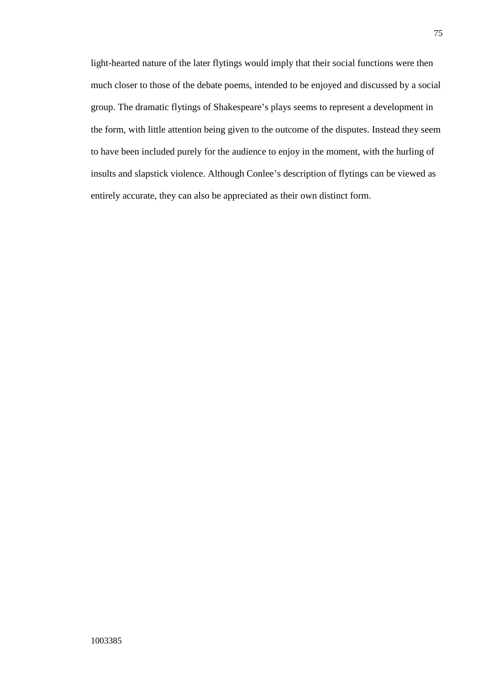light-hearted nature of the later flytings would imply that their social functions were then much closer to those of the debate poems, intended to be enjoyed and discussed by a social group. The dramatic flytings of Shakespeare's plays seems to represent a development in the form, with little attention being given to the outcome of the disputes. Instead they seem to have been included purely for the audience to enjoy in the moment, with the hurling of insults and slapstick violence. Although Conlee's description of flytings can be viewed as entirely accurate, they can also be appreciated as their own distinct form.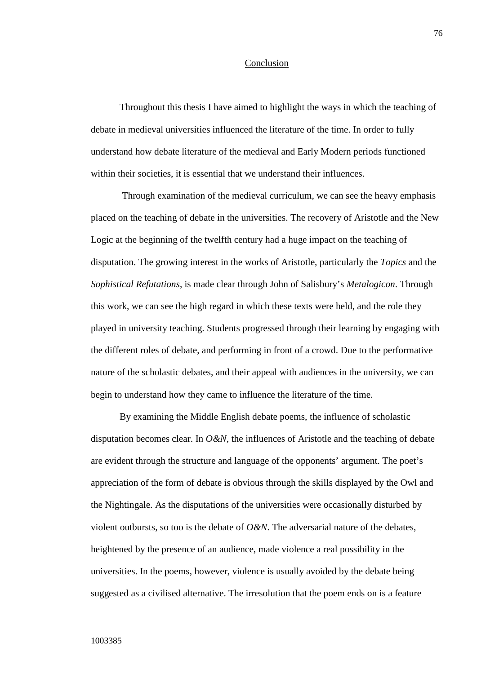#### Conclusion

Throughout this thesis I have aimed to highlight the ways in which the teaching of debate in medieval universities influenced the literature of the time. In order to fully understand how debate literature of the medieval and Early Modern periods functioned within their societies, it is essential that we understand their influences.

Through examination of the medieval curriculum, we can see the heavy emphasis placed on the teaching of debate in the universities. The recovery of Aristotle and the New Logic at the beginning of the twelfth century had a huge impact on the teaching of disputation. The growing interest in the works of Aristotle, particularly the *Topics* and the *Sophistical Refutations*, is made clear through John of Salisbury's *Metalogicon*. Through this work, we can see the high regard in which these texts were held, and the role they played in university teaching. Students progressed through their learning by engaging with the different roles of debate, and performing in front of a crowd. Due to the performative nature of the scholastic debates, and their appeal with audiences in the university, we can begin to understand how they came to influence the literature of the time.

By examining the Middle English debate poems, the influence of scholastic disputation becomes clear. In *O&N*, the influences of Aristotle and the teaching of debate are evident through the structure and language of the opponents' argument. The poet's appreciation of the form of debate is obvious through the skills displayed by the Owl and the Nightingale. As the disputations of the universities were occasionally disturbed by violent outbursts, so too is the debate of  $O\&N$ . The adversarial nature of the debates, heightened by the presence of an audience, made violence a real possibility in the universities. In the poems, however, violence is usually avoided by the debate being suggested as a civilised alternative. The irresolution that the poem ends on is a feature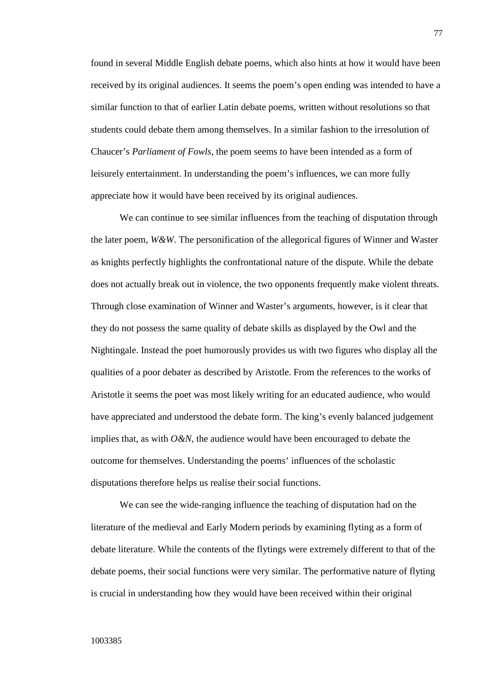found in several Middle English debate poems, which also hints at how it would have been received by its original audiences. It seems the poem's open ending was intended to have a similar function to that of earlier Latin debate poems, written without resolutions so that students could debate them among themselves. In a similar fashion to the irresolution of Chaucer's *Parliament of Fowls*, the poem seems to have been intended as a form of leisurely entertainment. In understanding the poem's influences, we can more fully appreciate how it would have been received by its original audiences.

We can continue to see similar influences from the teaching of disputation through the later poem, *W&W*. The personification of the allegorical figures of Winner and Waster as knights perfectly highlights the confrontational nature of the dispute. While the debate does not actually break out in violence, the two opponents frequently make violent threats. Through close examination of Winner and Waster's arguments, however, is it clear that they do not possess the same quality of debate skills as displayed by the Owl and the Nightingale. Instead the poet humorously provides us with two figures who display all the qualities of a poor debater as described by Aristotle. From the references to the works of Aristotle it seems the poet was most likely writing for an educated audience, who would have appreciated and understood the debate form. The king's evenly balanced judgement implies that, as with *O&N*, the audience would have been encouraged to debate the outcome for themselves. Understanding the poems' influences of the scholastic disputations therefore helps us realise their social functions.

We can see the wide-ranging influence the teaching of disputation had on the literature of the medieval and Early Modern periods by examining flyting as a form of debate literature. While the contents of the flytings were extremely different to that of the debate poems, their social functions were very similar. The performative nature of flyting is crucial in understanding how they would have been received within their original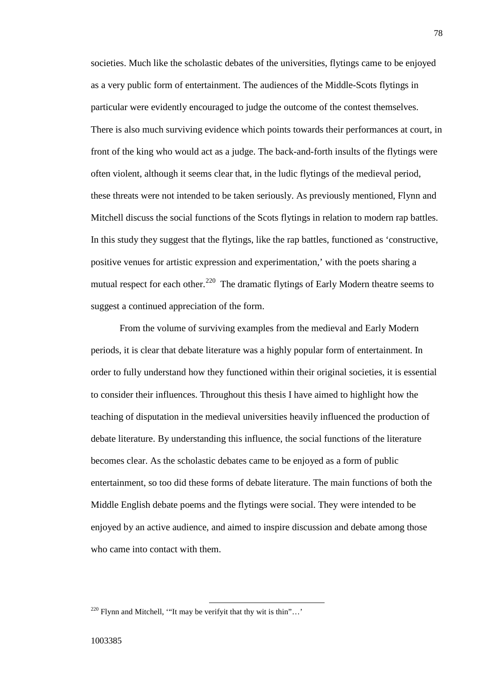societies. Much like the scholastic debates of the universities, flytings came to be enjoyed as a very public form of entertainment. The audiences of the Middle-Scots flytings in particular were evidently encouraged to judge the outcome of the contest themselves. There is also much surviving evidence which points towards their performances at court, in front of the king who would act as a judge. The back-and-forth insults of the flytings were often violent, although it seems clear that, in the ludic flytings of the medieval period, these threats were not intended to be taken seriously. As previously mentioned, Flynn and Mitchell discuss the social functions of the Scots flytings in relation to modern rap battles. In this study they suggest that the flytings, like the rap battles, functioned as 'constructive, positive venues for artistic expression and experimentation,' with the poets sharing a mutual respect for each other.<sup>[220](#page-80-0)</sup> The dramatic flytings of Early Modern theatre seems to suggest a continued appreciation of the form.

From the volume of surviving examples from the medieval and Early Modern periods, it is clear that debate literature was a highly popular form of entertainment. In order to fully understand how they functioned within their original societies, it is essential to consider their influences. Throughout this thesis I have aimed to highlight how the teaching of disputation in the medieval universities heavily influenced the production of debate literature. By understanding this influence, the social functions of the literature becomes clear. As the scholastic debates came to be enjoyed as a form of public entertainment, so too did these forms of debate literature. The main functions of both the Middle English debate poems and the flytings were social. They were intended to be enjoyed by an active audience, and aimed to inspire discussion and debate among those who came into contact with them.

<span id="page-80-0"></span> $220$  Flynn and Mitchell, "It may be verifyit that thy wit is thin"...'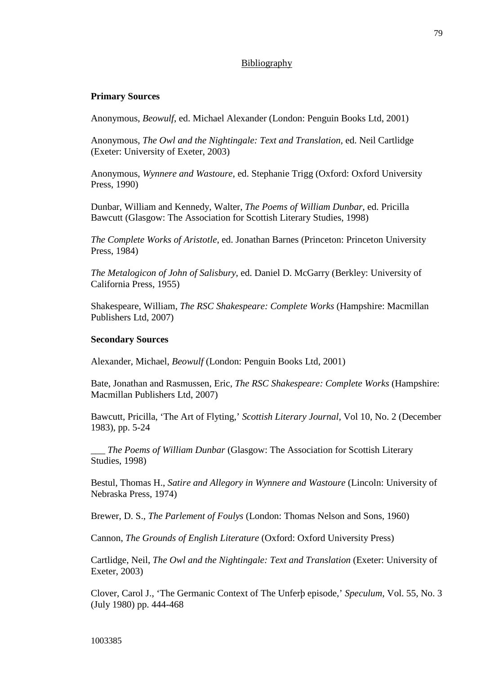# Bibliography

# **Primary Sources**

Anonymous, *Beowulf*, ed. Michael Alexander (London: Penguin Books Ltd, 2001)

Anonymous, *The Owl and the Nightingale: Text and Translation,* ed. Neil Cartlidge (Exeter: University of Exeter, 2003)

Anonymous, *Wynnere and Wastoure*, ed. Stephanie Trigg (Oxford: Oxford University Press, 1990)

Dunbar, William and Kennedy, Walter, *The Poems of William Dunbar*, ed. Pricilla Bawcutt (Glasgow: The Association for Scottish Literary Studies, 1998)

*The Complete Works of Aristotle*, ed. Jonathan Barnes (Princeton: Princeton University Press, 1984)

*The Metalogicon of John of Salisbury*, ed. Daniel D. McGarry (Berkley: University of California Press, 1955)

Shakespeare, William, *The RSC Shakespeare: Complete Works* (Hampshire: Macmillan Publishers Ltd, 2007)

# **Secondary Sources**

Alexander, Michael, *Beowulf* (London: Penguin Books Ltd, 2001)

Bate, Jonathan and Rasmussen, Eric, *The RSC Shakespeare: Complete Works* (Hampshire: Macmillan Publishers Ltd, 2007)

Bawcutt, Pricilla, 'The Art of Flyting,' *Scottish Literary Journal*, Vol 10, No. 2 (December 1983), pp. 5-24

\_\_\_ *The Poems of William Dunbar* (Glasgow: The Association for Scottish Literary Studies, 1998)

Bestul, Thomas H., *Satire and Allegory in Wynnere and Wastoure* (Lincoln: University of Nebraska Press, 1974)

Brewer, D. S., *The Parlement of Foulys* (London: Thomas Nelson and Sons, 1960)

Cannon, *The Grounds of English Literature* (Oxford: Oxford University Press)

Cartlidge, Neil, *The Owl and the Nightingale: Text and Translation* (Exeter: University of Exeter, 2003)

Clover, Carol J., 'The Germanic Context of The Unferþ episode,' *Speculum*, Vol. 55, No. 3 (July 1980) pp. 444-468

1003385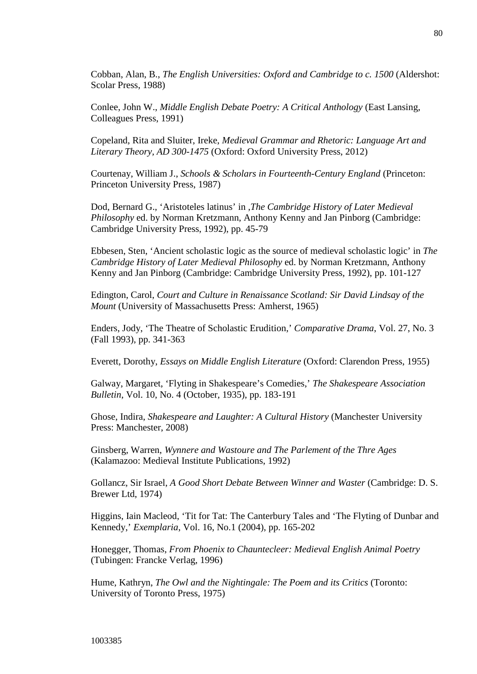Cobban, Alan, B., *The English Universities: Oxford and Cambridge to c. 1500* (Aldershot: Scolar Press, 1988)

Conlee, John W., *Middle English Debate Poetry: A Critical Anthology* (East Lansing, Colleagues Press, 1991)

Copeland, Rita and Sluiter, Ireke, *Medieval Grammar and Rhetoric: Language Art and Literary Theory, AD 300-1475* (Oxford: Oxford University Press, 2012)

Courtenay, William J., *Schools & Scholars in Fourteenth-Century England* (Princeton: Princeton University Press, 1987)

Dod, Bernard G., 'Aristoteles latinus' in *,The Cambridge History of Later Medieval Philosophy* ed. by Norman Kretzmann, Anthony Kenny and Jan Pinborg (Cambridge: Cambridge University Press, 1992), pp. 45-79

Ebbesen, Sten, 'Ancient scholastic logic as the source of medieval scholastic logic' in *The Cambridge History of Later Medieval Philosophy* ed. by Norman Kretzmann, Anthony Kenny and Jan Pinborg (Cambridge: Cambridge University Press, 1992), pp. 101-127

Edington, Carol, *Court and Culture in Renaissance Scotland: Sir David Lindsay of the Mount* (University of Massachusetts Press: Amherst, 1965)

Enders, Jody, 'The Theatre of Scholastic Erudition,' *Comparative Drama*, Vol. 27, No. 3 (Fall 1993), pp. 341-363

Everett, Dorothy, *Essays on Middle English Literature* (Oxford: Clarendon Press, 1955)

Galway, Margaret, 'Flyting in Shakespeare's Comedies,' *The Shakespeare Association Bulletin*, Vol. 10, No. 4 (October, 1935), pp. 183-191

Ghose, Indira, *Shakespeare and Laughter: A Cultural History* (Manchester University Press: Manchester, 2008)

Ginsberg, Warren, *Wynnere and Wastoure and The Parlement of the Thre Ages* (Kalamazoo: Medieval Institute Publications, 1992)

Gollancz*,* Sir Israel, *A Good Short Debate Between Winner and Waster* (Cambridge: D. S. Brewer Ltd, 1974)

Higgins, Iain Macleod, 'Tit for Tat: The Canterbury Tales and 'The Flyting of Dunbar and Kennedy,' *Exemplaria*, Vol. 16, No.1 (2004), pp. 165-202

Honegger, Thomas, *From Phoenix to Chauntecleer: Medieval English Animal Poetry* (Tubingen: Francke Verlag, 1996)

Hume, Kathryn, *The Owl and the Nightingale: The Poem and its Critics* (Toronto: University of Toronto Press, 1975)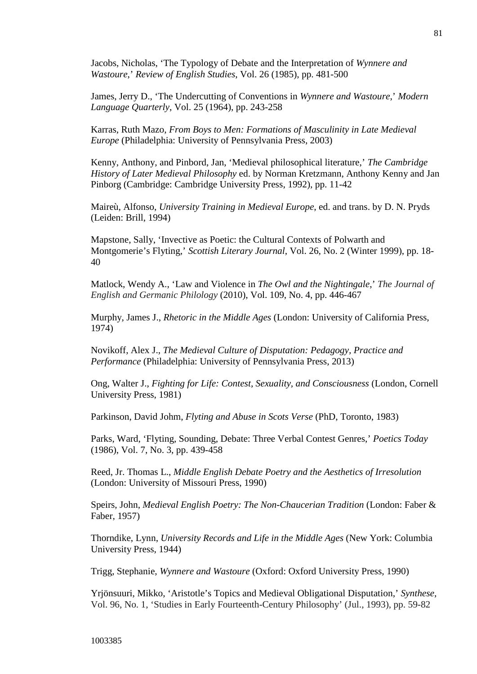Jacobs, Nicholas, 'The Typology of Debate and the Interpretation of *Wynnere and Wastoure*,' *Review of English Studies*, Vol. 26 (1985), pp. 481-500

James, Jerry D., 'The Undercutting of Conventions in *Wynnere and Wastoure*,' *Modern Language Quarterly*, Vol. 25 (1964), pp. 243-258

Karras, Ruth Mazo, *From Boys to Men: Formations of Masculinity in Late Medieval Europe* (Philadelphia: University of Pennsylvania Press, 2003)

Kenny, Anthony, and Pinbord, Jan, 'Medieval philosophical literature,' *The Cambridge History of Later Medieval Philosophy* ed. by Norman Kretzmann, Anthony Kenny and Jan Pinborg (Cambridge: Cambridge University Press, 1992), pp. 11-42

Maireù, Alfonso, *University Training in Medieval Europe*, ed. and trans. by D. N. Pryds (Leiden: Brill, 1994)

Mapstone, Sally, 'Invective as Poetic: the Cultural Contexts of Polwarth and Montgomerie's Flyting,' *Scottish Literary Journal*, Vol. 26, No. 2 (Winter 1999), pp. 18- 40

Matlock, Wendy A., 'Law and Violence in *The Owl and the Nightingale*,' *The Journal of English and Germanic Philology* (2010), Vol. 109, No. 4, pp. 446-467

Murphy, James J., *Rhetoric in the Middle Ages* (London: University of California Press, 1974)

Novikoff, Alex J., *The Medieval Culture of Disputation: Pedagogy, Practice and Performance* (Philadelphia: University of Pennsylvania Press, 2013)

Ong, Walter J., *Fighting for Life: Contest, Sexuality, and Consciousness* (London, Cornell University Press, 1981)

Parkinson, David Johm, *Flyting and Abuse in Scots Verse* (PhD, Toronto, 1983)

Parks, Ward, 'Flyting, Sounding, Debate: Three Verbal Contest Genres,' *Poetics Today* (1986), Vol. 7, No. 3, pp. 439-458

Reed, Jr. Thomas L., *Middle English Debate Poetry and the Aesthetics of Irresolution*  (London: University of Missouri Press, 1990)

Speirs, John, *Medieval English Poetry: The Non-Chaucerian Tradition* (London: Faber & Faber, 1957)

Thorndike, Lynn, *University Records and Life in the Middle Ages* (New York: Columbia University Press, 1944)

Trigg, Stephanie, *Wynnere and Wastoure* (Oxford: Oxford University Press, 1990)

Yrjönsuuri, Mikko, 'Aristotle's Topics and Medieval Obligational Disputation,' *Synthese*, Vol. 96, No. 1, 'Studies in Early Fourteenth-Century Philosophy' (Jul., 1993), pp. 59-82

1003385